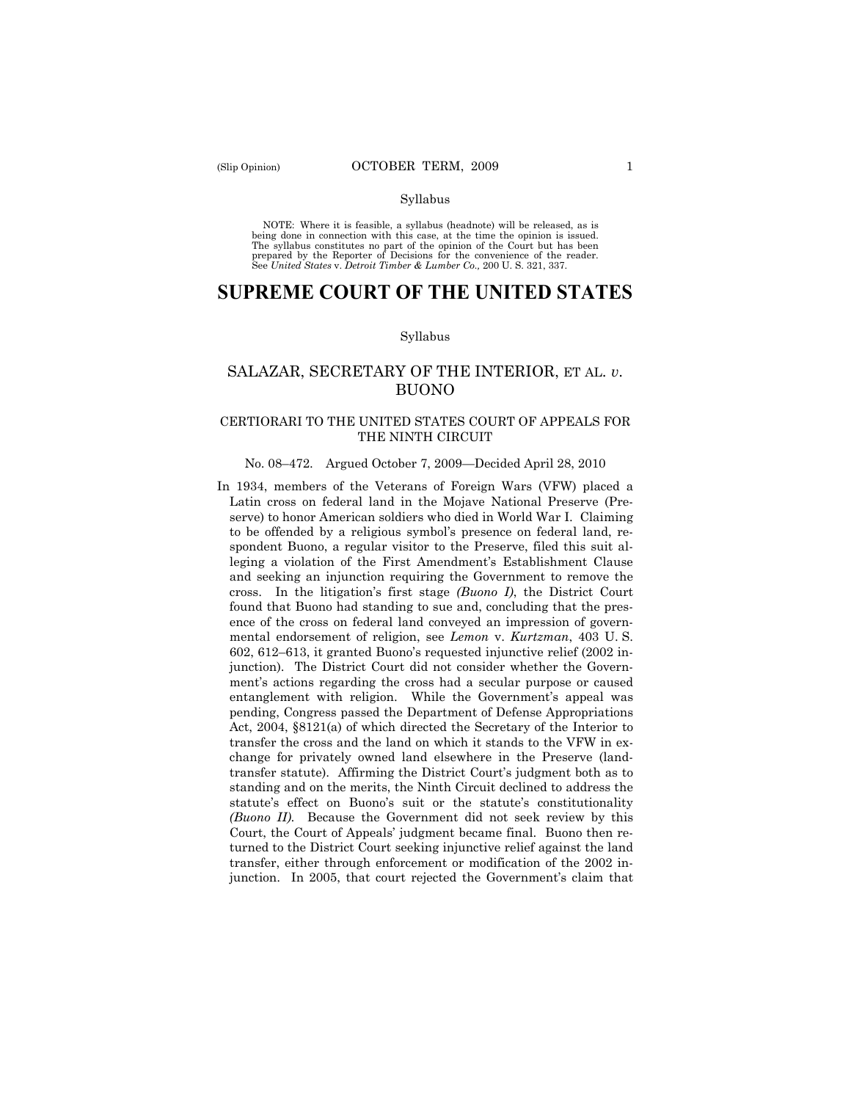NOTE: Where it is feasible, a syllabus (headnote) will be released, as is being done in connection with this case, at the time the opinion is issued. The syllabus constitutes no part of the opinion of the Court but has been<br>prepared by the Reporter of Decisions for the convenience of the reader.<br>See United States v. Detroit Timber & Lumber Co., 200 U. S. 321, 337.

# **SUPREME COURT OF THE UNITED STATES**

#### Syllabus

# SALAZAR, SECRETARY OF THE INTERIOR, ET AL. *v*. BUONO

# CERTIORARI TO THE UNITED STATES COURT OF APPEALS FOR THE NINTH CIRCUIT

#### No. 08–472. Argued October 7, 2009—Decided April 28, 2010

In 1934, members of the Veterans of Foreign Wars (VFW) placed a Latin cross on federal land in the Mojave National Preserve (Preserve) to honor American soldiers who died in World War I. Claiming to be offended by a religious symbol's presence on federal land, respondent Buono, a regular visitor to the Preserve, filed this suit alleging a violation of the First Amendment's Establishment Clause and seeking an injunction requiring the Government to remove the cross. In the litigation's first stage *(Buono I)*, the District Court found that Buono had standing to sue and, concluding that the presence of the cross on federal land conveyed an impression of governmental endorsement of religion, see *Lemon* v. *Kurtzman*, 403 U. S. 602, 612–613, it granted Buono's requested injunctive relief (2002 injunction). The District Court did not consider whether the Government's actions regarding the cross had a secular purpose or caused entanglement with religion. While the Government's appeal was pending, Congress passed the Department of Defense Appropriations Act, 2004, §8121(a) of which directed the Secretary of the Interior to transfer the cross and the land on which it stands to the VFW in exchange for privately owned land elsewhere in the Preserve (landtransfer statute). Affirming the District Court's judgment both as to standing and on the merits, the Ninth Circuit declined to address the statute's effect on Buono's suit or the statute's constitutionality *(Buono II).* Because the Government did not seek review by this Court, the Court of Appeals' judgment became final. Buono then returned to the District Court seeking injunctive relief against the land transfer, either through enforcement or modification of the 2002 injunction. In 2005, that court rejected the Government's claim that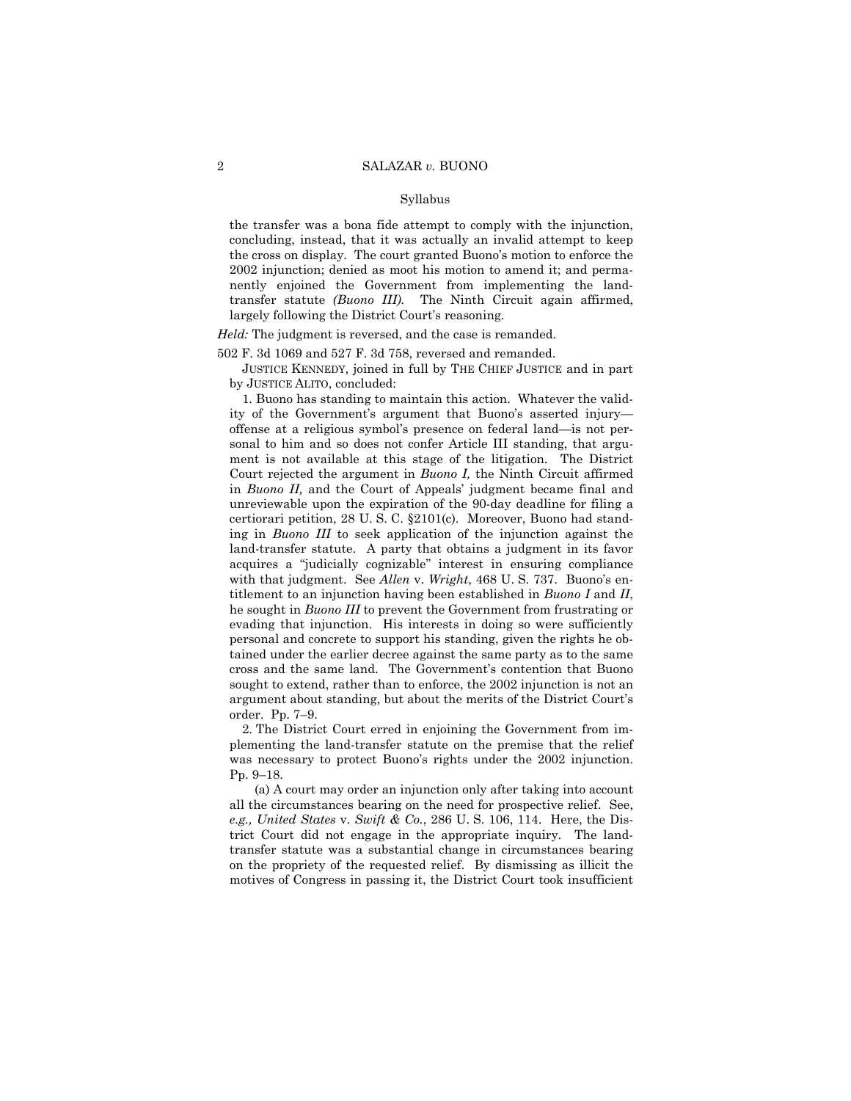the transfer was a bona fide attempt to comply with the injunction, concluding, instead, that it was actually an invalid attempt to keep the cross on display. The court granted Buono's motion to enforce the 2002 injunction; denied as moot his motion to amend it; and permanently enjoined the Government from implementing the landtransfer statute *(Buono III).* The Ninth Circuit again affirmed, largely following the District Court's reasoning*.* 

*Held:* The judgment is reversed, and the case is remanded.

502 F. 3d 1069 and 527 F. 3d 758, reversed and remanded.

JUSTICE KENNEDY, joined in full by THE CHIEF JUSTICE and in part by JUSTICE ALITO, concluded:

1. Buono has standing to maintain this action. Whatever the validity of the Government's argument that Buono's asserted injury offense at a religious symbol's presence on federal land—is not personal to him and so does not confer Article III standing, that argument is not available at this stage of the litigation. The District Court rejected the argument in *Buono I,* the Ninth Circuit affirmed in *Buono II,* and the Court of Appeals' judgment became final and unreviewable upon the expiration of the 90-day deadline for filing a certiorari petition, 28 U. S. C. §2101(c). Moreover, Buono had standing in *Buono III* to seek application of the injunction against the land-transfer statute. A party that obtains a judgment in its favor acquires a "judicially cognizable" interest in ensuring compliance with that judgment. See *Allen* v. *Wright*, 468 U. S. 737. Buono's entitlement to an injunction having been established in *Buono I* and *II*, he sought in *Buono III* to prevent the Government from frustrating or evading that injunction. His interests in doing so were sufficiently personal and concrete to support his standing, given the rights he obtained under the earlier decree against the same party as to the same cross and the same land. The Government's contention that Buono sought to extend, rather than to enforce, the 2002 injunction is not an argument about standing, but about the merits of the District Court's order. Pp. 7–9.

2. The District Court erred in enjoining the Government from implementing the land-transfer statute on the premise that the relief was necessary to protect Buono's rights under the 2002 injunction. Pp. 9–18.

(a) A court may order an injunction only after taking into account all the circumstances bearing on the need for prospective relief. See, *e.g., United States* v. *Swift & Co.*, 286 U. S. 106, 114. Here, the District Court did not engage in the appropriate inquiry. The landtransfer statute was a substantial change in circumstances bearing on the propriety of the requested relief. By dismissing as illicit the motives of Congress in passing it, the District Court took insufficient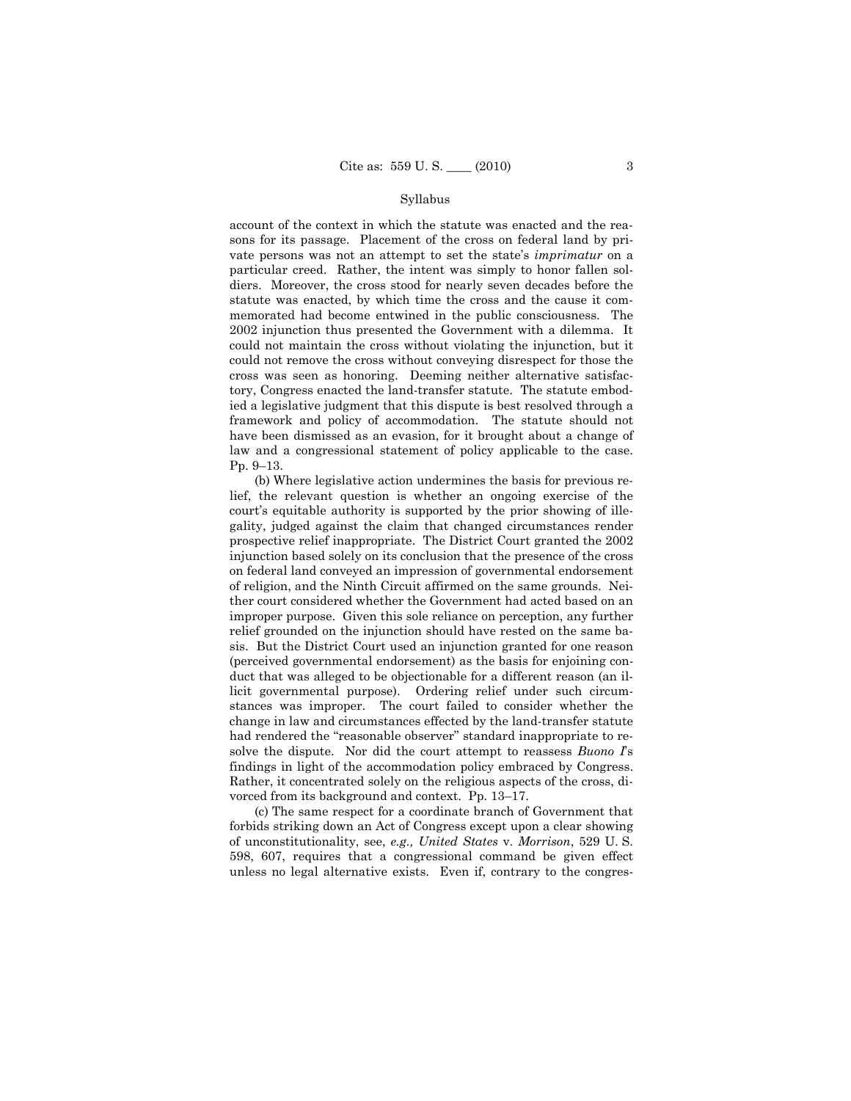account of the context in which the statute was enacted and the reasons for its passage. Placement of the cross on federal land by private persons was not an attempt to set the state's *imprimatur* on a particular creed. Rather, the intent was simply to honor fallen soldiers. Moreover, the cross stood for nearly seven decades before the statute was enacted, by which time the cross and the cause it commemorated had become entwined in the public consciousness. The 2002 injunction thus presented the Government with a dilemma. It could not maintain the cross without violating the injunction, but it could not remove the cross without conveying disrespect for those the cross was seen as honoring. Deeming neither alternative satisfactory, Congress enacted the land-transfer statute. The statute embodied a legislative judgment that this dispute is best resolved through a framework and policy of accommodation. The statute should not have been dismissed as an evasion, for it brought about a change of law and a congressional statement of policy applicable to the case. Pp. 9–13.

(b) Where legislative action undermines the basis for previous relief, the relevant question is whether an ongoing exercise of the court's equitable authority is supported by the prior showing of illegality, judged against the claim that changed circumstances render prospective relief inappropriate. The District Court granted the 2002 injunction based solely on its conclusion that the presence of the cross on federal land conveyed an impression of governmental endorsement of religion, and the Ninth Circuit affirmed on the same grounds. Neither court considered whether the Government had acted based on an improper purpose. Given this sole reliance on perception, any further relief grounded on the injunction should have rested on the same basis. But the District Court used an injunction granted for one reason (perceived governmental endorsement) as the basis for enjoining conduct that was alleged to be objectionable for a different reason (an illicit governmental purpose). Ordering relief under such circumstances was improper. The court failed to consider whether the change in law and circumstances effected by the land-transfer statute had rendered the "reasonable observer" standard inappropriate to resolve the dispute. Nor did the court attempt to reassess *Buono I*'s findings in light of the accommodation policy embraced by Congress. Rather, it concentrated solely on the religious aspects of the cross, divorced from its background and context. Pp. 13–17.

(c) The same respect for a coordinate branch of Government that forbids striking down an Act of Congress except upon a clear showing of unconstitutionality, see, *e.g., United States* v. *Morrison*, 529 U. S. 598, 607, requires that a congressional command be given effect unless no legal alternative exists. Even if, contrary to the congres-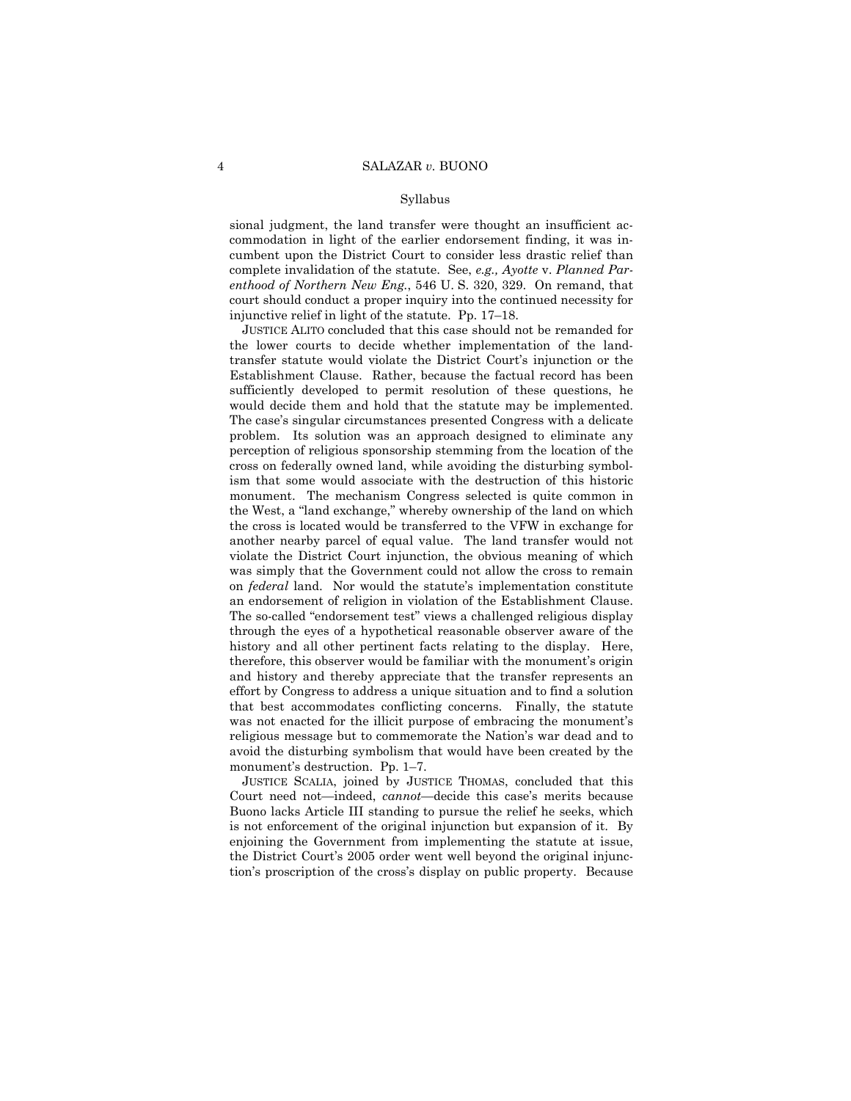sional judgment, the land transfer were thought an insufficient accommodation in light of the earlier endorsement finding, it was incumbent upon the District Court to consider less drastic relief than complete invalidation of the statute. See, *e.g., Ayotte* v. *Planned Parenthood of Northern New Eng.*, 546 U. S. 320, 329. On remand, that court should conduct a proper inquiry into the continued necessity for injunctive relief in light of the statute. Pp. 17–18.

JUSTICE ALITO concluded that this case should not be remanded for the lower courts to decide whether implementation of the landtransfer statute would violate the District Court's injunction or the Establishment Clause. Rather, because the factual record has been sufficiently developed to permit resolution of these questions, he would decide them and hold that the statute may be implemented. The case's singular circumstances presented Congress with a delicate problem. Its solution was an approach designed to eliminate any perception of religious sponsorship stemming from the location of the cross on federally owned land, while avoiding the disturbing symbolism that some would associate with the destruction of this historic monument. The mechanism Congress selected is quite common in the West, a "land exchange," whereby ownership of the land on which the cross is located would be transferred to the VFW in exchange for another nearby parcel of equal value. The land transfer would not violate the District Court injunction, the obvious meaning of which was simply that the Government could not allow the cross to remain on *federal* land. Nor would the statute's implementation constitute an endorsement of religion in violation of the Establishment Clause. The so-called "endorsement test" views a challenged religious display through the eyes of a hypothetical reasonable observer aware of the history and all other pertinent facts relating to the display. Here, therefore, this observer would be familiar with the monument's origin and history and thereby appreciate that the transfer represents an effort by Congress to address a unique situation and to find a solution that best accommodates conflicting concerns. Finally, the statute was not enacted for the illicit purpose of embracing the monument's religious message but to commemorate the Nation's war dead and to avoid the disturbing symbolism that would have been created by the monument's destruction. Pp. 1–7.

JUSTICE SCALIA, joined by JUSTICE THOMAS, concluded that this Court need not—indeed, *cannot*—decide this case's merits because Buono lacks Article III standing to pursue the relief he seeks, which is not enforcement of the original injunction but expansion of it. By enjoining the Government from implementing the statute at issue, the District Court's 2005 order went well beyond the original injunction's proscription of the cross's display on public property. Because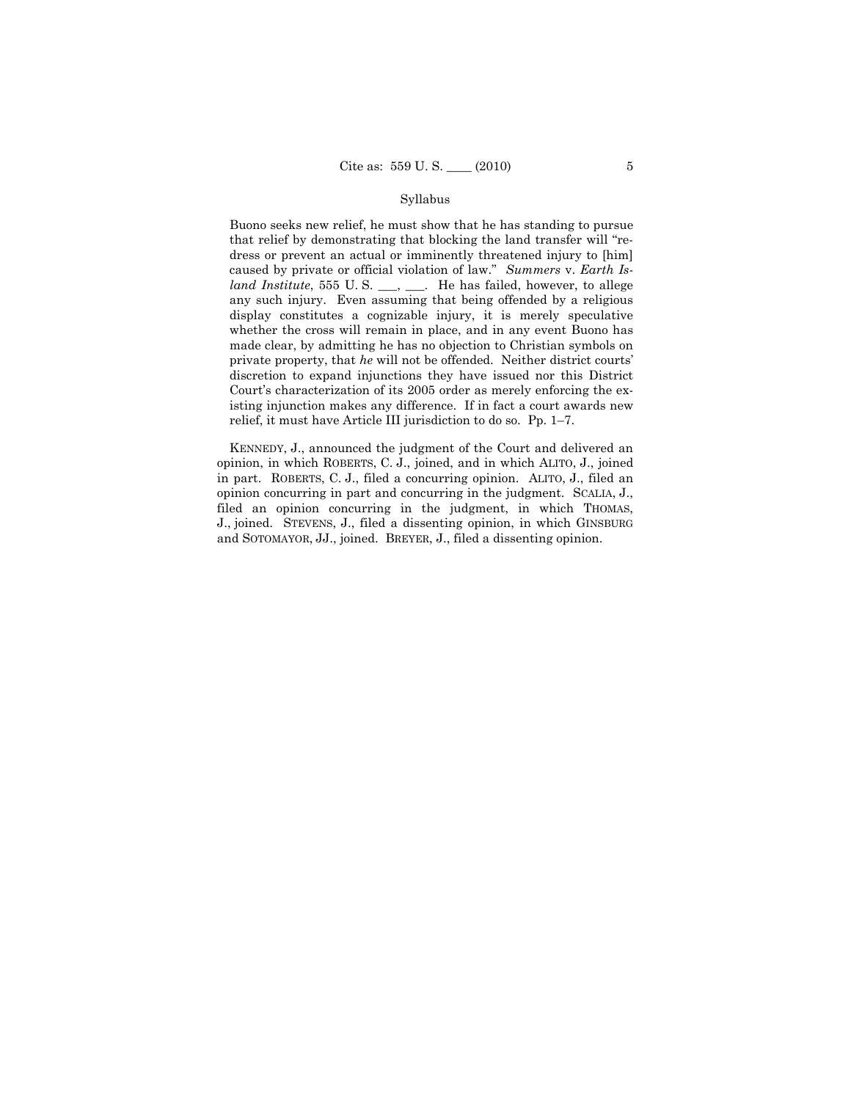Buono seeks new relief, he must show that he has standing to pursue that relief by demonstrating that blocking the land transfer will "redress or prevent an actual or imminently threatened injury to [him] caused by private or official violation of law." *Summers* v. *Earth Island Institute*, 555 U.S. \_\_, \_\_\_. He has failed, however, to allege any such injury. Even assuming that being offended by a religious display constitutes a cognizable injury, it is merely speculative whether the cross will remain in place, and in any event Buono has made clear, by admitting he has no objection to Christian symbols on private property, that *he* will not be offended. Neither district courts' discretion to expand injunctions they have issued nor this District Court's characterization of its 2005 order as merely enforcing the existing injunction makes any difference. If in fact a court awards new relief, it must have Article III jurisdiction to do so. Pp. 1–7.

KENNEDY, J., announced the judgment of the Court and delivered an opinion, in which ROBERTS, C. J., joined, and in which ALITO, J., joined in part. ROBERTS, C. J., filed a concurring opinion. ALITO, J., filed an opinion concurring in part and concurring in the judgment. SCALIA, J., filed an opinion concurring in the judgment, in which THOMAS, J., joined. STEVENS, J., filed a dissenting opinion, in which GINSBURG and SOTOMAYOR, JJ., joined. BREYER, J., filed a dissenting opinion.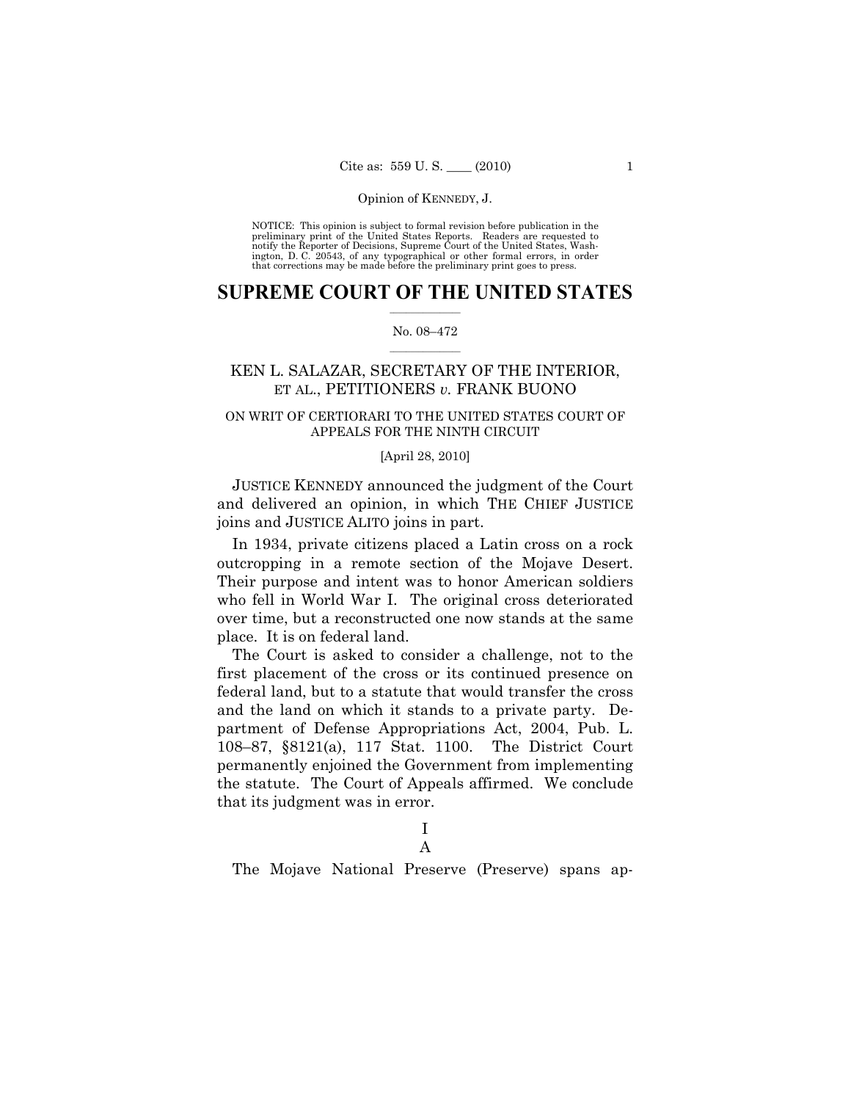#### Opinion of KENNEDY, J.

NOTICE: This opinion is subject to formal revision before publication in the preliminary print of the United States Reports. Readers are requested to notify the Reporter of Decisions, Supreme Court of the United States, Washington, D. C. 20543, of any typographical or other formal errors, in order that corrections may be made before the preliminary print goes to press.

# $\frac{1}{2}$  ,  $\frac{1}{2}$  ,  $\frac{1}{2}$  ,  $\frac{1}{2}$  ,  $\frac{1}{2}$  ,  $\frac{1}{2}$  ,  $\frac{1}{2}$ **SUPREME COURT OF THE UNITED STATES**

#### $\frac{1}{2}$  ,  $\frac{1}{2}$  ,  $\frac{1}{2}$  ,  $\frac{1}{2}$  ,  $\frac{1}{2}$  ,  $\frac{1}{2}$ No. 08–472

# KEN L. SALAZAR, SECRETARY OF THE INTERIOR, ET AL., PETITIONERS *v.* FRANK BUONO

# ON WRIT OF CERTIORARI TO THE UNITED STATES COURT OF APPEALS FOR THE NINTH CIRCUIT

#### [April 28, 2010]

JUSTICE KENNEDY announced the judgment of the Court and delivered an opinion, in which THE CHIEF JUSTICE joins and JUSTICE ALITO joins in part.

In 1934, private citizens placed a Latin cross on a rock outcropping in a remote section of the Mojave Desert. Their purpose and intent was to honor American soldiers who fell in World War I. The original cross deteriorated over time, but a reconstructed one now stands at the same place. It is on federal land.

The Court is asked to consider a challenge, not to the first placement of the cross or its continued presence on federal land, but to a statute that would transfer the cross and the land on which it stands to a private party. Department of Defense Appropriations Act, 2004, Pub. L. 108–87, §8121(a), 117 Stat. 1100. The District Court permanently enjoined the Government from implementing the statute. The Court of Appeals affirmed. We conclude that its judgment was in error.

# I A

The Mojave National Preserve (Preserve) spans ap-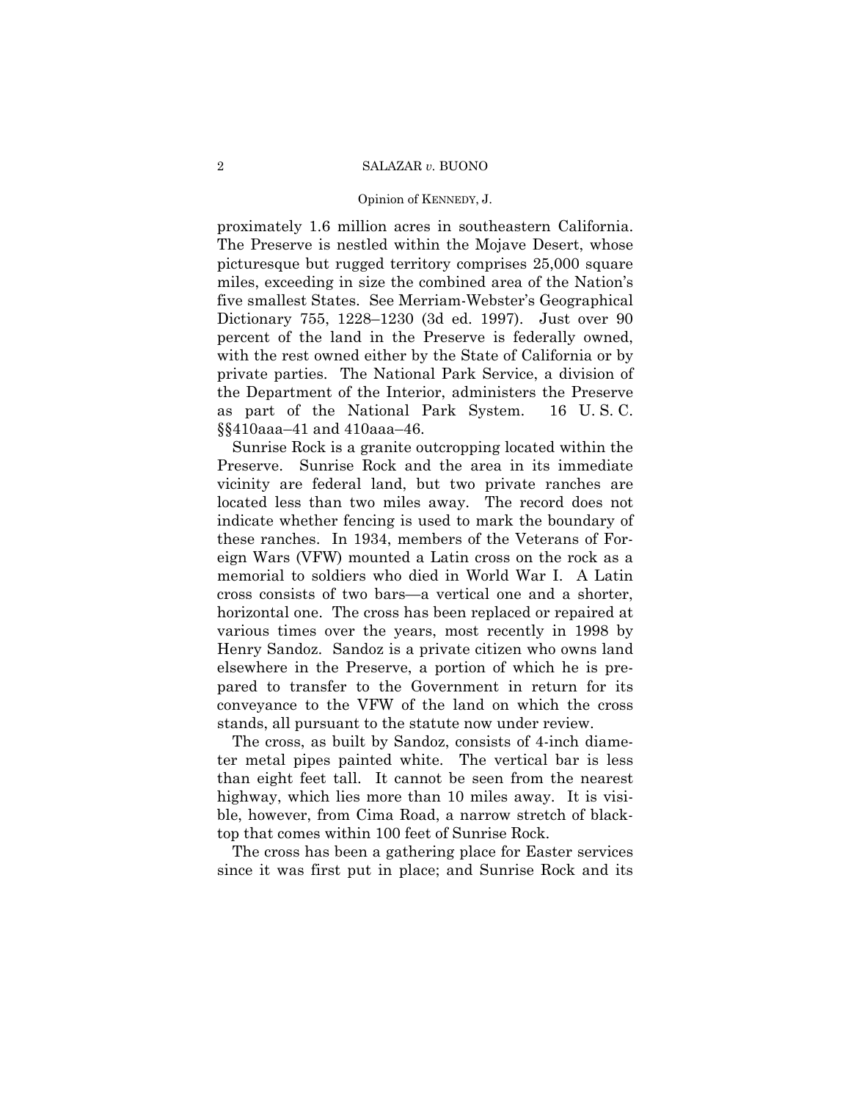#### Opinion of KENNEDY, J.

proximately 1.6 million acres in southeastern California. The Preserve is nestled within the Mojave Desert, whose picturesque but rugged territory comprises 25,000 square miles, exceeding in size the combined area of the Nation's five smallest States. See Merriam-Webster's Geographical Dictionary 755, 1228–1230 (3d ed. 1997). Just over 90 percent of the land in the Preserve is federally owned, with the rest owned either by the State of California or by private parties. The National Park Service, a division of the Department of the Interior, administers the Preserve as part of the National Park System. 16 U. S. C. §§410aaa–41 and 410aaa–46.

Sunrise Rock is a granite outcropping located within the Preserve. Sunrise Rock and the area in its immediate vicinity are federal land, but two private ranches are located less than two miles away. The record does not indicate whether fencing is used to mark the boundary of these ranches. In 1934, members of the Veterans of Foreign Wars (VFW) mounted a Latin cross on the rock as a memorial to soldiers who died in World War I. A Latin cross consists of two bars—a vertical one and a shorter, horizontal one. The cross has been replaced or repaired at various times over the years, most recently in 1998 by Henry Sandoz. Sandoz is a private citizen who owns land elsewhere in the Preserve, a portion of which he is prepared to transfer to the Government in return for its conveyance to the VFW of the land on which the cross stands, all pursuant to the statute now under review.

The cross, as built by Sandoz, consists of 4-inch diameter metal pipes painted white. The vertical bar is less than eight feet tall. It cannot be seen from the nearest highway, which lies more than 10 miles away. It is visible, however, from Cima Road, a narrow stretch of blacktop that comes within 100 feet of Sunrise Rock.

The cross has been a gathering place for Easter services since it was first put in place; and Sunrise Rock and its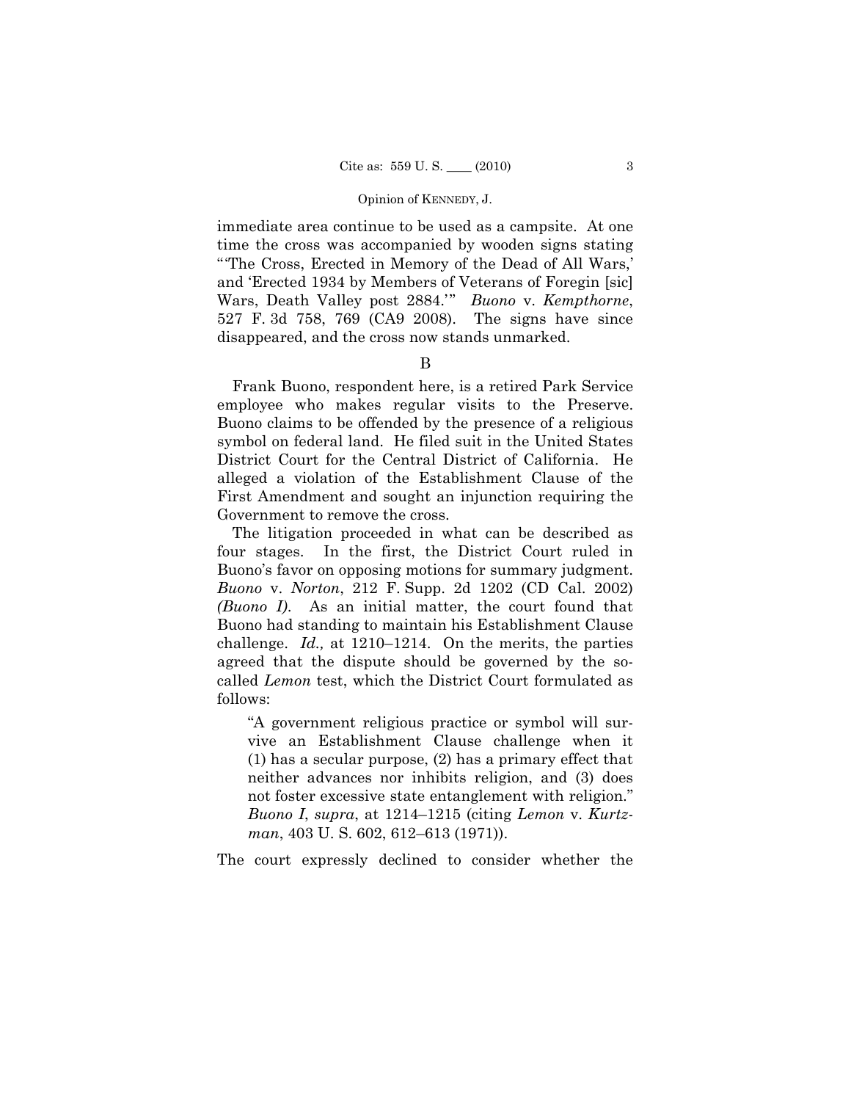#### Opinion of KENNEDY, J.

immediate area continue to be used as a campsite. At one time the cross was accompanied by wooden signs stating "'The Cross, Erected in Memory of the Dead of All Wars,' and 'Erected 1934 by Members of Veterans of Foregin [sic] Wars, Death Valley post 2884.'" *Buono* v. *Kempthorne*, 527 F. 3d 758, 769 (CA9 2008). The signs have since disappeared, and the cross now stands unmarked.

B

Frank Buono, respondent here, is a retired Park Service employee who makes regular visits to the Preserve. Buono claims to be offended by the presence of a religious symbol on federal land. He filed suit in the United States District Court for the Central District of California. He alleged a violation of the Establishment Clause of the First Amendment and sought an injunction requiring the Government to remove the cross.

The litigation proceeded in what can be described as four stages. In the first, the District Court ruled in Buono's favor on opposing motions for summary judgment. *Buono* v. *Norton*, 212 F. Supp. 2d 1202 (CD Cal. 2002) *(Buono I)*. As an initial matter, the court found that Buono had standing to maintain his Establishment Clause challenge. *Id.,* at 1210–1214. On the merits, the parties agreed that the dispute should be governed by the socalled *Lemon* test, which the District Court formulated as follows:

"A government religious practice or symbol will survive an Establishment Clause challenge when it (1) has a secular purpose, (2) has a primary effect that neither advances nor inhibits religion, and (3) does not foster excessive state entanglement with religion." *Buono I*, *supra*, at 1214–1215 (citing *Lemon* v. *Kurtzman*, 403 U. S. 602, 612–613 (1971)).

The court expressly declined to consider whether the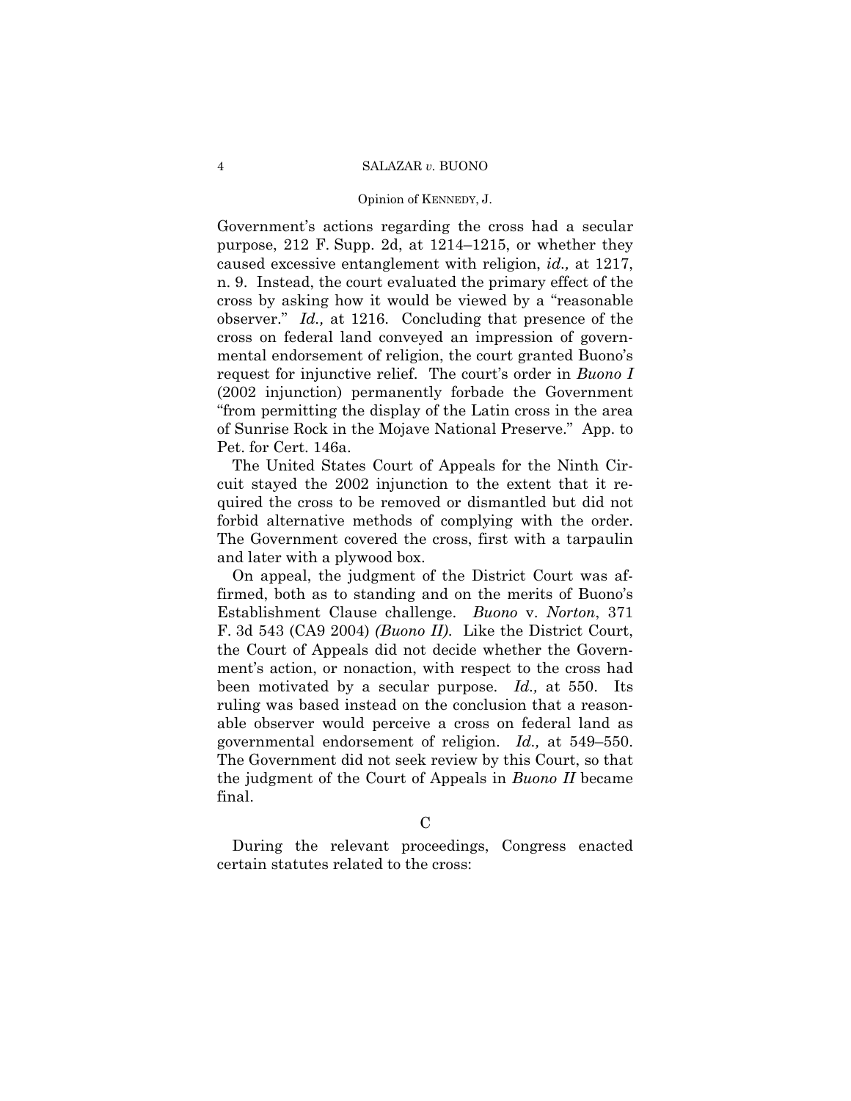#### Opinion of KENNEDY, J.

Government's actions regarding the cross had a secular purpose, 212 F. Supp. 2d, at 1214–1215, or whether they caused excessive entanglement with religion, *id.,* at 1217, n. 9. Instead, the court evaluated the primary effect of the cross by asking how it would be viewed by a "reasonable observer." *Id.,* at 1216. Concluding that presence of the cross on federal land conveyed an impression of governmental endorsement of religion, the court granted Buono's request for injunctive relief. The court's order in *Buono I*  (2002 injunction) permanently forbade the Government "from permitting the display of the Latin cross in the area of Sunrise Rock in the Mojave National Preserve." App. to Pet. for Cert. 146a.

The United States Court of Appeals for the Ninth Circuit stayed the 2002 injunction to the extent that it required the cross to be removed or dismantled but did not forbid alternative methods of complying with the order. The Government covered the cross, first with a tarpaulin and later with a plywood box.

On appeal, the judgment of the District Court was affirmed, both as to standing and on the merits of Buono's Establishment Clause challenge. *Buono* v. *Norton*, 371 F. 3d 543 (CA9 2004) *(Buono II)*. Like the District Court, the Court of Appeals did not decide whether the Government's action, or nonaction, with respect to the cross had been motivated by a secular purpose. *Id.,* at 550. Its ruling was based instead on the conclusion that a reasonable observer would perceive a cross on federal land as governmental endorsement of religion. *Id.,* at 549–550. The Government did not seek review by this Court, so that the judgment of the Court of Appeals in *Buono II* became final.

C

During the relevant proceedings, Congress enacted certain statutes related to the cross: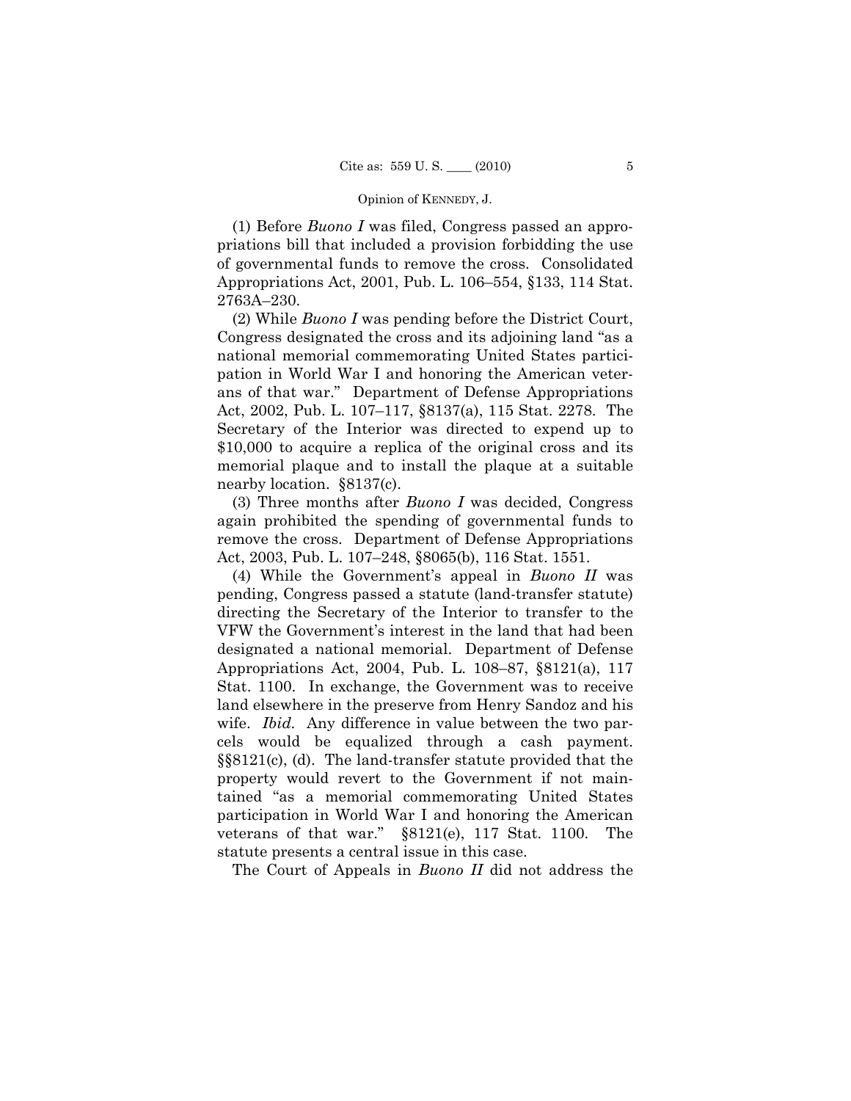#### Opinion of KENNEDY, J.

(1) Before *Buono I* was filed, Congress passed an appropriations bill that included a provision forbidding the use of governmental funds to remove the cross. Consolidated Appropriations Act, 2001, Pub. L. 106–554, §133, 114 Stat. 2763A–230.

(2) While *Buono I* was pending before the District Court, Congress designated the cross and its adjoining land "as a national memorial commemorating United States participation in World War I and honoring the American veterans of that war." Department of Defense Appropriations Act, 2002, Pub. L. 107–117, §8137(a), 115 Stat. 2278. The Secretary of the Interior was directed to expend up to \$10,000 to acquire a replica of the original cross and its memorial plaque and to install the plaque at a suitable nearby location. §8137(c).

(3) Three months after *Buono I* was decided, Congress again prohibited the spending of governmental funds to remove the cross. Department of Defense Appropriations Act, 2003, Pub. L. 107–248, §8065(b), 116 Stat. 1551.

(4) While the Government's appeal in *Buono II* was pending, Congress passed a statute (land-transfer statute) directing the Secretary of the Interior to transfer to the VFW the Government's interest in the land that had been designated a national memorial. Department of Defense Appropriations Act, 2004, Pub. L. 108–87, §8121(a), 117 Stat. 1100. In exchange, the Government was to receive land elsewhere in the preserve from Henry Sandoz and his wife. *Ibid.* Any difference in value between the two parcels would be equalized through a cash payment. §§8121(c), (d). The land-transfer statute provided that the property would revert to the Government if not maintained "as a memorial commemorating United States participation in World War I and honoring the American veterans of that war." §8121(e), 117 Stat. 1100. The statute presents a central issue in this case.

The Court of Appeals in *Buono II* did not address the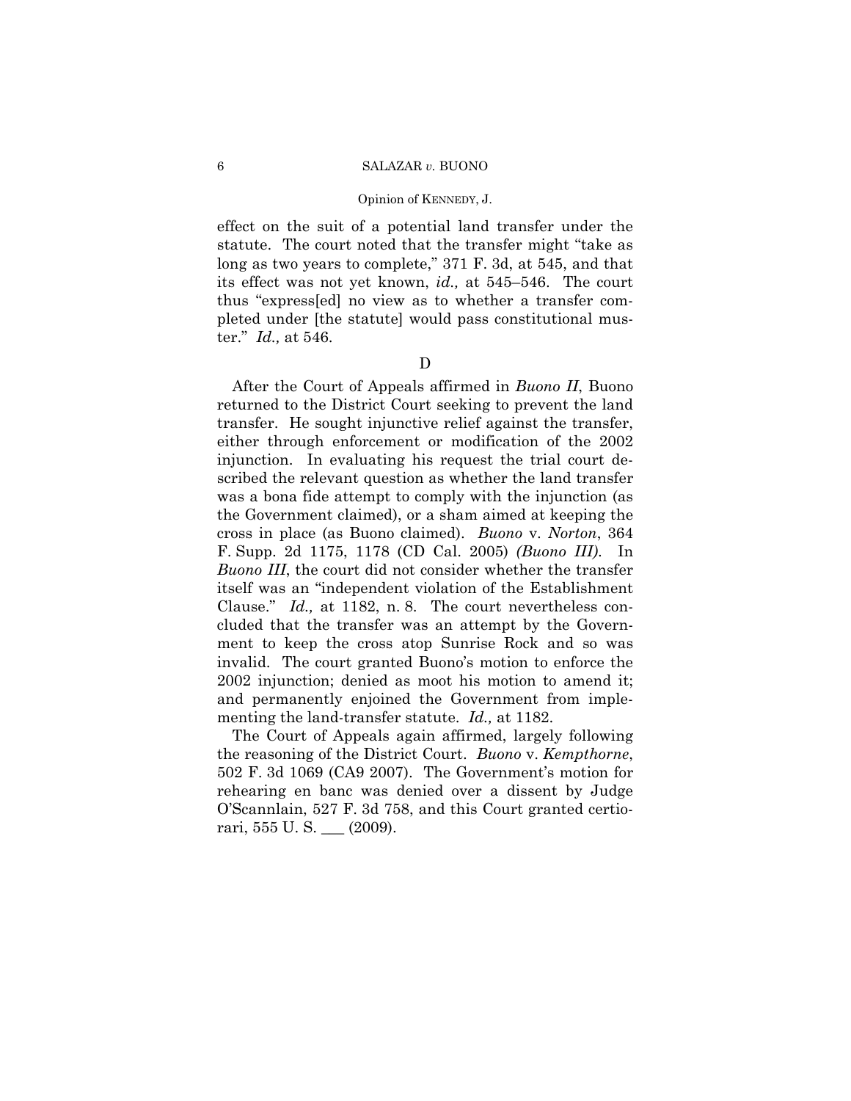#### Opinion of KENNEDY, J.

effect on the suit of a potential land transfer under the statute. The court noted that the transfer might "take as long as two years to complete," 371 F. 3d, at 545, and that its effect was not yet known, *id.,* at 545–546. The court thus "express[ed] no view as to whether a transfer completed under [the statute] would pass constitutional muster." *Id.,* at 546.

D

After the Court of Appeals affirmed in *Buono II*, Buono returned to the District Court seeking to prevent the land transfer. He sought injunctive relief against the transfer, either through enforcement or modification of the 2002 injunction. In evaluating his request the trial court described the relevant question as whether the land transfer was a bona fide attempt to comply with the injunction (as the Government claimed), or a sham aimed at keeping the cross in place (as Buono claimed). *Buono* v. *Norton*, 364 F. Supp. 2d 1175, 1178 (CD Cal. 2005) *(Buono III)*. In *Buono III*, the court did not consider whether the transfer itself was an "independent violation of the Establishment Clause." *Id.,* at 1182, n. 8. The court nevertheless concluded that the transfer was an attempt by the Government to keep the cross atop Sunrise Rock and so was invalid. The court granted Buono's motion to enforce the 2002 injunction; denied as moot his motion to amend it; and permanently enjoined the Government from implementing the land-transfer statute. *Id.,* at 1182.

The Court of Appeals again affirmed, largely following the reasoning of the District Court. *Buono* v. *Kempthorne*, 502 F. 3d 1069 (CA9 2007). The Government's motion for rehearing en banc was denied over a dissent by Judge O'Scannlain, 527 F. 3d 758, and this Court granted certiorari, 555 U. S. \_\_\_ (2009).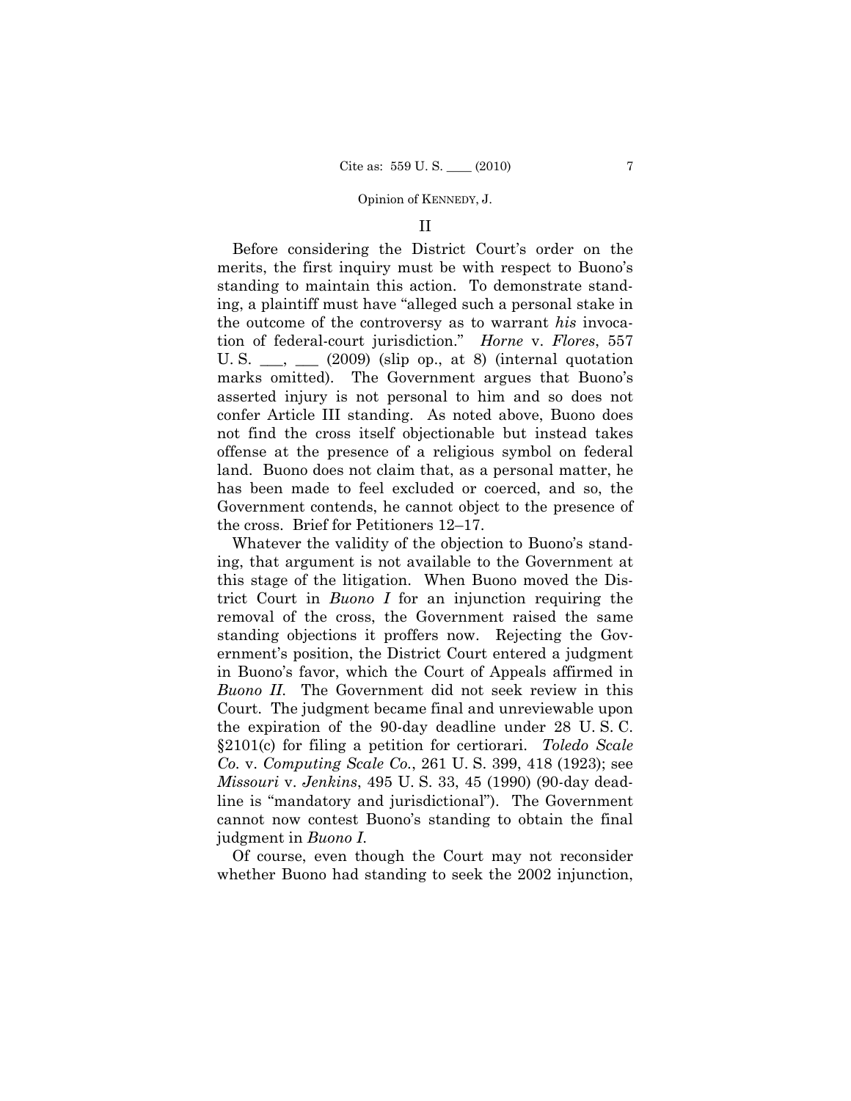#### Opinion of KENNEDY, J.

# II

Before considering the District Court's order on the merits, the first inquiry must be with respect to Buono's standing to maintain this action. To demonstrate standing, a plaintiff must have "alleged such a personal stake in the outcome of the controversy as to warrant *his* invocation of federal-court jurisdiction." *Horne* v. *Flores*, 557 U. S.  $\_\_\_\_\_\_\_\_\_\$  (2009) (slip op., at 8) (internal quotation marks omitted). The Government argues that Buono's asserted injury is not personal to him and so does not confer Article III standing. As noted above, Buono does not find the cross itself objectionable but instead takes offense at the presence of a religious symbol on federal land. Buono does not claim that, as a personal matter, he has been made to feel excluded or coerced, and so, the Government contends, he cannot object to the presence of the cross. Brief for Petitioners 12–17.

Whatever the validity of the objection to Buono's standing, that argument is not available to the Government at this stage of the litigation. When Buono moved the District Court in *Buono I* for an injunction requiring the removal of the cross, the Government raised the same standing objections it proffers now. Rejecting the Government's position, the District Court entered a judgment in Buono's favor, which the Court of Appeals affirmed in *Buono II*. The Government did not seek review in this Court. The judgment became final and unreviewable upon the expiration of the 90-day deadline under 28 U. S. C. §2101(c) for filing a petition for certiorari. *Toledo Scale Co.* v. *Computing Scale Co.*, 261 U. S. 399, 418 (1923); see *Missouri* v. *Jenkins*, 495 U. S. 33, 45 (1990) (90-day deadline is "mandatory and jurisdictional"). The Government cannot now contest Buono's standing to obtain the final judgment in *Buono I*.

Of course, even though the Court may not reconsider whether Buono had standing to seek the 2002 injunction,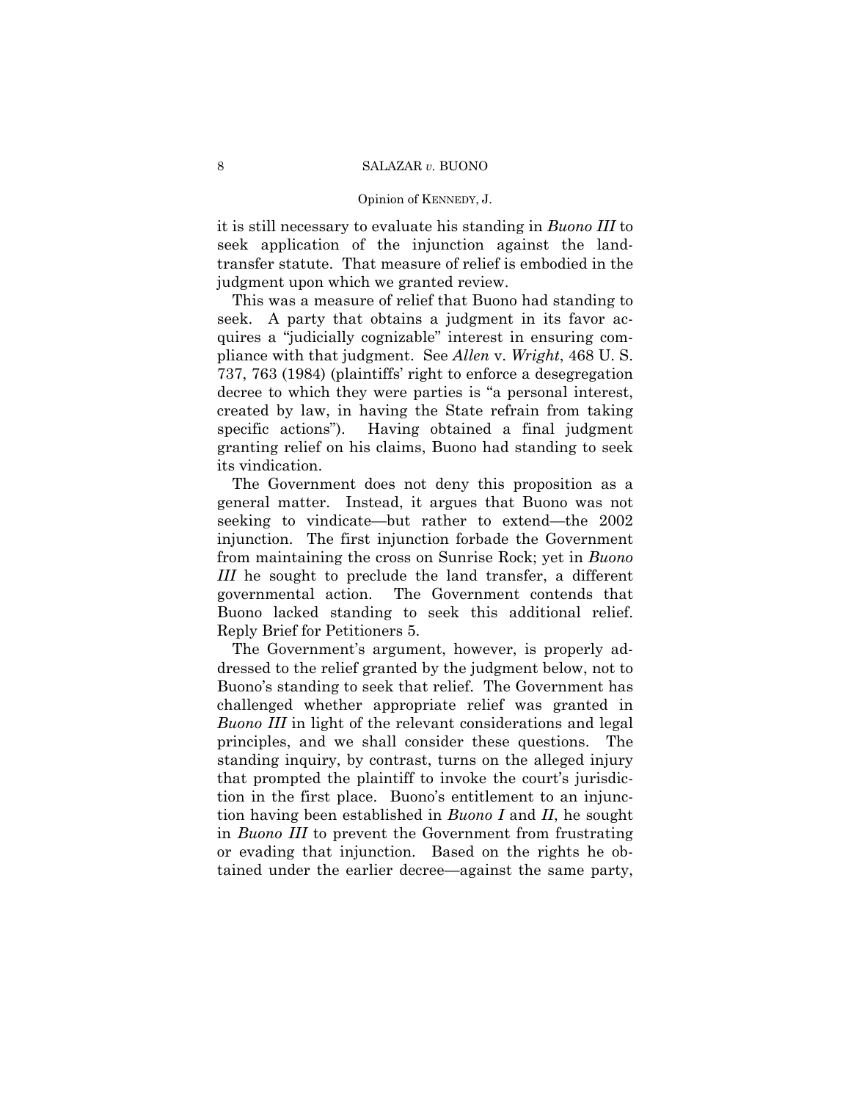#### Opinion of KENNEDY, J.

it is still necessary to evaluate his standing in *Buono III* to seek application of the injunction against the landtransfer statute. That measure of relief is embodied in the judgment upon which we granted review.

This was a measure of relief that Buono had standing to seek. A party that obtains a judgment in its favor acquires a "judicially cognizable" interest in ensuring compliance with that judgment. See *Allen* v. *Wright*, 468 U. S. 737, 763 (1984) (plaintiffs' right to enforce a desegregation decree to which they were parties is "a personal interest, created by law, in having the State refrain from taking specific actions"). Having obtained a final judgment granting relief on his claims, Buono had standing to seek its vindication.

The Government does not deny this proposition as a general matter. Instead, it argues that Buono was not seeking to vindicate—but rather to extend—the 2002 injunction. The first injunction forbade the Government from maintaining the cross on Sunrise Rock; yet in *Buono III* he sought to preclude the land transfer, a different governmental action. The Government contends that Buono lacked standing to seek this additional relief. Reply Brief for Petitioners 5.

The Government's argument, however, is properly addressed to the relief granted by the judgment below, not to Buono's standing to seek that relief. The Government has challenged whether appropriate relief was granted in *Buono III* in light of the relevant considerations and legal principles, and we shall consider these questions. The standing inquiry, by contrast, turns on the alleged injury that prompted the plaintiff to invoke the court's jurisdiction in the first place. Buono's entitlement to an injunction having been established in *Buono I* and *II*, he sought in *Buono III* to prevent the Government from frustrating or evading that injunction. Based on the rights he obtained under the earlier decree—against the same party,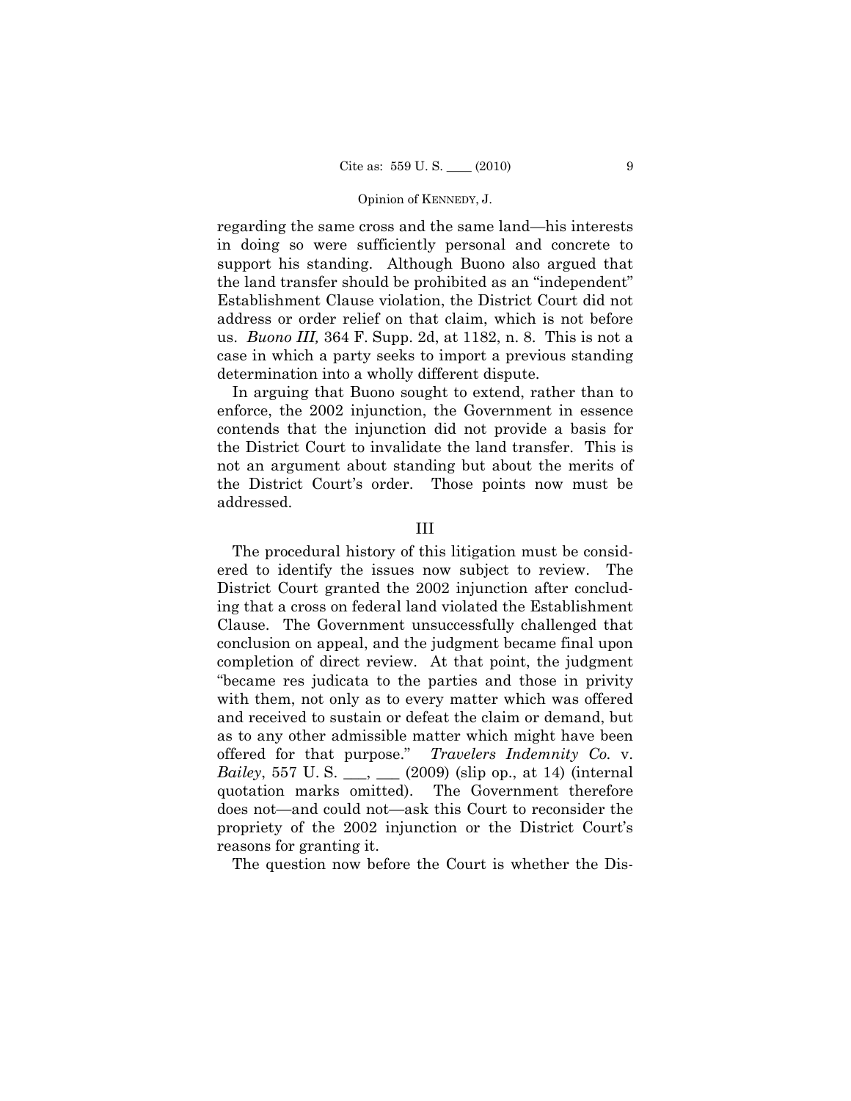#### Opinion of KENNEDY, J.

regarding the same cross and the same land—his interests in doing so were sufficiently personal and concrete to support his standing. Although Buono also argued that the land transfer should be prohibited as an "independent" Establishment Clause violation, the District Court did not address or order relief on that claim, which is not before us. *Buono III,* 364 F. Supp. 2d, at 1182, n. 8. This is not a case in which a party seeks to import a previous standing determination into a wholly different dispute.

In arguing that Buono sought to extend, rather than to enforce, the 2002 injunction, the Government in essence contends that the injunction did not provide a basis for the District Court to invalidate the land transfer. This is not an argument about standing but about the merits of the District Court's order. Those points now must be addressed.

# III

The procedural history of this litigation must be considered to identify the issues now subject to review. The District Court granted the 2002 injunction after concluding that a cross on federal land violated the Establishment Clause. The Government unsuccessfully challenged that conclusion on appeal, and the judgment became final upon completion of direct review. At that point, the judgment "became res judicata to the parties and those in privity with them, not only as to every matter which was offered and received to sustain or defeat the claim or demand, but as to any other admissible matter which might have been offered for that purpose." *Travelers Indemnity Co.* v. *Bailey*, 557 U.S. \_\_, \_\_ (2009) (slip op., at 14) (internal quotation marks omitted). The Government therefore does not—and could not—ask this Court to reconsider the propriety of the 2002 injunction or the District Court's reasons for granting it.

The question now before the Court is whether the Dis-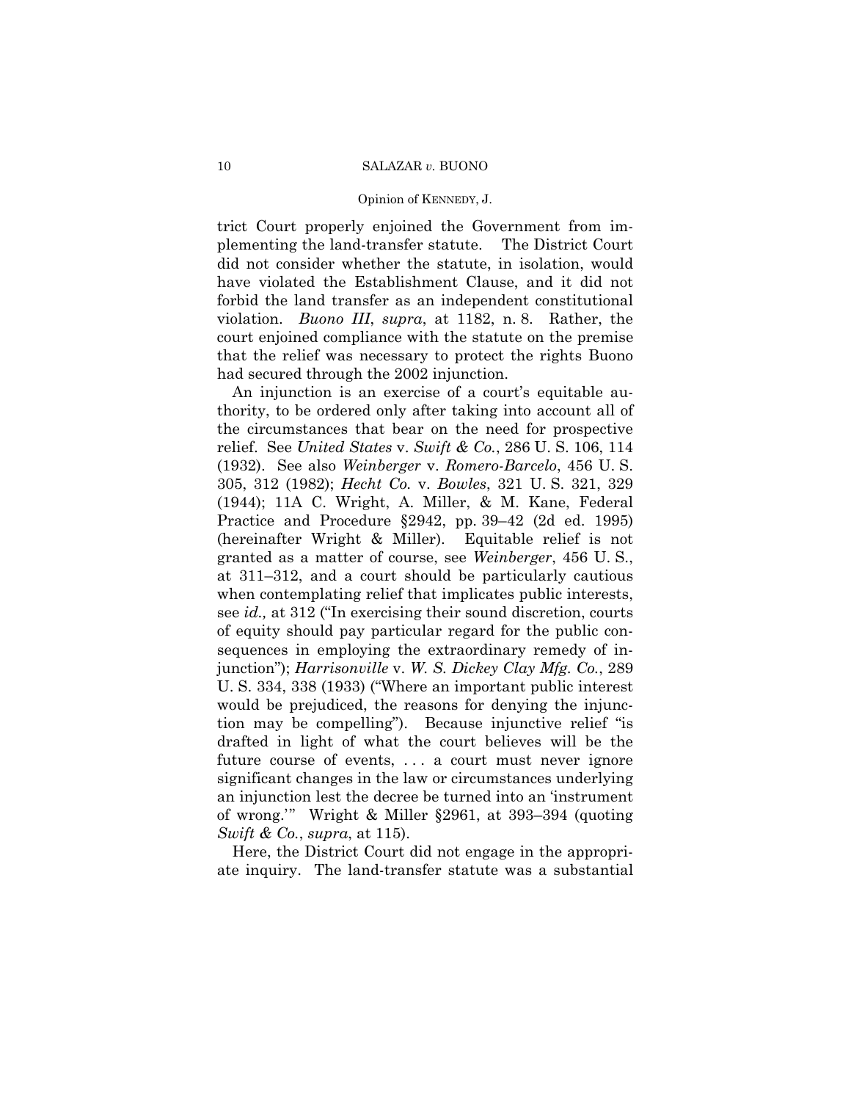#### Opinion of KENNEDY, J.

trict Court properly enjoined the Government from implementing the land-transfer statute. The District Court did not consider whether the statute, in isolation, would have violated the Establishment Clause, and it did not forbid the land transfer as an independent constitutional violation. *Buono III*, *supra*, at 1182, n. 8. Rather, the court enjoined compliance with the statute on the premise that the relief was necessary to protect the rights Buono had secured through the 2002 injunction.

An injunction is an exercise of a court's equitable authority, to be ordered only after taking into account all of the circumstances that bear on the need for prospective relief. See *United States* v. *Swift & Co.*, 286 U. S. 106, 114 (1932). See also *Weinberger* v. *Romero-Barcelo*, 456 U. S. 305, 312 (1982); *Hecht Co.* v. *Bowles*, 321 U. S. 321, 329 (1944); 11A C. Wright, A. Miller, & M. Kane, Federal Practice and Procedure §2942, pp. 39–42 (2d ed. 1995) (hereinafter Wright & Miller). Equitable relief is not granted as a matter of course, see *Weinberger*, 456 U. S., at 311–312, and a court should be particularly cautious when contemplating relief that implicates public interests, see *id.,* at 312 ("In exercising their sound discretion, courts of equity should pay particular regard for the public consequences in employing the extraordinary remedy of injunction"); *Harrisonville* v. *W. S. Dickey Clay Mfg. Co.*, 289 U. S. 334, 338 (1933) ("Where an important public interest would be prejudiced, the reasons for denying the injunction may be compelling"). Because injunctive relief "is drafted in light of what the court believes will be the future course of events, . . . a court must never ignore significant changes in the law or circumstances underlying an injunction lest the decree be turned into an 'instrument of wrong.'" Wright & Miller §2961, at 393–394 (quoting *Swift & Co.*, *supra*, at 115).

Here, the District Court did not engage in the appropriate inquiry. The land-transfer statute was a substantial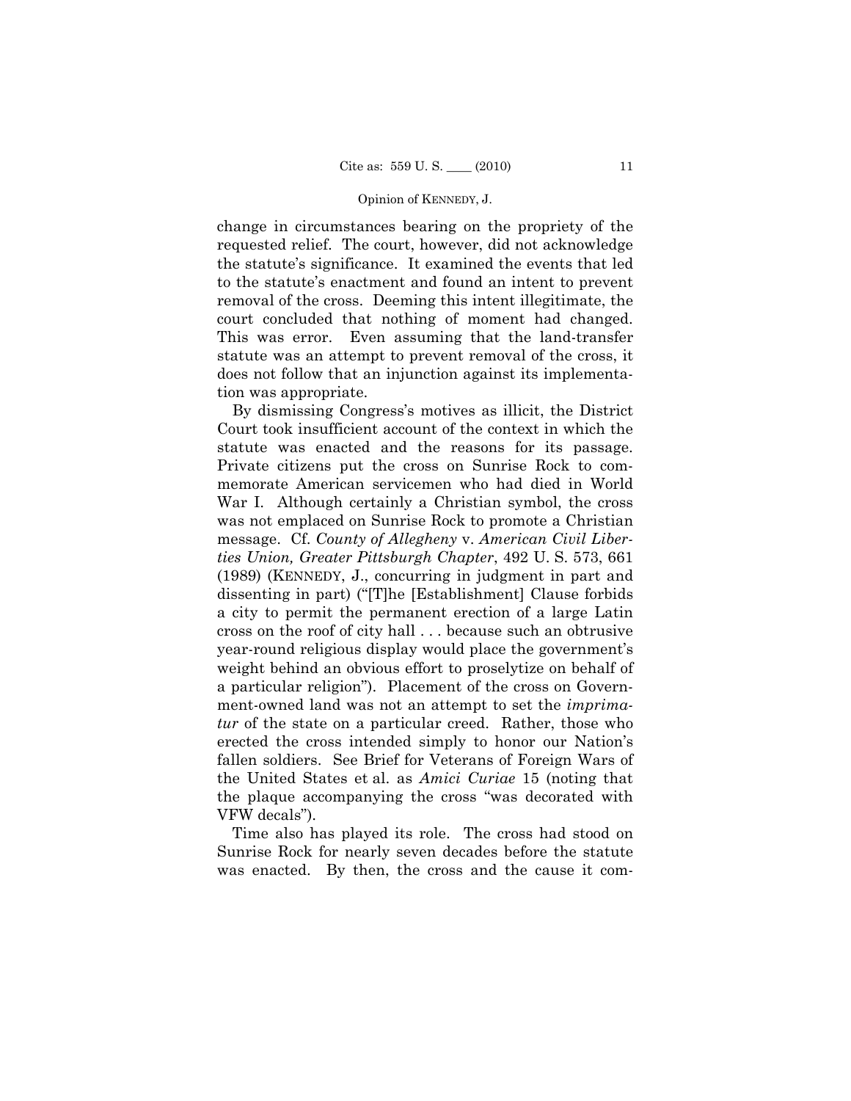#### Opinion of KENNEDY, J.

change in circumstances bearing on the propriety of the requested relief. The court, however, did not acknowledge the statute's significance. It examined the events that led to the statute's enactment and found an intent to prevent removal of the cross. Deeming this intent illegitimate, the court concluded that nothing of moment had changed. This was error. Even assuming that the land-transfer statute was an attempt to prevent removal of the cross, it does not follow that an injunction against its implementation was appropriate.

By dismissing Congress's motives as illicit, the District Court took insufficient account of the context in which the statute was enacted and the reasons for its passage. Private citizens put the cross on Sunrise Rock to commemorate American servicemen who had died in World War I. Although certainly a Christian symbol, the cross was not emplaced on Sunrise Rock to promote a Christian message. Cf. *County of Allegheny* v. *American Civil Liberties Union, Greater Pittsburgh Chapter*, 492 U. S. 573, 661 (1989) (KENNEDY, J., concurring in judgment in part and dissenting in part) ("[T]he [Establishment] Clause forbids a city to permit the permanent erection of a large Latin cross on the roof of city hall . . . because such an obtrusive year-round religious display would place the government's weight behind an obvious effort to proselytize on behalf of a particular religion"). Placement of the cross on Government-owned land was not an attempt to set the *imprimatur* of the state on a particular creed. Rather, those who erected the cross intended simply to honor our Nation's fallen soldiers. See Brief for Veterans of Foreign Wars of the United States et al. as *Amici Curiae* 15 (noting that the plaque accompanying the cross "was decorated with VFW decals").

Time also has played its role. The cross had stood on Sunrise Rock for nearly seven decades before the statute was enacted. By then, the cross and the cause it com-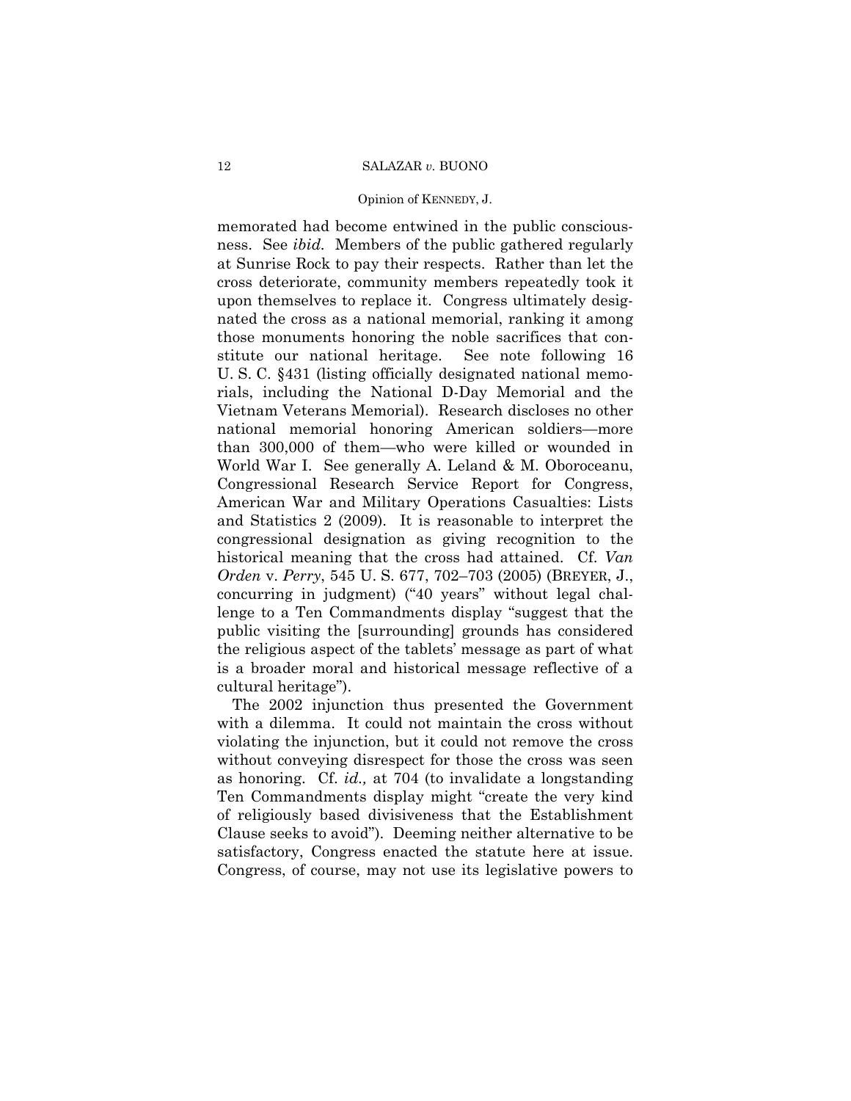#### Opinion of KENNEDY, J.

memorated had become entwined in the public consciousness. See *ibid.* Members of the public gathered regularly at Sunrise Rock to pay their respects. Rather than let the cross deteriorate, community members repeatedly took it upon themselves to replace it. Congress ultimately designated the cross as a national memorial, ranking it among those monuments honoring the noble sacrifices that constitute our national heritage. See note following 16 U. S. C. §431 (listing officially designated national memorials, including the National D-Day Memorial and the Vietnam Veterans Memorial). Research discloses no other national memorial honoring American soldiers—more than 300,000 of them—who were killed or wounded in World War I. See generally A. Leland & M. Oboroceanu, Congressional Research Service Report for Congress, American War and Military Operations Casualties: Lists and Statistics 2 (2009). It is reasonable to interpret the congressional designation as giving recognition to the historical meaning that the cross had attained. Cf. *Van Orden* v. *Perry*, 545 U. S. 677, 702–703 (2005) (BREYER, J., concurring in judgment) ("40 years" without legal challenge to a Ten Commandments display "suggest that the public visiting the [surrounding] grounds has considered the religious aspect of the tablets' message as part of what is a broader moral and historical message reflective of a cultural heritage").

The 2002 injunction thus presented the Government with a dilemma. It could not maintain the cross without violating the injunction, but it could not remove the cross without conveying disrespect for those the cross was seen as honoring. Cf. *id.,* at 704 (to invalidate a longstanding Ten Commandments display might "create the very kind of religiously based divisiveness that the Establishment Clause seeks to avoid"). Deeming neither alternative to be satisfactory, Congress enacted the statute here at issue. Congress, of course, may not use its legislative powers to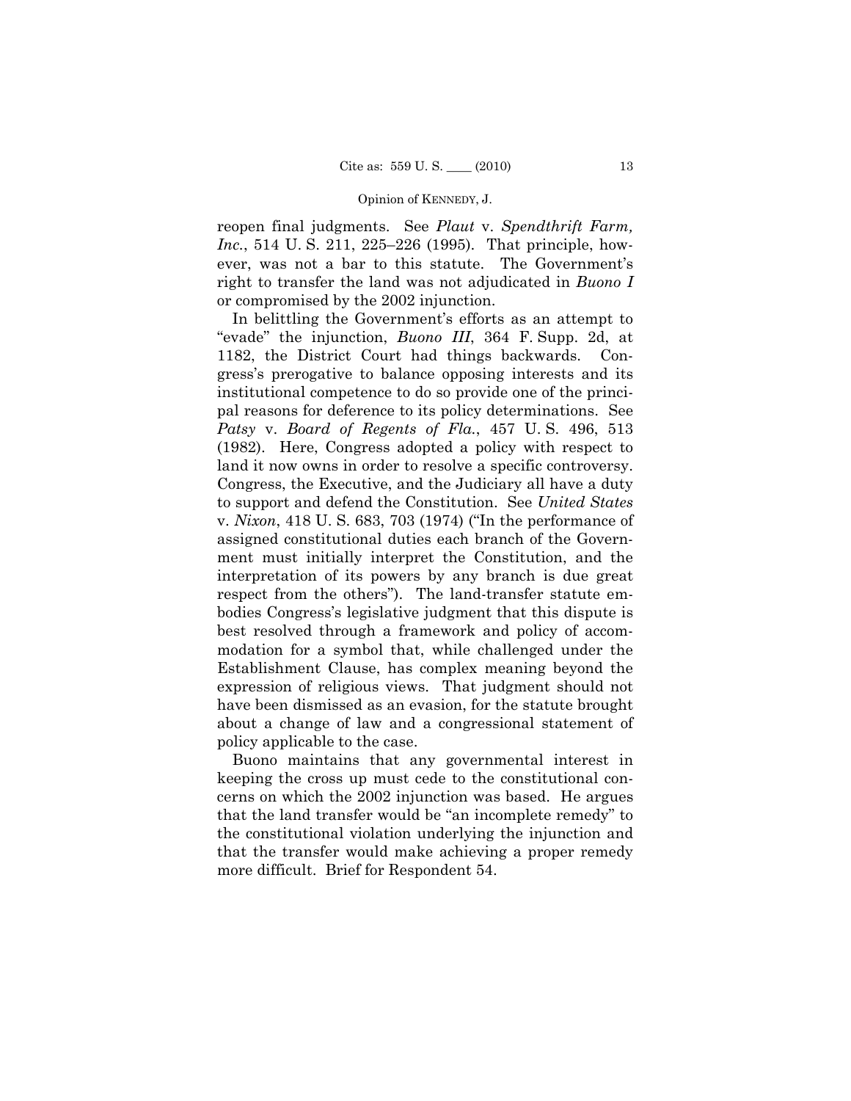#### Opinion of KENNEDY, J.

reopen final judgments. See *Plaut* v. *Spendthrift Farm, Inc.*, 514 U. S. 211, 225–226 (1995). That principle, however, was not a bar to this statute. The Government's right to transfer the land was not adjudicated in *Buono I*  or compromised by the 2002 injunction.

In belittling the Government's efforts as an attempt to "evade" the injunction, *Buono III*, 364 F. Supp. 2d, at 1182, the District Court had things backwards. Congress's prerogative to balance opposing interests and its institutional competence to do so provide one of the principal reasons for deference to its policy determinations. See *Patsy* v. *Board of Regents of Fla.*, 457 U. S. 496, 513 (1982). Here, Congress adopted a policy with respect to land it now owns in order to resolve a specific controversy. Congress, the Executive, and the Judiciary all have a duty to support and defend the Constitution. See *United States*  v. *Nixon*, 418 U. S. 683, 703 (1974) ("In the performance of assigned constitutional duties each branch of the Government must initially interpret the Constitution, and the interpretation of its powers by any branch is due great respect from the others"). The land-transfer statute embodies Congress's legislative judgment that this dispute is best resolved through a framework and policy of accommodation for a symbol that, while challenged under the Establishment Clause, has complex meaning beyond the expression of religious views. That judgment should not have been dismissed as an evasion, for the statute brought about a change of law and a congressional statement of policy applicable to the case.

Buono maintains that any governmental interest in keeping the cross up must cede to the constitutional concerns on which the 2002 injunction was based. He argues that the land transfer would be "an incomplete remedy" to the constitutional violation underlying the injunction and that the transfer would make achieving a proper remedy more difficult. Brief for Respondent 54.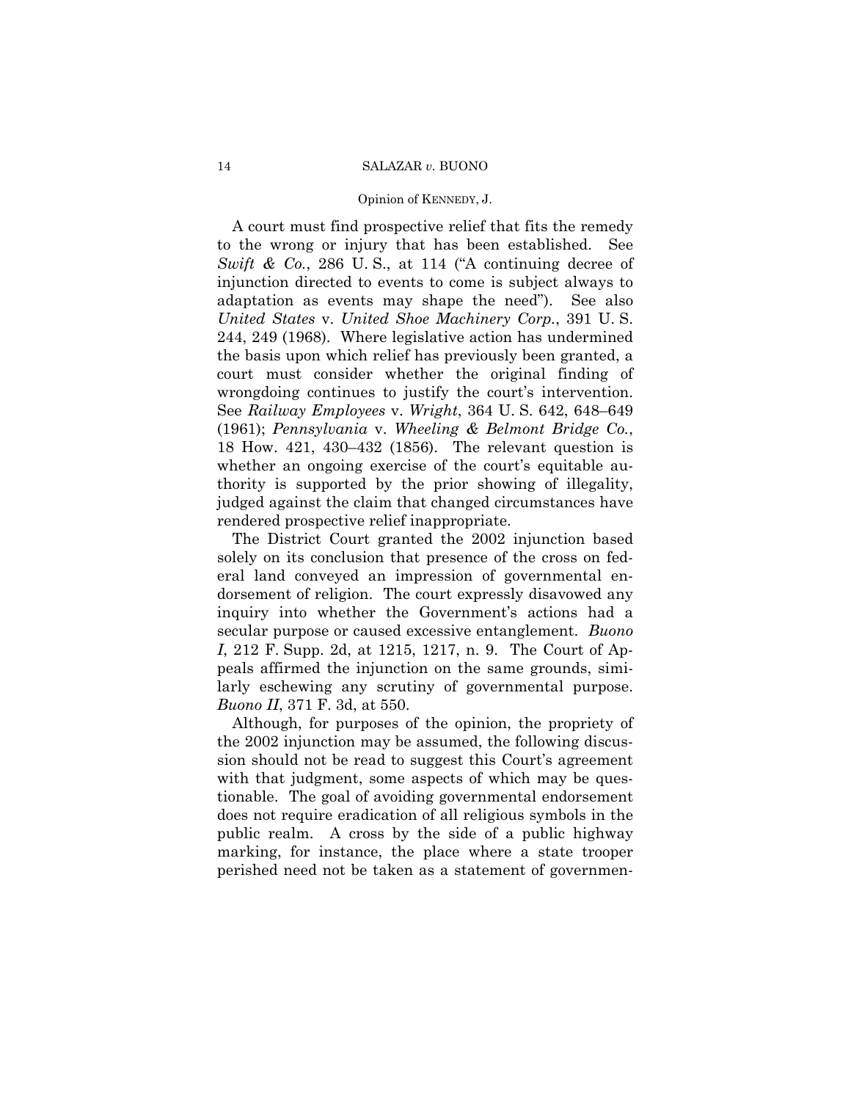#### Opinion of KENNEDY, J.

A court must find prospective relief that fits the remedy to the wrong or injury that has been established. See *Swift & Co.*, 286 U. S., at 114 ("A continuing decree of injunction directed to events to come is subject always to adaptation as events may shape the need"). See also *United States* v. *United Shoe Machinery Corp.*, 391 U. S. 244, 249 (1968). Where legislative action has undermined the basis upon which relief has previously been granted, a court must consider whether the original finding of wrongdoing continues to justify the court's intervention. See *Railway Employees* v. *Wright*, 364 U. S. 642, 648–649 (1961); *Pennsylvania* v. *Wheeling & Belmont Bridge Co.*, 18 How. 421, 430–432 (1856). The relevant question is whether an ongoing exercise of the court's equitable authority is supported by the prior showing of illegality, judged against the claim that changed circumstances have rendered prospective relief inappropriate.

The District Court granted the 2002 injunction based solely on its conclusion that presence of the cross on federal land conveyed an impression of governmental endorsement of religion. The court expressly disavowed any inquiry into whether the Government's actions had a secular purpose or caused excessive entanglement. *Buono I*, 212 F. Supp. 2d, at 1215, 1217, n. 9. The Court of Appeals affirmed the injunction on the same grounds, similarly eschewing any scrutiny of governmental purpose. *Buono II*, 371 F. 3d, at 550.

Although, for purposes of the opinion, the propriety of the 2002 injunction may be assumed, the following discussion should not be read to suggest this Court's agreement with that judgment, some aspects of which may be questionable. The goal of avoiding governmental endorsement does not require eradication of all religious symbols in the public realm. A cross by the side of a public highway marking, for instance, the place where a state trooper perished need not be taken as a statement of governmen-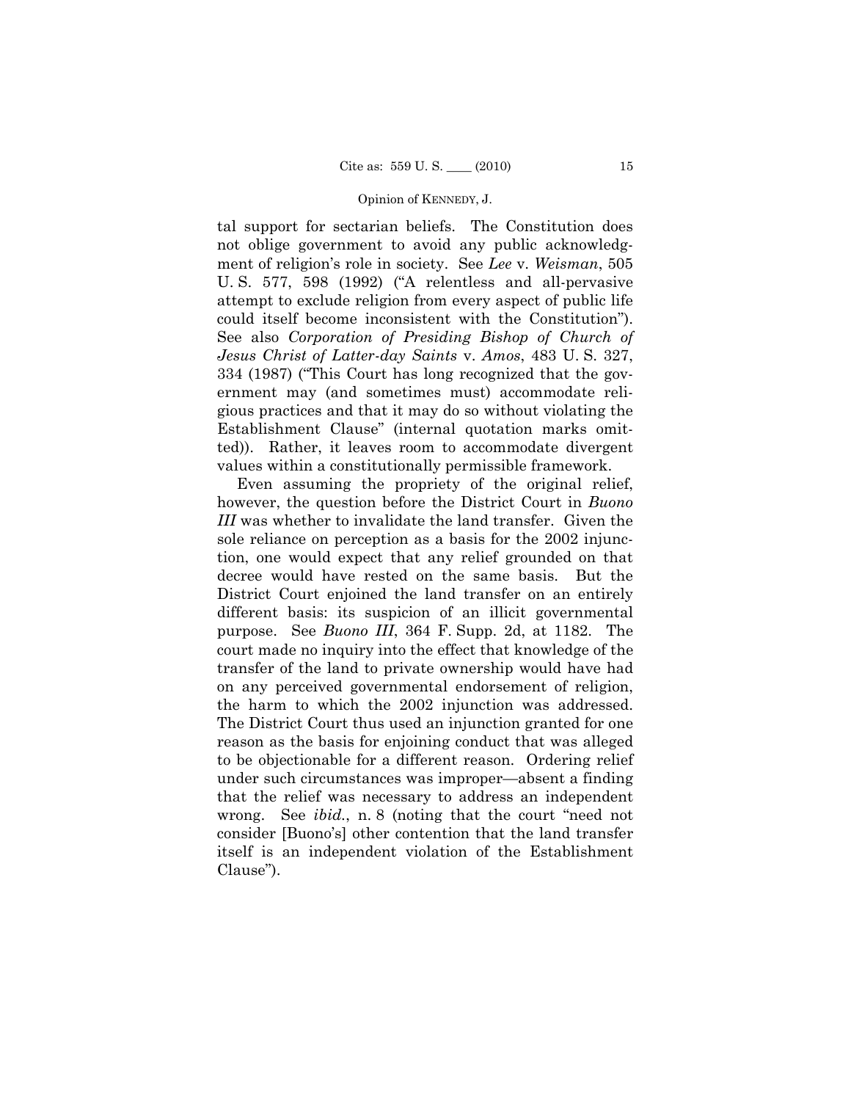#### Opinion of KENNEDY, J.

tal support for sectarian beliefs. The Constitution does not oblige government to avoid any public acknowledgment of religion's role in society. See *Lee* v. *Weisman*, 505 U. S. 577, 598 (1992) ("A relentless and all-pervasive attempt to exclude religion from every aspect of public life could itself become inconsistent with the Constitution"). See also *Corporation of Presiding Bishop of Church of Jesus Christ of Latter-day Saints* v. *Amos*, 483 U. S. 327, 334 (1987) ("This Court has long recognized that the government may (and sometimes must) accommodate religious practices and that it may do so without violating the Establishment Clause" (internal quotation marks omitted)). Rather, it leaves room to accommodate divergent values within a constitutionally permissible framework.

Even assuming the propriety of the original relief, however, the question before the District Court in *Buono III* was whether to invalidate the land transfer. Given the sole reliance on perception as a basis for the 2002 injunction, one would expect that any relief grounded on that decree would have rested on the same basis. But the District Court enjoined the land transfer on an entirely different basis: its suspicion of an illicit governmental purpose. See *Buono III*, 364 F. Supp. 2d, at 1182. The court made no inquiry into the effect that knowledge of the transfer of the land to private ownership would have had on any perceived governmental endorsement of religion, the harm to which the 2002 injunction was addressed. The District Court thus used an injunction granted for one reason as the basis for enjoining conduct that was alleged to be objectionable for a different reason. Ordering relief under such circumstances was improper—absent a finding that the relief was necessary to address an independent wrong. See *ibid.*, n. 8 (noting that the court "need not consider [Buono's] other contention that the land transfer itself is an independent violation of the Establishment Clause").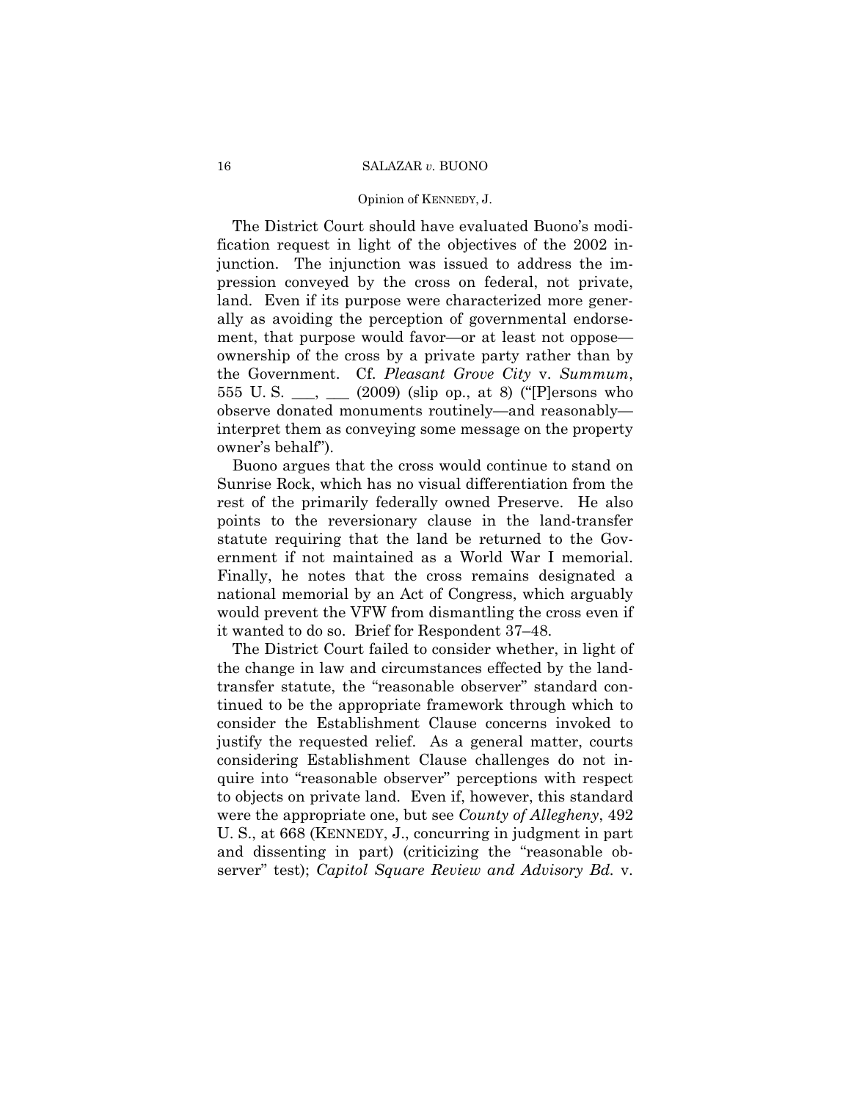#### Opinion of KENNEDY, J.

The District Court should have evaluated Buono's modification request in light of the objectives of the 2002 injunction. The injunction was issued to address the impression conveyed by the cross on federal, not private, land. Even if its purpose were characterized more generally as avoiding the perception of governmental endorsement, that purpose would favor—or at least not oppose ownership of the cross by a private party rather than by the Government. Cf. *Pleasant Grove City* v. *Summum*, 555 U. S. \_\_\_, \_\_\_ (2009) (slip op., at 8) ("[P]ersons who observe donated monuments routinely—and reasonably interpret them as conveying some message on the property owner's behalf").

Buono argues that the cross would continue to stand on Sunrise Rock, which has no visual differentiation from the rest of the primarily federally owned Preserve. He also points to the reversionary clause in the land-transfer statute requiring that the land be returned to the Government if not maintained as a World War I memorial. Finally, he notes that the cross remains designated a national memorial by an Act of Congress, which arguably would prevent the VFW from dismantling the cross even if it wanted to do so. Brief for Respondent 37–48.

The District Court failed to consider whether, in light of the change in law and circumstances effected by the landtransfer statute, the "reasonable observer" standard continued to be the appropriate framework through which to consider the Establishment Clause concerns invoked to justify the requested relief. As a general matter, courts considering Establishment Clause challenges do not inquire into "reasonable observer" perceptions with respect to objects on private land. Even if, however, this standard were the appropriate one, but see *County of Allegheny*, 492 U. S., at 668 (KENNEDY, J., concurring in judgment in part and dissenting in part) (criticizing the "reasonable observer" test); *Capitol Square Review and Advisory Bd.* v.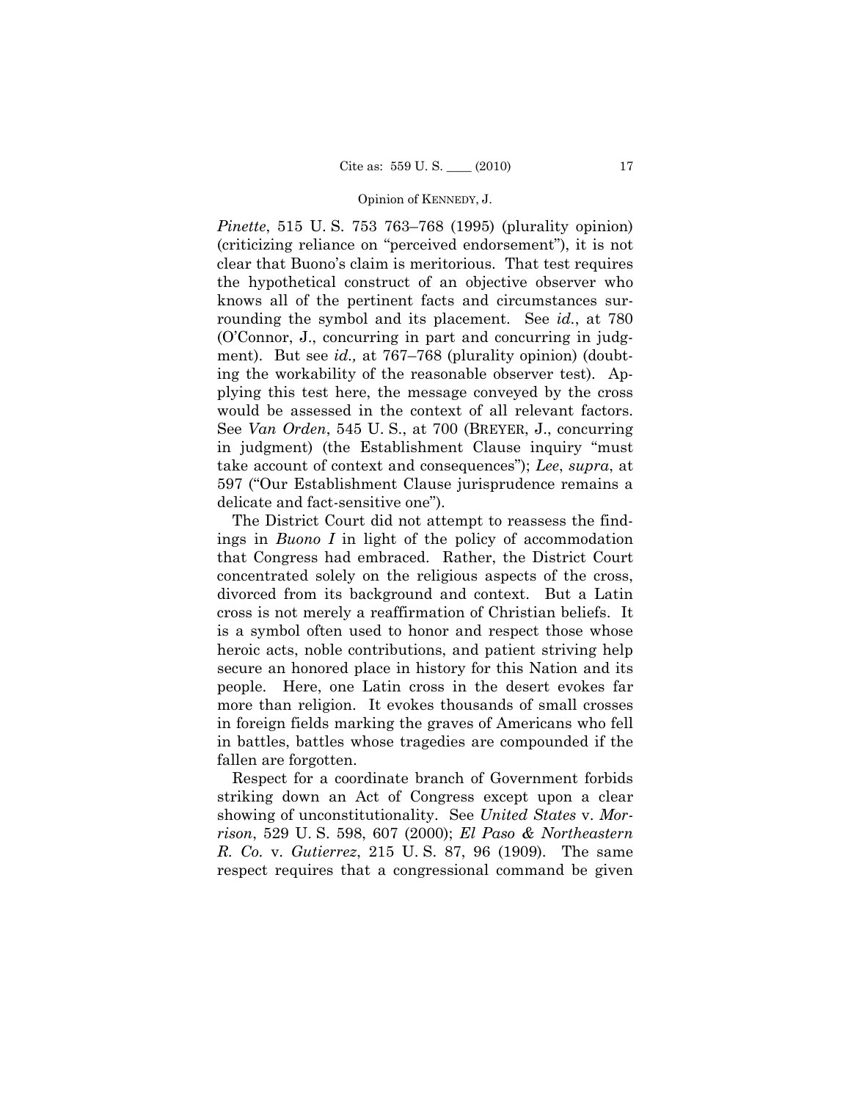#### Opinion of KENNEDY, J.

*Pinette*, 515 U. S. 753 763–768 (1995) (plurality opinion) (criticizing reliance on "perceived endorsement"), it is not clear that Buono's claim is meritorious. That test requires the hypothetical construct of an objective observer who knows all of the pertinent facts and circumstances surrounding the symbol and its placement. See *id.*, at 780 (O'Connor, J., concurring in part and concurring in judgment). But see *id.,* at 767–768 (plurality opinion) (doubting the workability of the reasonable observer test). Applying this test here, the message conveyed by the cross would be assessed in the context of all relevant factors. See *Van Orden*, 545 U. S., at 700 (BREYER, J., concurring in judgment) (the Establishment Clause inquiry "must take account of context and consequences"); *Lee*, *supra*, at 597 ("Our Establishment Clause jurisprudence remains a delicate and fact-sensitive one").

The District Court did not attempt to reassess the findings in *Buono I* in light of the policy of accommodation that Congress had embraced. Rather, the District Court concentrated solely on the religious aspects of the cross, divorced from its background and context. But a Latin cross is not merely a reaffirmation of Christian beliefs. It is a symbol often used to honor and respect those whose heroic acts, noble contributions, and patient striving help secure an honored place in history for this Nation and its people. Here, one Latin cross in the desert evokes far more than religion. It evokes thousands of small crosses in foreign fields marking the graves of Americans who fell in battles, battles whose tragedies are compounded if the fallen are forgotten.

Respect for a coordinate branch of Government forbids striking down an Act of Congress except upon a clear showing of unconstitutionality. See *United States* v. *Morrison*, 529 U. S. 598, 607 (2000); *El Paso & Northeastern R. Co.* v. *Gutierrez*, 215 U. S. 87, 96 (1909). The same respect requires that a congressional command be given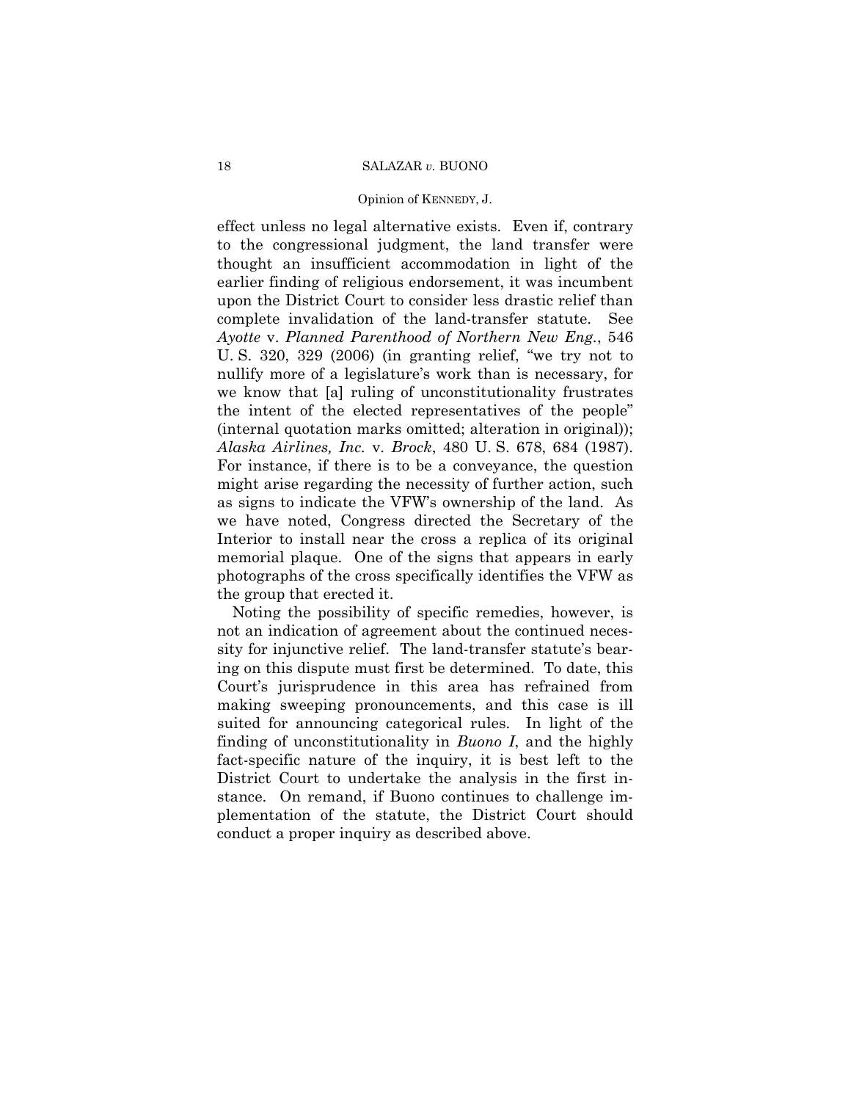#### Opinion of KENNEDY, J.

effect unless no legal alternative exists. Even if, contrary to the congressional judgment, the land transfer were thought an insufficient accommodation in light of the earlier finding of religious endorsement, it was incumbent upon the District Court to consider less drastic relief than complete invalidation of the land-transfer statute. See *Ayotte* v. *Planned Parenthood of Northern New Eng.*, 546 U. S. 320, 329 (2006) (in granting relief, "we try not to nullify more of a legislature's work than is necessary, for we know that [a] ruling of unconstitutionality frustrates the intent of the elected representatives of the people" (internal quotation marks omitted; alteration in original)); *Alaska Airlines, Inc.* v. *Brock*, 480 U. S. 678, 684 (1987). For instance, if there is to be a conveyance, the question might arise regarding the necessity of further action, such as signs to indicate the VFW's ownership of the land. As we have noted, Congress directed the Secretary of the Interior to install near the cross a replica of its original memorial plaque. One of the signs that appears in early photographs of the cross specifically identifies the VFW as the group that erected it.

Noting the possibility of specific remedies, however, is not an indication of agreement about the continued necessity for injunctive relief. The land-transfer statute's bearing on this dispute must first be determined. To date, this Court's jurisprudence in this area has refrained from making sweeping pronouncements, and this case is ill suited for announcing categorical rules. In light of the finding of unconstitutionality in *Buono I*, and the highly fact-specific nature of the inquiry, it is best left to the District Court to undertake the analysis in the first instance. On remand, if Buono continues to challenge implementation of the statute, the District Court should conduct a proper inquiry as described above.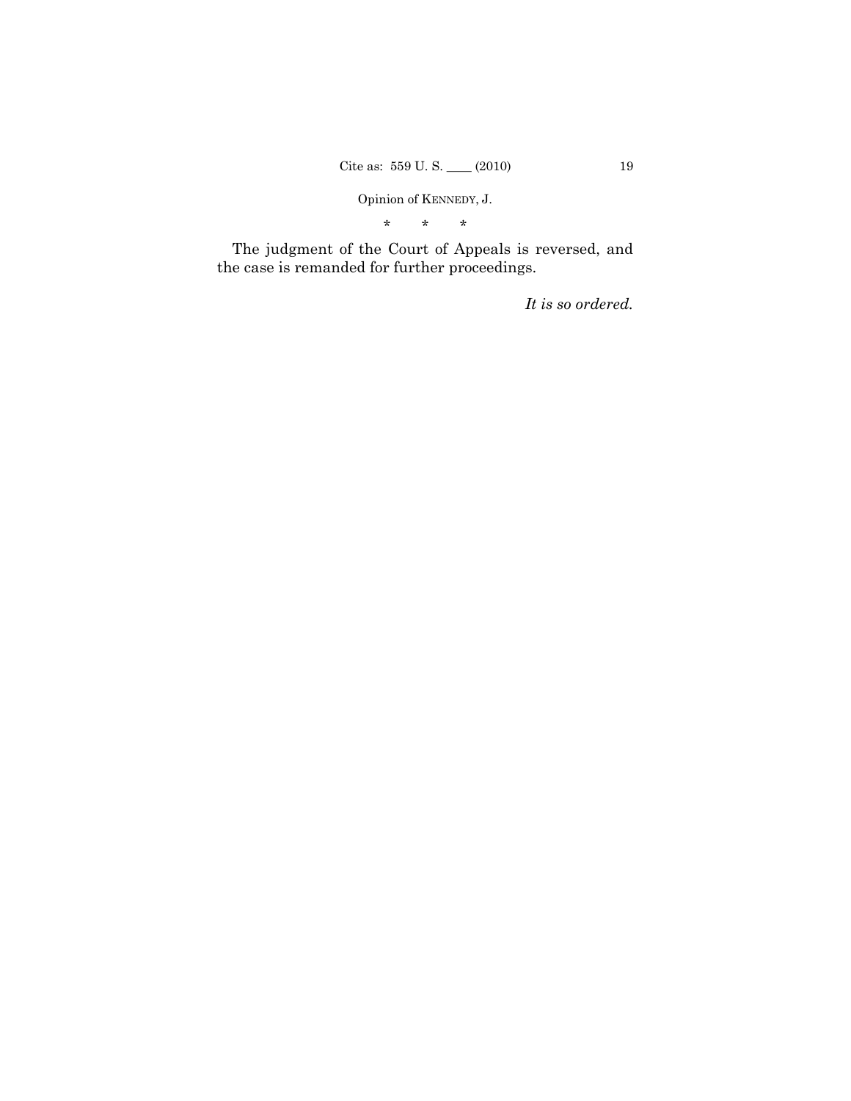Opinion of KENNEDY, J.

\* \* \*

The judgment of the Court of Appeals is reversed, and the case is remanded for further proceedings.

*It is so ordered.*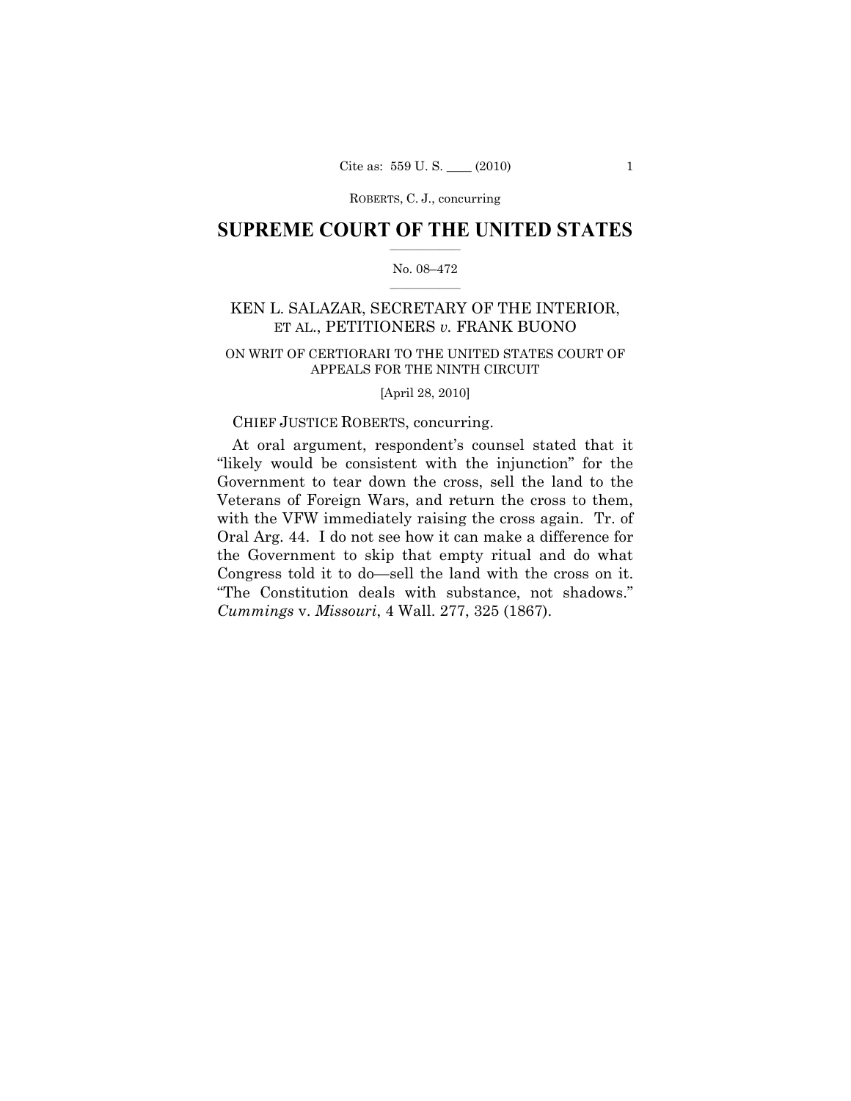ROBERTS, C. J., concurring

# $\frac{1}{2}$  ,  $\frac{1}{2}$  ,  $\frac{1}{2}$  ,  $\frac{1}{2}$  ,  $\frac{1}{2}$  ,  $\frac{1}{2}$  ,  $\frac{1}{2}$ **SUPREME COURT OF THE UNITED STATES**

## $\frac{1}{2}$  ,  $\frac{1}{2}$  ,  $\frac{1}{2}$  ,  $\frac{1}{2}$  ,  $\frac{1}{2}$  ,  $\frac{1}{2}$ No. 08–472

# KEN L. SALAZAR, SECRETARY OF THE INTERIOR, ET AL., PETITIONERS *v.* FRANK BUONO

# ON WRIT OF CERTIORARI TO THE UNITED STATES COURT OF APPEALS FOR THE NINTH CIRCUIT

[April 28, 2010]

# CHIEF JUSTICE ROBERTS, concurring.

At oral argument, respondent's counsel stated that it "likely would be consistent with the injunction" for the Government to tear down the cross, sell the land to the Veterans of Foreign Wars, and return the cross to them, with the VFW immediately raising the cross again. Tr. of Oral Arg. 44. I do not see how it can make a difference for the Government to skip that empty ritual and do what Congress told it to do—sell the land with the cross on it. "The Constitution deals with substance, not shadows." *Cummings* v. *Missouri*, 4 Wall. 277, 325 (1867).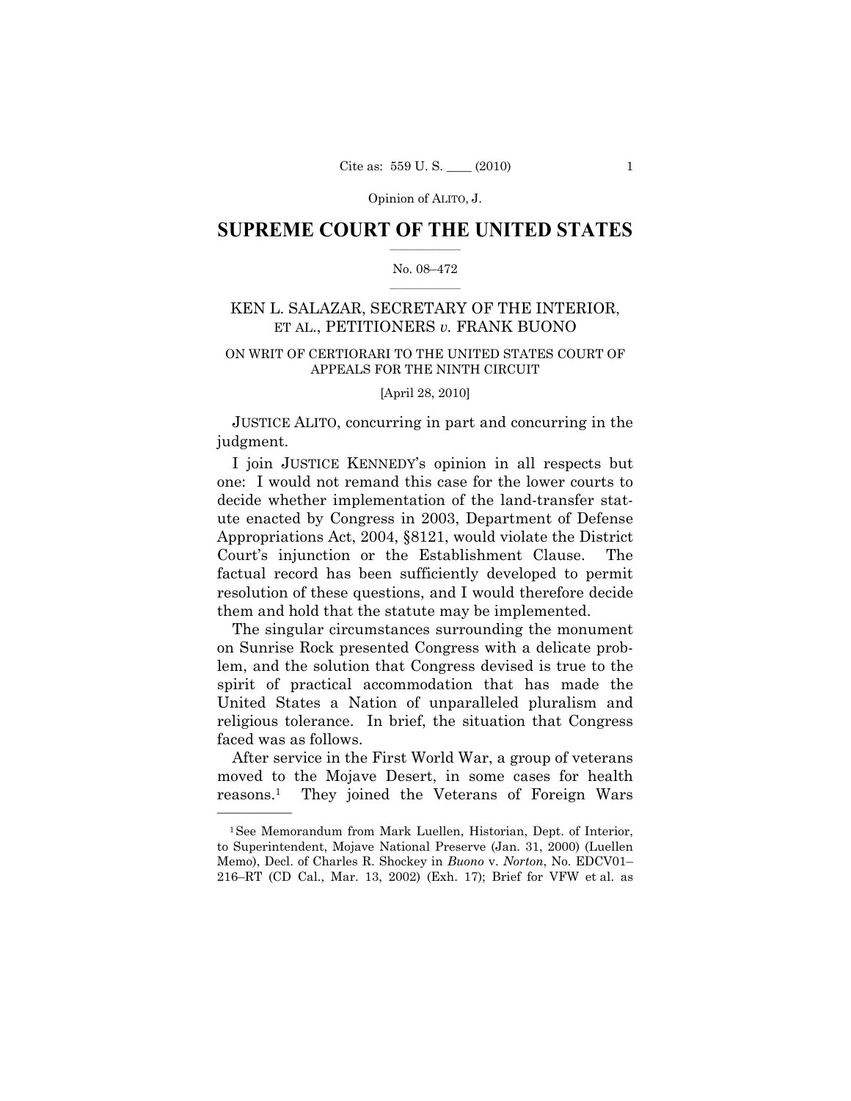Opinion of ALITO, J.

# $\frac{1}{2}$  ,  $\frac{1}{2}$  ,  $\frac{1}{2}$  ,  $\frac{1}{2}$  ,  $\frac{1}{2}$  ,  $\frac{1}{2}$  ,  $\frac{1}{2}$ **SUPREME COURT OF THE UNITED STATES**

#### $\frac{1}{2}$  ,  $\frac{1}{2}$  ,  $\frac{1}{2}$  ,  $\frac{1}{2}$  ,  $\frac{1}{2}$  ,  $\frac{1}{2}$ No. 08–472

# KEN L. SALAZAR, SECRETARY OF THE INTERIOR, ET AL., PETITIONERS *v.* FRANK BUONO

# ON WRIT OF CERTIORARI TO THE UNITED STATES COURT OF APPEALS FOR THE NINTH CIRCUIT

[April 28, 2010]

JUSTICE ALITO, concurring in part and concurring in the judgment.

I join JUSTICE KENNEDY's opinion in all respects but one: I would not remand this case for the lower courts to decide whether implementation of the land-transfer statute enacted by Congress in 2003, Department of Defense Appropriations Act, 2004, §8121, would violate the District Court's injunction or the Establishment Clause. The factual record has been sufficiently developed to permit resolution of these questions, and I would therefore decide them and hold that the statute may be implemented.

The singular circumstances surrounding the monument on Sunrise Rock presented Congress with a delicate problem, and the solution that Congress devised is true to the spirit of practical accommodation that has made the United States a Nation of unparalleled pluralism and religious tolerance. In brief, the situation that Congress faced was as follows.

After service in the First World War, a group of veterans moved to the Mojave Desert, in some cases for health reasons.1 They joined the Veterans of Foreign Wars

<sup>1</sup>See Memorandum from Mark Luellen, Historian, Dept. of Interior, to Superintendent, Mojave National Preserve (Jan. 31, 2000) (Luellen Memo), Decl. of Charles R. Shockey in *Buono* v. *Norton*, No. EDCV01– 216–RT (CD Cal., Mar. 13, 2002) (Exh. 17); Brief for VFW et al. as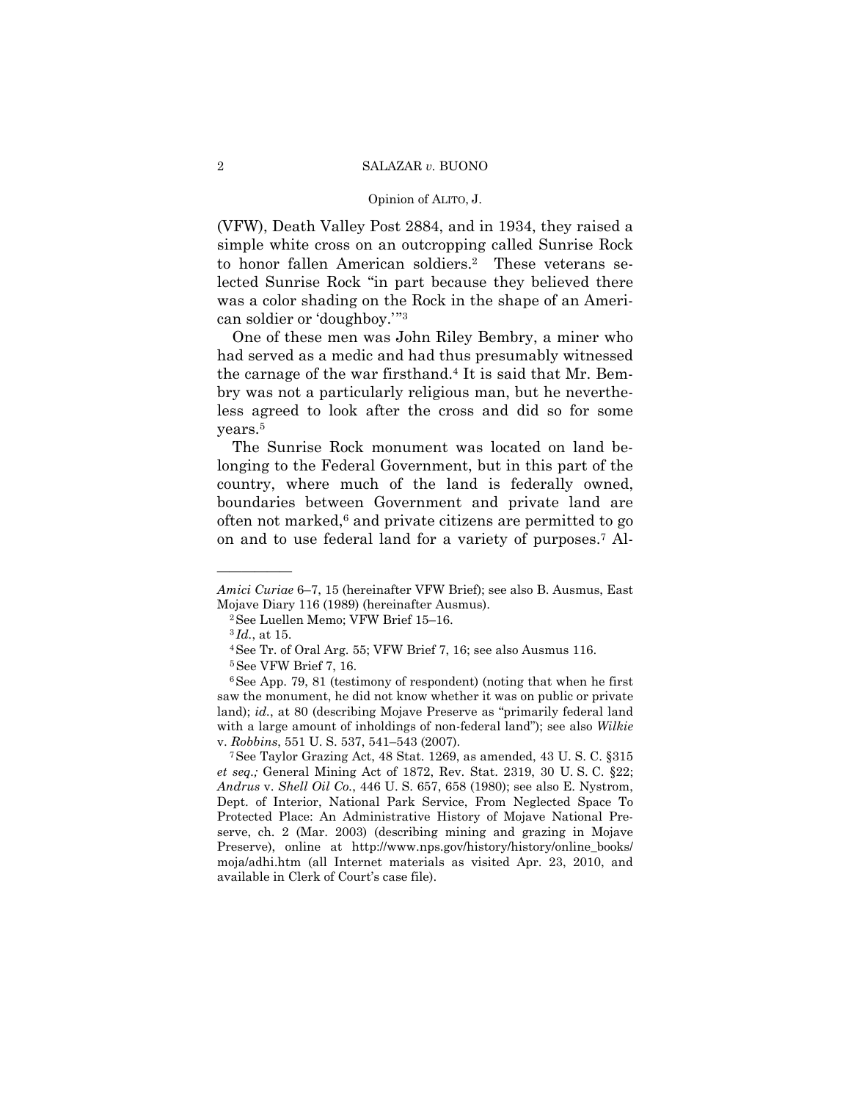### Opinion of ALITO, J.

(VFW), Death Valley Post 2884, and in 1934, they raised a simple white cross on an outcropping called Sunrise Rock to honor fallen American soldiers.2 These veterans selected Sunrise Rock "in part because they believed there was a color shading on the Rock in the shape of an American soldier or 'doughboy.'"3

One of these men was John Riley Bembry, a miner who had served as a medic and had thus presumably witnessed the carnage of the war firsthand.4 It is said that Mr. Bembry was not a particularly religious man, but he nevertheless agreed to look after the cross and did so for some years.5

The Sunrise Rock monument was located on land belonging to the Federal Government, but in this part of the country, where much of the land is federally owned, boundaries between Government and private land are often not marked,6 and private citizens are permitted to go on and to use federal land for a variety of purposes.7 Al-

*Amici Curiae* 6–7, 15 (hereinafter VFW Brief); see also B. Ausmus, East Mojave Diary 116 (1989) (hereinafter Ausmus).<br><sup>2</sup>See Luellen Memo; VFW Brief 15–16.<br><sup>3</sup>*Id.*, at 15. 4See Tr. of Oral Arg. 55; VFW Brief 7, 16; see also Ausmus 116.

<sup>&</sup>lt;sup>5</sup>See VFW Brief 7, 16.  $\overline{6}$ <br><sup>6</sup>See App. 79, 81 (testimony of respondent) (noting that when he first saw the monument, he did not know whether it was on public or private land); *id.*, at 80 (describing Mojave Preserve as "primarily federal land with a large amount of inholdings of non-federal land"); see also *Wilkie*  v. *Robbins*, 551 U. S. 537, 541–543 (2007). 7See Taylor Grazing Act, 48 Stat. 1269, as amended, 43 U. S. C. §315

*et seq.;* General Mining Act of 1872, Rev. Stat. 2319, 30 U. S. C. §22; *Andrus* v. *Shell Oil Co.*, 446 U. S. 657, 658 (1980); see also E. Nystrom, Dept. of Interior, National Park Service, From Neglected Space To Protected Place: An Administrative History of Mojave National Preserve, ch. 2 (Mar. 2003) (describing mining and grazing in Mojave Preserve), online at http://www.nps.gov/history/history/online\_books/ moja/adhi.htm (all Internet materials as visited Apr. 23, 2010, and available in Clerk of Court's case file).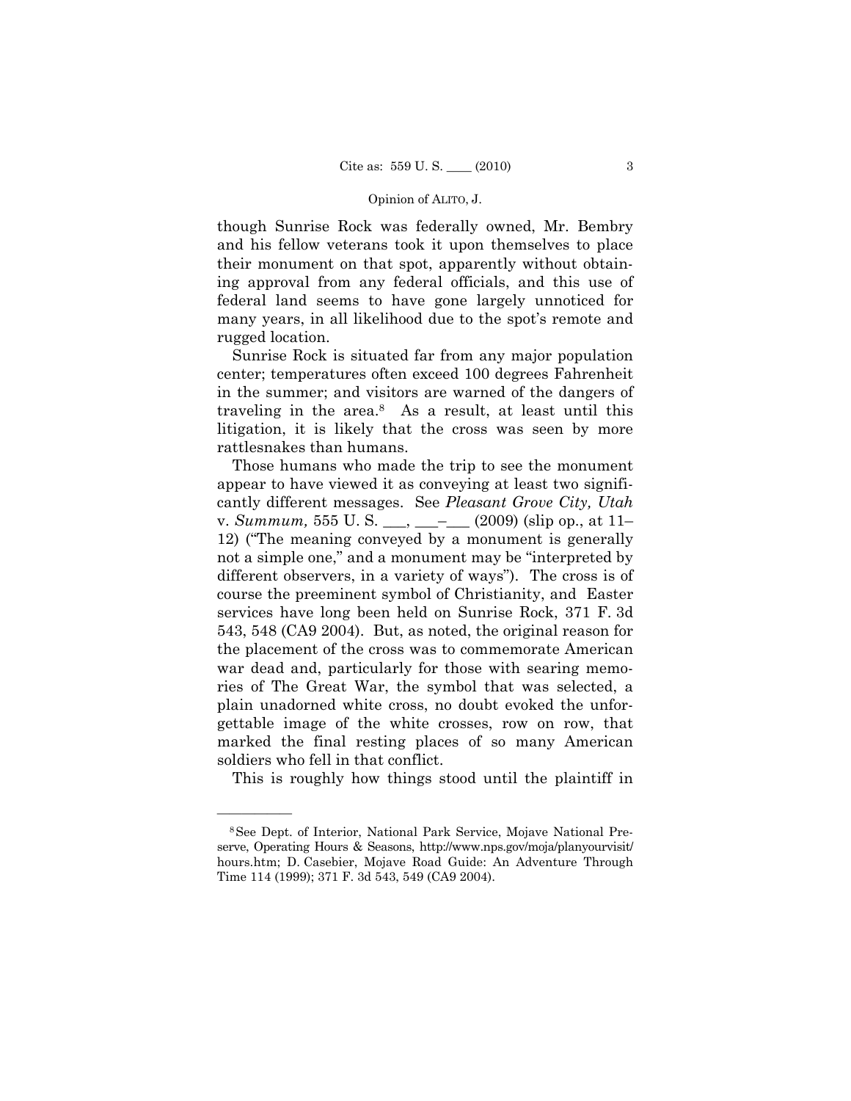#### Opinion of ALITO, J.

though Sunrise Rock was federally owned, Mr. Bembry and his fellow veterans took it upon themselves to place their monument on that spot, apparently without obtaining approval from any federal officials, and this use of federal land seems to have gone largely unnoticed for many years, in all likelihood due to the spot's remote and rugged location.

Sunrise Rock is situated far from any major population center; temperatures often exceed 100 degrees Fahrenheit in the summer; and visitors are warned of the dangers of traveling in the area.8 As a result, at least until this litigation, it is likely that the cross was seen by more rattlesnakes than humans.

Those humans who made the trip to see the monument appear to have viewed it as conveying at least two significantly different messages. See *Pleasant Grove City, Utah*  v. *Summum,* 555 U. S. \_\_\_, \_\_\_–\_\_\_ (2009) (slip op., at 11– 12) ("The meaning conveyed by a monument is generally not a simple one," and a monument may be "interpreted by different observers, in a variety of ways"). The cross is of course the preeminent symbol of Christianity, and Easter services have long been held on Sunrise Rock, 371 F. 3d 543, 548 (CA9 2004). But, as noted, the original reason for the placement of the cross was to commemorate American war dead and, particularly for those with searing memories of The Great War, the symbol that was selected, a plain unadorned white cross, no doubt evoked the unforgettable image of the white crosses, row on row, that marked the final resting places of so many American soldiers who fell in that conflict.

This is roughly how things stood until the plaintiff in

<sup>8</sup>See Dept. of Interior, National Park Service, Mojave National Preserve, Operating Hours & Seasons, http://www.nps.gov/moja/planyourvisit/ hours.htm; D. Casebier, Mojave Road Guide: An Adventure Through Time 114 (1999); 371 F. 3d 543, 549 (CA9 2004).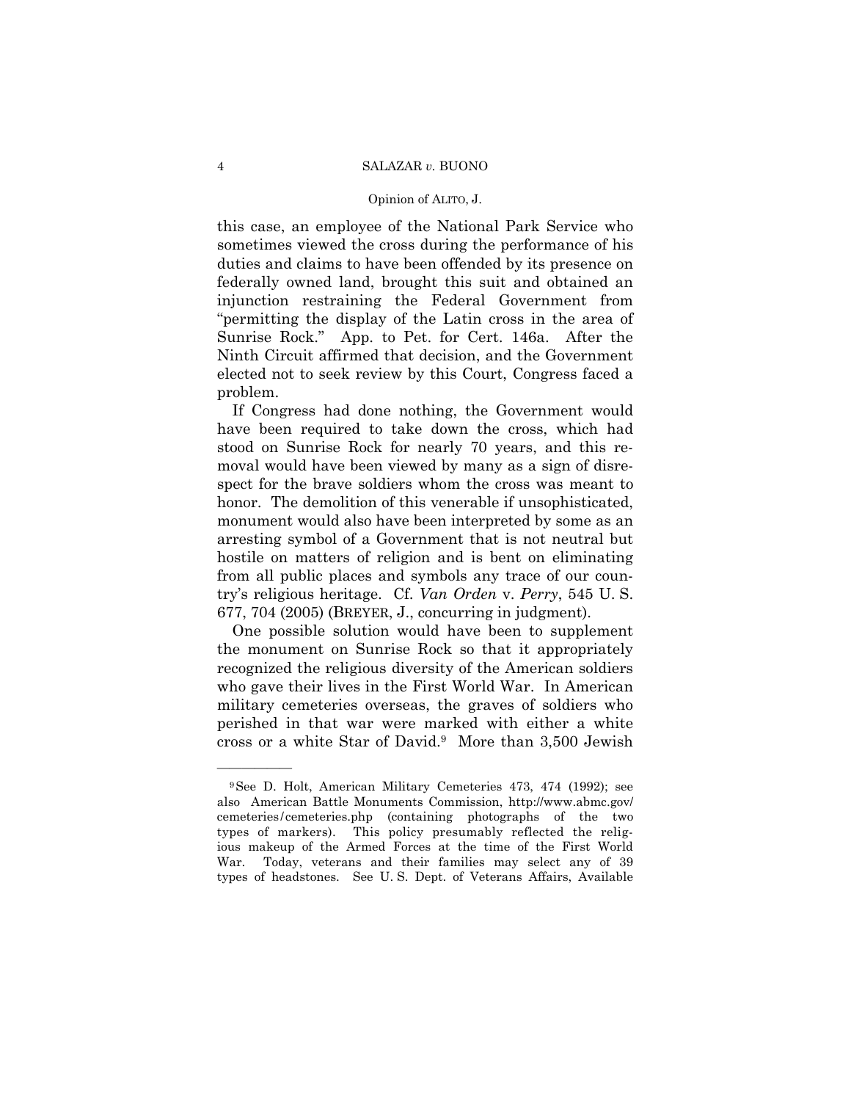## Opinion of ALITO, J.

this case, an employee of the National Park Service who sometimes viewed the cross during the performance of his duties and claims to have been offended by its presence on federally owned land, brought this suit and obtained an injunction restraining the Federal Government from "permitting the display of the Latin cross in the area of Sunrise Rock." App. to Pet. for Cert. 146a. After the Ninth Circuit affirmed that decision, and the Government elected not to seek review by this Court, Congress faced a problem.

If Congress had done nothing, the Government would have been required to take down the cross, which had stood on Sunrise Rock for nearly 70 years, and this removal would have been viewed by many as a sign of disrespect for the brave soldiers whom the cross was meant to honor. The demolition of this venerable if unsophisticated, monument would also have been interpreted by some as an arresting symbol of a Government that is not neutral but hostile on matters of religion and is bent on eliminating from all public places and symbols any trace of our country's religious heritage. Cf. *Van Orden* v. *Perry*, 545 U. S. 677, 704 (2005) (BREYER, J., concurring in judgment).

One possible solution would have been to supplement the monument on Sunrise Rock so that it appropriately recognized the religious diversity of the American soldiers who gave their lives in the First World War. In American military cemeteries overseas, the graves of soldiers who perished in that war were marked with either a white cross or a white Star of David.9 More than 3,500 Jewish

<sup>9</sup>See D. Holt, American Military Cemeteries 473, 474 (1992); see also American Battle Monuments Commission, http://www.abmc.gov/ cemeteries / cemeteries.php (containing photographs of the two types of markers). This policy presumably reflected the religious makeup of the Armed Forces at the time of the First World War. Today, veterans and their families may select any of 39 types of headstones. See U. S. Dept. of Veterans Affairs, Available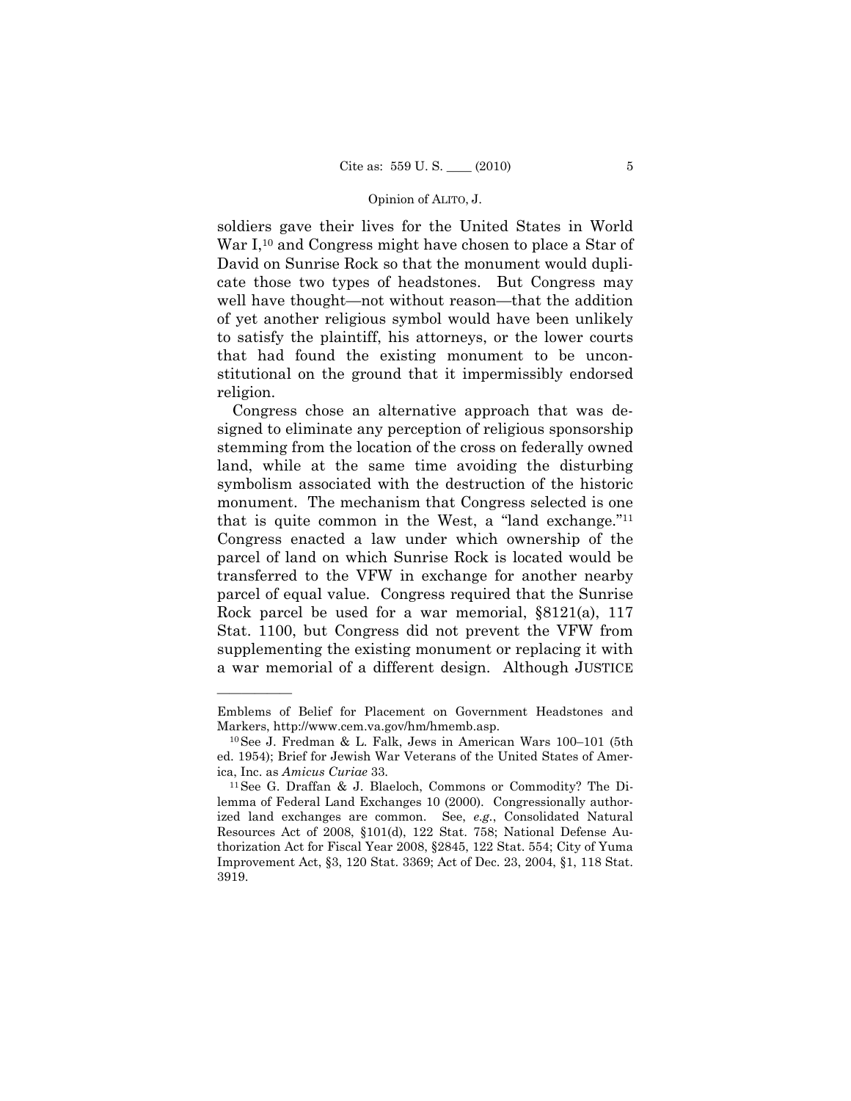#### Opinion of ALITO, J.

soldiers gave their lives for the United States in World War I,<sup>10</sup> and Congress might have chosen to place a Star of David on Sunrise Rock so that the monument would duplicate those two types of headstones. But Congress may well have thought—not without reason—that the addition of yet another religious symbol would have been unlikely to satisfy the plaintiff, his attorneys, or the lower courts that had found the existing monument to be unconstitutional on the ground that it impermissibly endorsed religion.

Congress chose an alternative approach that was designed to eliminate any perception of religious sponsorship stemming from the location of the cross on federally owned land, while at the same time avoiding the disturbing symbolism associated with the destruction of the historic monument. The mechanism that Congress selected is one that is quite common in the West, a "land exchange."11 Congress enacted a law under which ownership of the parcel of land on which Sunrise Rock is located would be transferred to the VFW in exchange for another nearby parcel of equal value. Congress required that the Sunrise Rock parcel be used for a war memorial, §8121(a), 117 Stat. 1100, but Congress did not prevent the VFW from supplementing the existing monument or replacing it with a war memorial of a different design. Although JUSTICE

Emblems of Belief for Placement on Government Headstones and Markers, http://www.cem.va.gov/hm/hmemb.asp.<br><sup>10</sup>See J. Fredman & L. Falk, Jews in American Wars 100–101 (5th

ed. 1954); Brief for Jewish War Veterans of the United States of America, Inc. as *Amicus Curiae* 33. 11See G. Draffan & J. Blaeloch, Commons or Commodity? The Di-

lemma of Federal Land Exchanges 10 (2000). Congressionally authorized land exchanges are common. See, *e.g.*, Consolidated Natural Resources Act of 2008, §101(d), 122 Stat. 758; National Defense Authorization Act for Fiscal Year 2008, §2845, 122 Stat. 554; City of Yuma Improvement Act, §3, 120 Stat. 3369; Act of Dec. 23, 2004, §1, 118 Stat. 3919.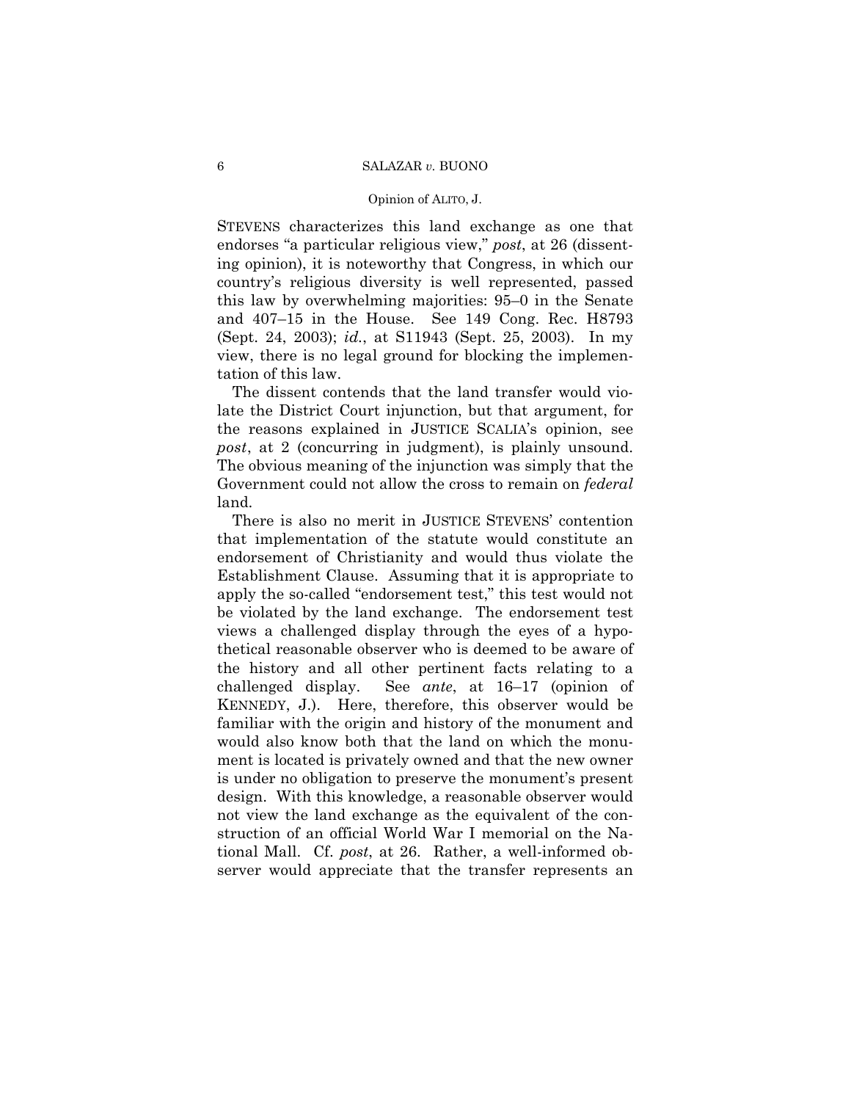### Opinion of ALITO, J.

STEVENS characterizes this land exchange as one that endorses "a particular religious view," *post*, at 26 (dissenting opinion), it is noteworthy that Congress, in which our country's religious diversity is well represented, passed this law by overwhelming majorities: 95–0 in the Senate and 407–15 in the House. See 149 Cong. Rec. H8793 (Sept. 24, 2003); *id.*, at S11943 (Sept. 25, 2003). In my view, there is no legal ground for blocking the implementation of this law.

The dissent contends that the land transfer would violate the District Court injunction, but that argument, for the reasons explained in JUSTICE SCALIA's opinion, see *post*, at 2 (concurring in judgment), is plainly unsound. The obvious meaning of the injunction was simply that the Government could not allow the cross to remain on *federal*  land.

There is also no merit in JUSTICE STEVENS' contention that implementation of the statute would constitute an endorsement of Christianity and would thus violate the Establishment Clause. Assuming that it is appropriate to apply the so-called "endorsement test," this test would not be violated by the land exchange. The endorsement test views a challenged display through the eyes of a hypothetical reasonable observer who is deemed to be aware of the history and all other pertinent facts relating to a challenged display. See *ante*, at 16–17 (opinion of KENNEDY, J.). Here, therefore, this observer would be familiar with the origin and history of the monument and would also know both that the land on which the monument is located is privately owned and that the new owner is under no obligation to preserve the monument's present design. With this knowledge, a reasonable observer would not view the land exchange as the equivalent of the construction of an official World War I memorial on the National Mall. Cf. *post*, at 26. Rather, a well-informed observer would appreciate that the transfer represents an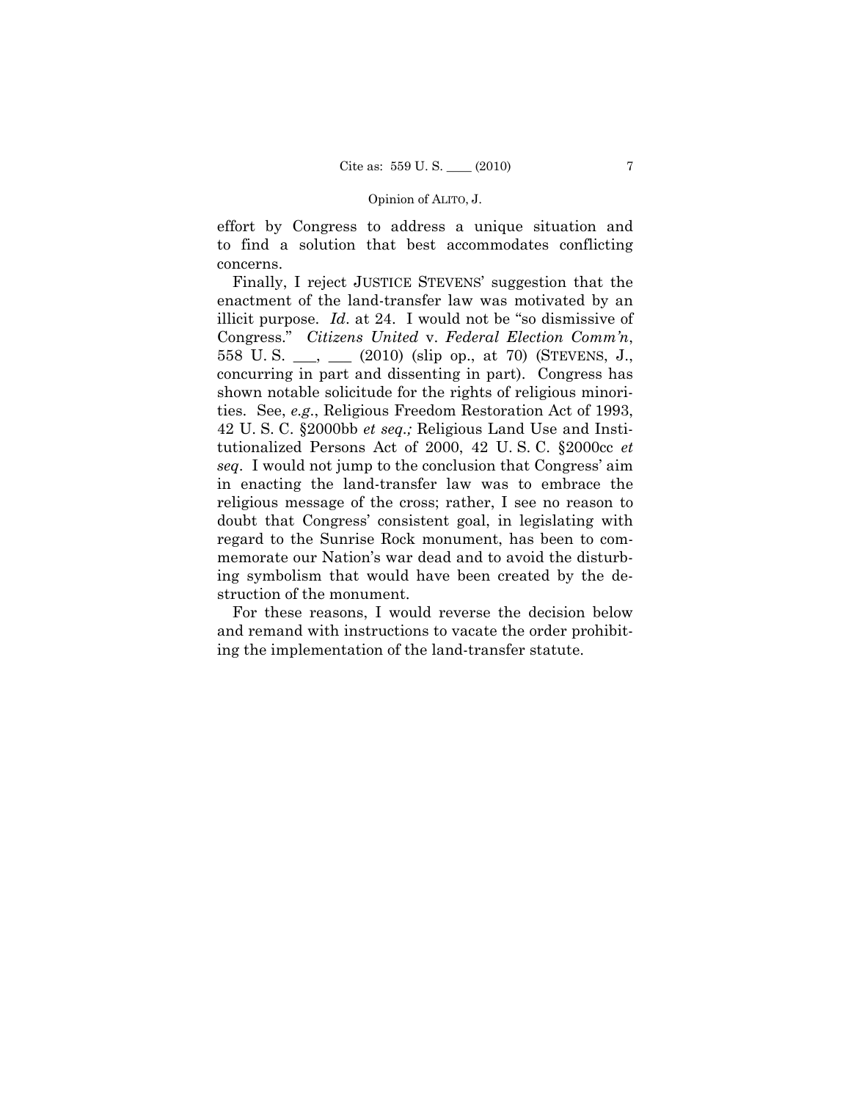#### Opinion of ALITO, J.

effort by Congress to address a unique situation and to find a solution that best accommodates conflicting concerns.

Finally, I reject JUSTICE STEVENS' suggestion that the enactment of the land-transfer law was motivated by an illicit purpose. *Id*. at 24. I would not be "so dismissive of Congress." *Citizens United* v. *Federal Election Comm'n*, 558 U. S. \_\_\_, \_\_\_ (2010) (slip op., at 70) (STEVENS, J., concurring in part and dissenting in part). Congress has shown notable solicitude for the rights of religious minorities. See, *e.g*., Religious Freedom Restoration Act of 1993, 42 U. S. C. §2000bb *et seq.;* Religious Land Use and Institutionalized Persons Act of 2000, 42 U. S. C. §2000cc *et seq*. I would not jump to the conclusion that Congress' aim in enacting the land-transfer law was to embrace the religious message of the cross; rather, I see no reason to doubt that Congress' consistent goal, in legislating with regard to the Sunrise Rock monument, has been to commemorate our Nation's war dead and to avoid the disturbing symbolism that would have been created by the destruction of the monument.

For these reasons, I would reverse the decision below and remand with instructions to vacate the order prohibiting the implementation of the land-transfer statute.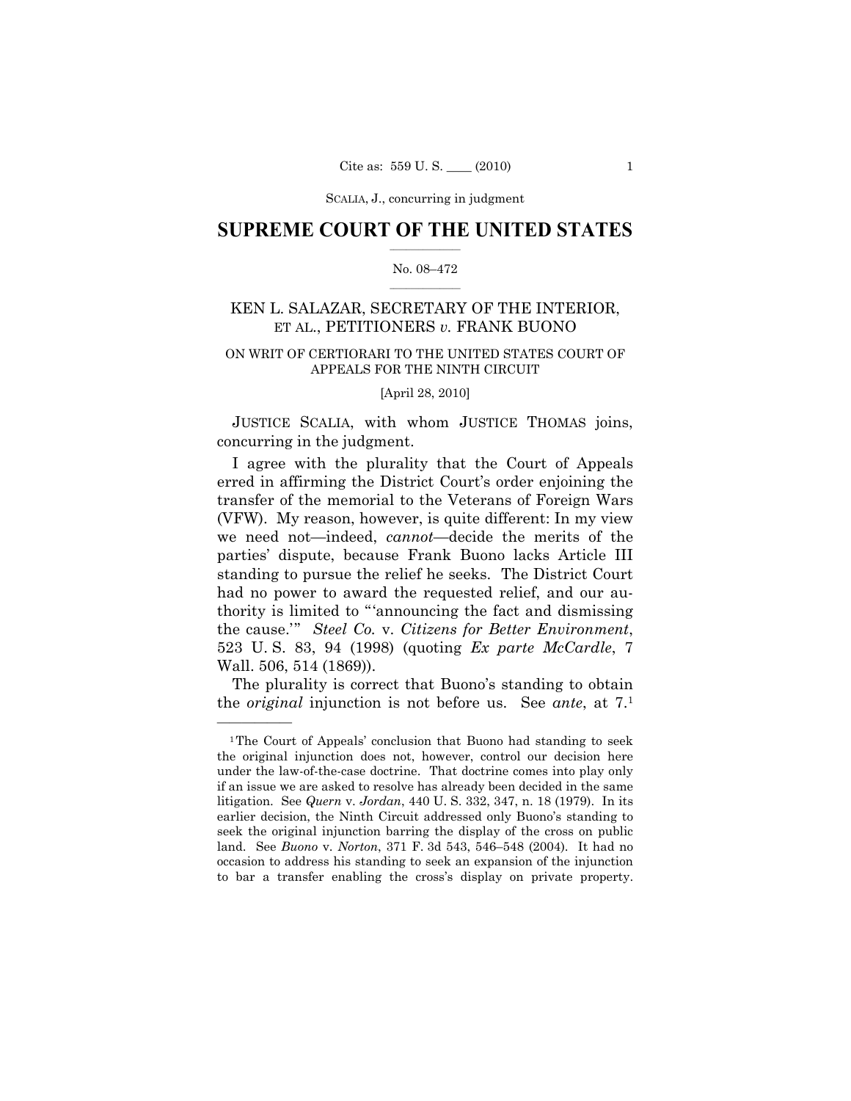# $\frac{1}{2}$  ,  $\frac{1}{2}$  ,  $\frac{1}{2}$  ,  $\frac{1}{2}$  ,  $\frac{1}{2}$  ,  $\frac{1}{2}$  ,  $\frac{1}{2}$ **SUPREME COURT OF THE UNITED STATES**

#### $\frac{1}{2}$  ,  $\frac{1}{2}$  ,  $\frac{1}{2}$  ,  $\frac{1}{2}$  ,  $\frac{1}{2}$  ,  $\frac{1}{2}$ No. 08–472

# KEN L. SALAZAR, SECRETARY OF THE INTERIOR, ET AL., PETITIONERS *v.* FRANK BUONO

# ON WRIT OF CERTIORARI TO THE UNITED STATES COURT OF APPEALS FOR THE NINTH CIRCUIT

[April 28, 2010]

JUSTICE SCALIA, with whom JUSTICE THOMAS joins, concurring in the judgment.

I agree with the plurality that the Court of Appeals erred in affirming the District Court's order enjoining the transfer of the memorial to the Veterans of Foreign Wars (VFW). My reason, however, is quite different: In my view we need not—indeed, *cannot*—decide the merits of the parties' dispute, because Frank Buono lacks Article III standing to pursue the relief he seeks. The District Court had no power to award the requested relief, and our authority is limited to "'announcing the fact and dismissing the cause.'" *Steel Co.* v. *Citizens for Better Environment*, 523 U. S. 83, 94 (1998) (quoting *Ex parte McCardle*, 7 Wall. 506, 514 (1869)).

The plurality is correct that Buono's standing to obtain the *original* injunction is not before us. See *ante*, at 7.1

<sup>1</sup>The Court of Appeals' conclusion that Buono had standing to seek the original injunction does not, however, control our decision here under the law-of-the-case doctrine. That doctrine comes into play only if an issue we are asked to resolve has already been decided in the same litigation. See *Quern* v. *Jordan*, 440 U. S. 332, 347, n. 18 (1979). In its earlier decision, the Ninth Circuit addressed only Buono's standing to seek the original injunction barring the display of the cross on public land. See *Buono* v. *Norton*, 371 F. 3d 543, 546–548 (2004). It had no occasion to address his standing to seek an expansion of the injunction to bar a transfer enabling the cross's display on private property.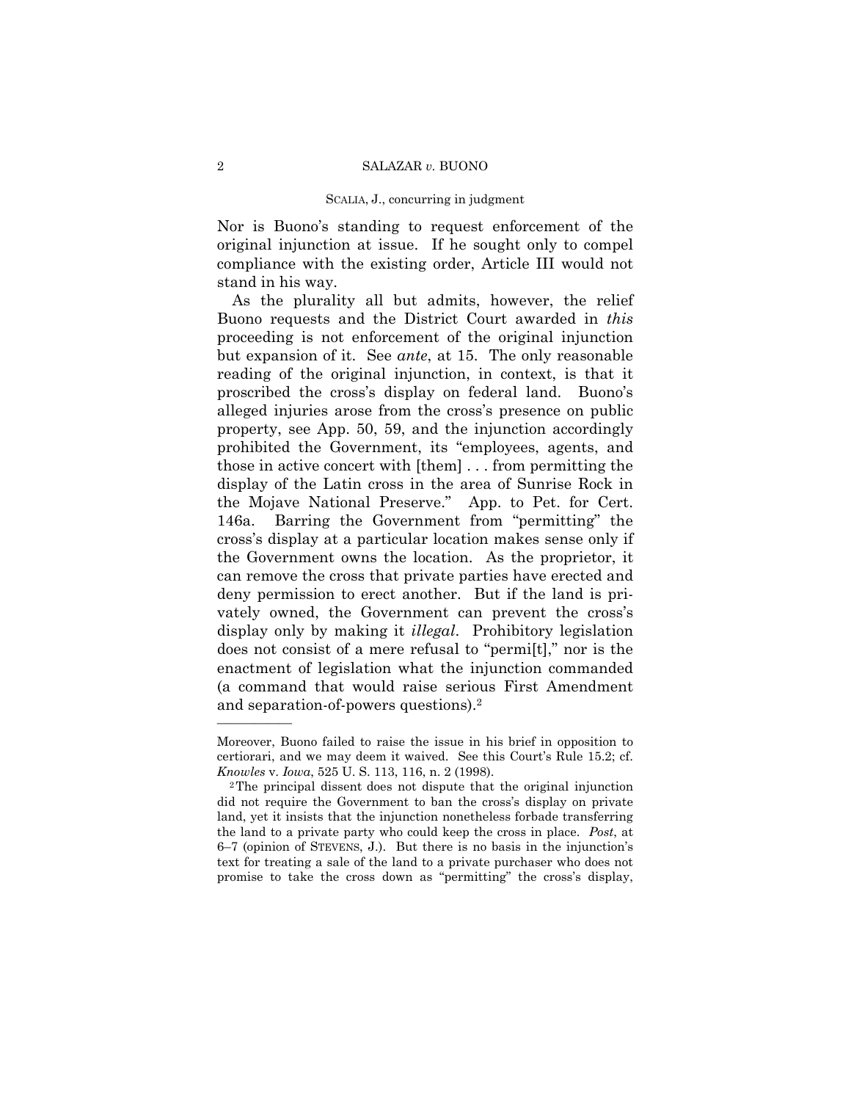Nor is Buono's standing to request enforcement of the original injunction at issue. If he sought only to compel compliance with the existing order, Article III would not stand in his way.

As the plurality all but admits, however, the relief Buono requests and the District Court awarded in *this*  proceeding is not enforcement of the original injunction but expansion of it. See *ante*, at 15. The only reasonable reading of the original injunction, in context, is that it proscribed the cross's display on federal land. Buono's alleged injuries arose from the cross's presence on public property, see App. 50, 59, and the injunction accordingly prohibited the Government, its "employees, agents, and those in active concert with [them] . . . from permitting the display of the Latin cross in the area of Sunrise Rock in the Mojave National Preserve." App. to Pet. for Cert. 146a. Barring the Government from "permitting" the cross's display at a particular location makes sense only if the Government owns the location. As the proprietor, it can remove the cross that private parties have erected and deny permission to erect another. But if the land is privately owned, the Government can prevent the cross's display only by making it *illegal*. Prohibitory legislation does not consist of a mere refusal to "permi[t]," nor is the enactment of legislation what the injunction commanded (a command that would raise serious First Amendment and separation-of-powers questions).2

Moreover, Buono failed to raise the issue in his brief in opposition to certiorari, and we may deem it waived. See this Court's Rule 15.2; cf. *Knowles* v. *Iowa*, 525 U. S. 113, 116, n. 2 (1998).<br><sup>2</sup>The principal dissent does not dispute that the original injunction

did not require the Government to ban the cross's display on private land, yet it insists that the injunction nonetheless forbade transferring the land to a private party who could keep the cross in place. *Post*, at 6–7 (opinion of STEVENS, J.). But there is no basis in the injunction's text for treating a sale of the land to a private purchaser who does not promise to take the cross down as "permitting" the cross's display,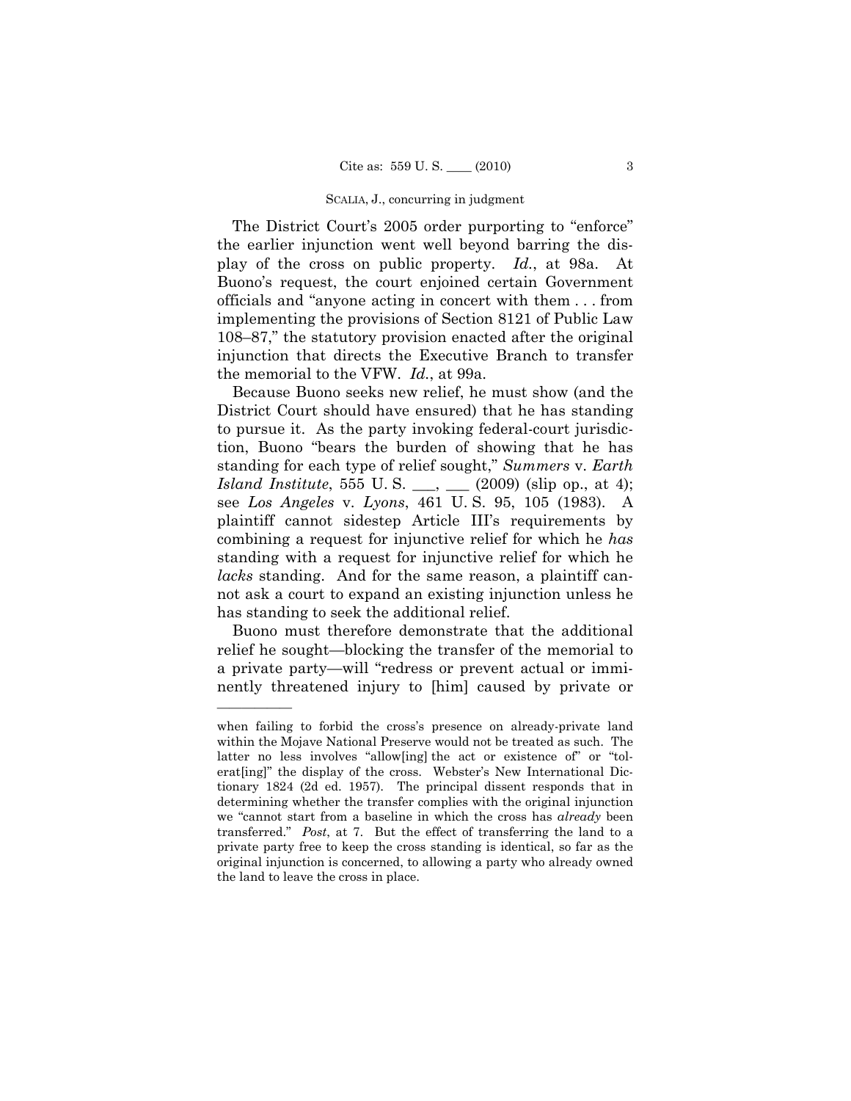The District Court's 2005 order purporting to "enforce" the earlier injunction went well beyond barring the display of the cross on public property. *Id.*, at 98a. At Buono's request, the court enjoined certain Government officials and "anyone acting in concert with them . . . from implementing the provisions of Section 8121 of Public Law 108–87," the statutory provision enacted after the original injunction that directs the Executive Branch to transfer the memorial to the VFW. *Id.*, at 99a.

Because Buono seeks new relief, he must show (and the District Court should have ensured) that he has standing to pursue it. As the party invoking federal-court jurisdiction, Buono "bears the burden of showing that he has standing for each type of relief sought," *Summers* v. *Earth Island Institute*, 555 U.S. \_\_, \_\_ (2009) (slip op., at 4); see *Los Angeles* v. *Lyons*, 461 U. S. 95, 105 (1983). A plaintiff cannot sidestep Article III's requirements by combining a request for injunctive relief for which he *has*  standing with a request for injunctive relief for which he *lacks* standing. And for the same reason, a plaintiff cannot ask a court to expand an existing injunction unless he has standing to seek the additional relief.

Buono must therefore demonstrate that the additional relief he sought—blocking the transfer of the memorial to a private party—will "redress or prevent actual or imminently threatened injury to [him] caused by private or

when failing to forbid the cross's presence on already-private land within the Mojave National Preserve would not be treated as such. The latter no less involves "allow[ing] the act or existence of" or "tolerat[ing]" the display of the cross. Webster's New International Dictionary 1824 (2d ed. 1957). The principal dissent responds that in determining whether the transfer complies with the original injunction we "cannot start from a baseline in which the cross has *already* been transferred." *Post*, at 7. But the effect of transferring the land to a private party free to keep the cross standing is identical, so far as the original injunction is concerned, to allowing a party who already owned the land to leave the cross in place.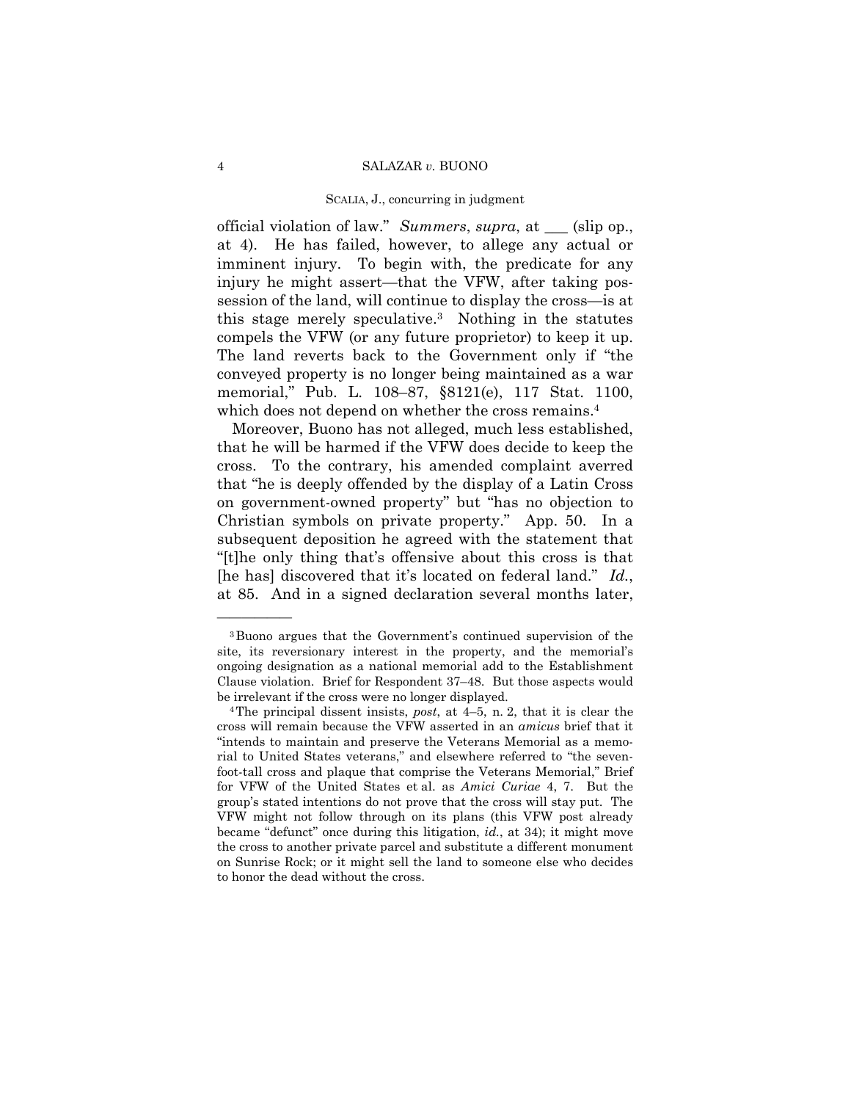official violation of law." *Summers*, *supra*, at \_\_\_ (slip op., at 4). He has failed, however, to allege any actual or imminent injury. To begin with, the predicate for any injury he might assert—that the VFW, after taking possession of the land, will continue to display the cross—is at this stage merely speculative.3 Nothing in the statutes compels the VFW (or any future proprietor) to keep it up. The land reverts back to the Government only if "the conveyed property is no longer being maintained as a war memorial," Pub. L. 108–87, §8121(e), 117 Stat. 1100, which does not depend on whether the cross remains.<sup>4</sup>

Moreover, Buono has not alleged, much less established, that he will be harmed if the VFW does decide to keep the cross. To the contrary, his amended complaint averred that "he is deeply offended by the display of a Latin Cross on government-owned property" but "has no objection to Christian symbols on private property." App. 50. In a subsequent deposition he agreed with the statement that "[t]he only thing that's offensive about this cross is that [he has] discovered that it's located on federal land." *Id.*, at 85. And in a signed declaration several months later,

<sup>3</sup>Buono argues that the Government's continued supervision of the site, its reversionary interest in the property, and the memorial's ongoing designation as a national memorial add to the Establishment Clause violation. Brief for Respondent 37–48. But those aspects would be irrelevant if the cross were no longer displayed. 4The principal dissent insists, *post*, at 4–5, n. 2, that it is clear the

cross will remain because the VFW asserted in an *amicus* brief that it "intends to maintain and preserve the Veterans Memorial as a memorial to United States veterans," and elsewhere referred to "the sevenfoot-tall cross and plaque that comprise the Veterans Memorial," Brief for VFW of the United States et al. as *Amici Curiae* 4, 7. But the group's stated intentions do not prove that the cross will stay put. The VFW might not follow through on its plans (this VFW post already became "defunct" once during this litigation, *id.*, at 34); it might move the cross to another private parcel and substitute a different monument on Sunrise Rock; or it might sell the land to someone else who decides to honor the dead without the cross.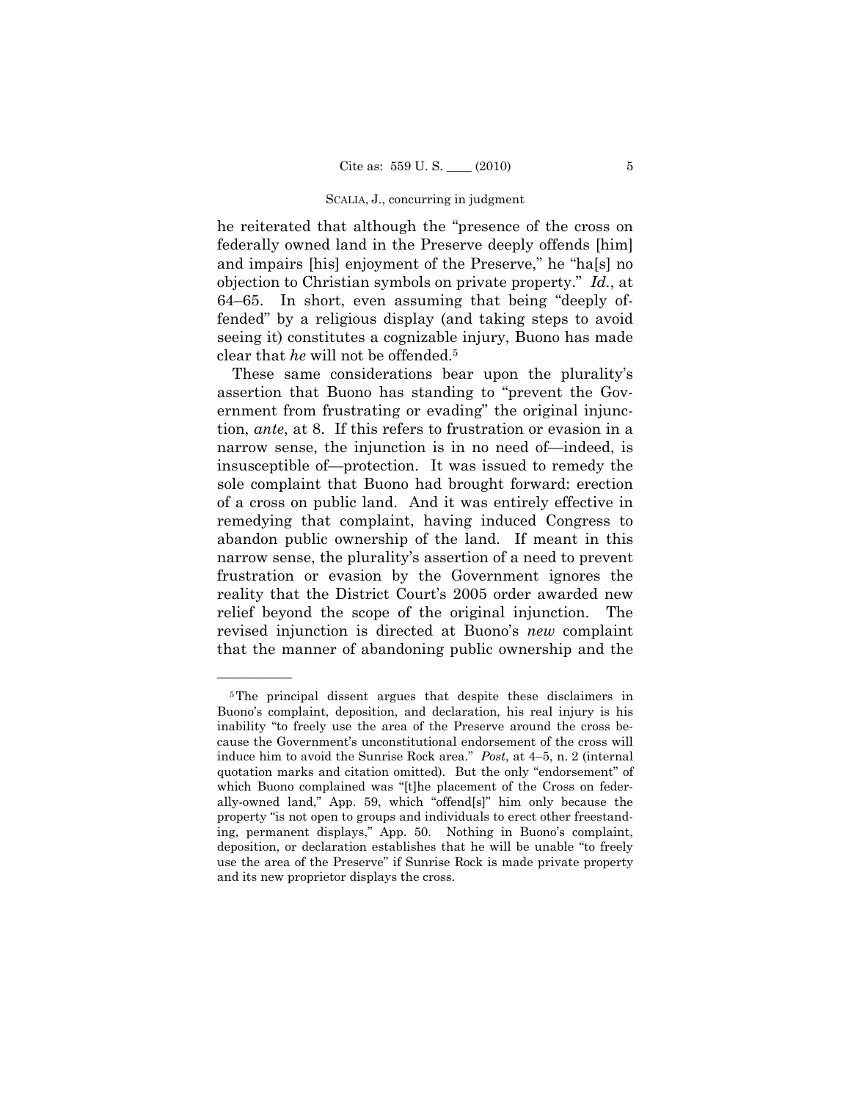he reiterated that although the "presence of the cross on federally owned land in the Preserve deeply offends [him] and impairs [his] enjoyment of the Preserve," he "ha[s] no objection to Christian symbols on private property." *Id.*, at 64–65. In short, even assuming that being "deeply offended" by a religious display (and taking steps to avoid seeing it) constitutes a cognizable injury, Buono has made clear that *he* will not be offended.5

These same considerations bear upon the plurality's assertion that Buono has standing to "prevent the Government from frustrating or evading" the original injunction, *ante*, at 8. If this refers to frustration or evasion in a narrow sense, the injunction is in no need of—indeed, is insusceptible of—protection. It was issued to remedy the sole complaint that Buono had brought forward: erection of a cross on public land. And it was entirely effective in remedying that complaint, having induced Congress to abandon public ownership of the land. If meant in this narrow sense, the plurality's assertion of a need to prevent frustration or evasion by the Government ignores the reality that the District Court's 2005 order awarded new relief beyond the scope of the original injunction. The revised injunction is directed at Buono's *new* complaint that the manner of abandoning public ownership and the

<sup>&</sup>lt;sup>5</sup>The principal dissent argues that despite these disclaimers in Buono's complaint, deposition, and declaration, his real injury is his inability "to freely use the area of the Preserve around the cross because the Government's unconstitutional endorsement of the cross will induce him to avoid the Sunrise Rock area." *Post*, at 4–5, n. 2 (internal quotation marks and citation omitted). But the only "endorsement" of which Buono complained was "[t]he placement of the Cross on federally-owned land," App. 59, which "offend[s]" him only because the property "is not open to groups and individuals to erect other freestanding, permanent displays," App. 50. Nothing in Buono's complaint, deposition, or declaration establishes that he will be unable "to freely use the area of the Preserve" if Sunrise Rock is made private property and its new proprietor displays the cross.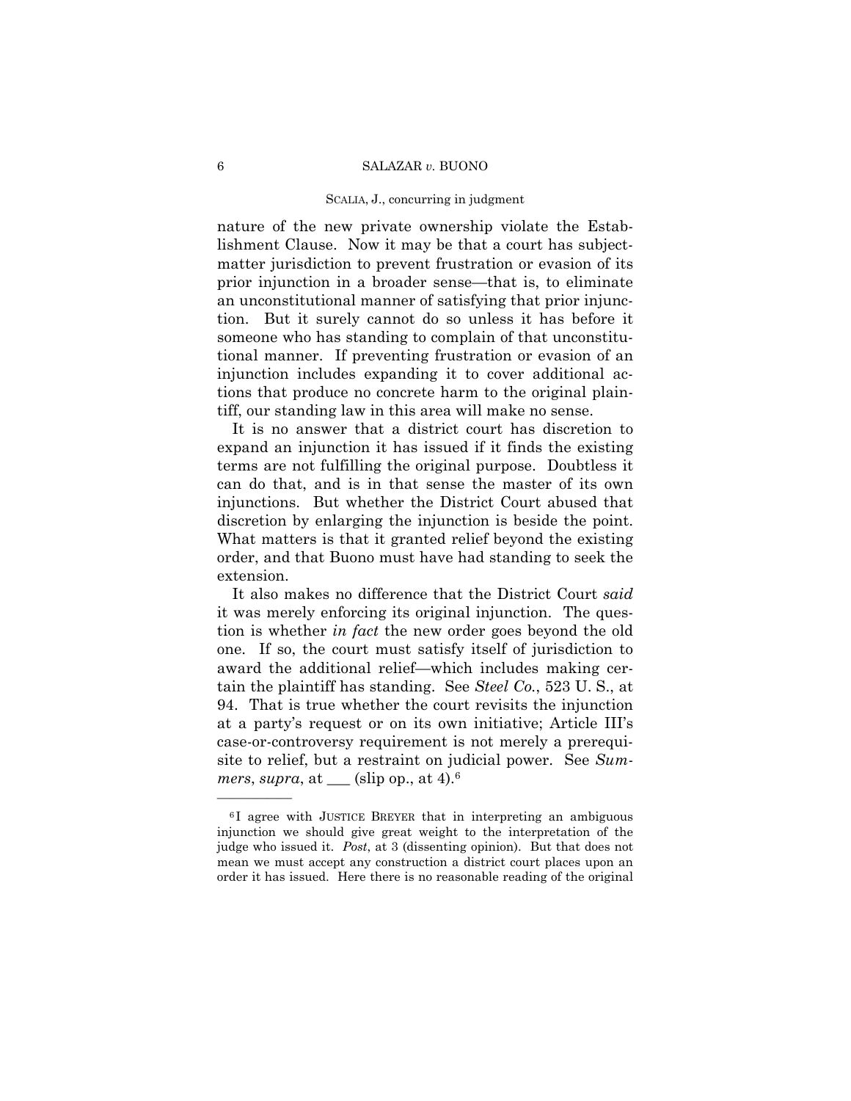#### SCALIA, J., concurring in judgment

nature of the new private ownership violate the Establishment Clause. Now it may be that a court has subjectmatter jurisdiction to prevent frustration or evasion of its prior injunction in a broader sense—that is, to eliminate an unconstitutional manner of satisfying that prior injunction. But it surely cannot do so unless it has before it someone who has standing to complain of that unconstitutional manner. If preventing frustration or evasion of an injunction includes expanding it to cover additional actions that produce no concrete harm to the original plaintiff, our standing law in this area will make no sense.

It is no answer that a district court has discretion to expand an injunction it has issued if it finds the existing terms are not fulfilling the original purpose. Doubtless it can do that, and is in that sense the master of its own injunctions. But whether the District Court abused that discretion by enlarging the injunction is beside the point. What matters is that it granted relief beyond the existing order, and that Buono must have had standing to seek the extension.

It also makes no difference that the District Court *said*  it was merely enforcing its original injunction. The question is whether *in fact* the new order goes beyond the old one. If so, the court must satisfy itself of jurisdiction to award the additional relief—which includes making certain the plaintiff has standing. See *Steel Co.*, 523 U. S., at 94. That is true whether the court revisits the injunction at a party's request or on its own initiative; Article III's case-or-controversy requirement is not merely a prerequisite to relief, but a restraint on judicial power. See *Summers*, *supra*, at \_\_\_ (slip op., at 4).6

<sup>6</sup> I agree with JUSTICE BREYER that in interpreting an ambiguous injunction we should give great weight to the interpretation of the judge who issued it. *Post*, at 3 (dissenting opinion). But that does not mean we must accept any construction a district court places upon an order it has issued. Here there is no reasonable reading of the original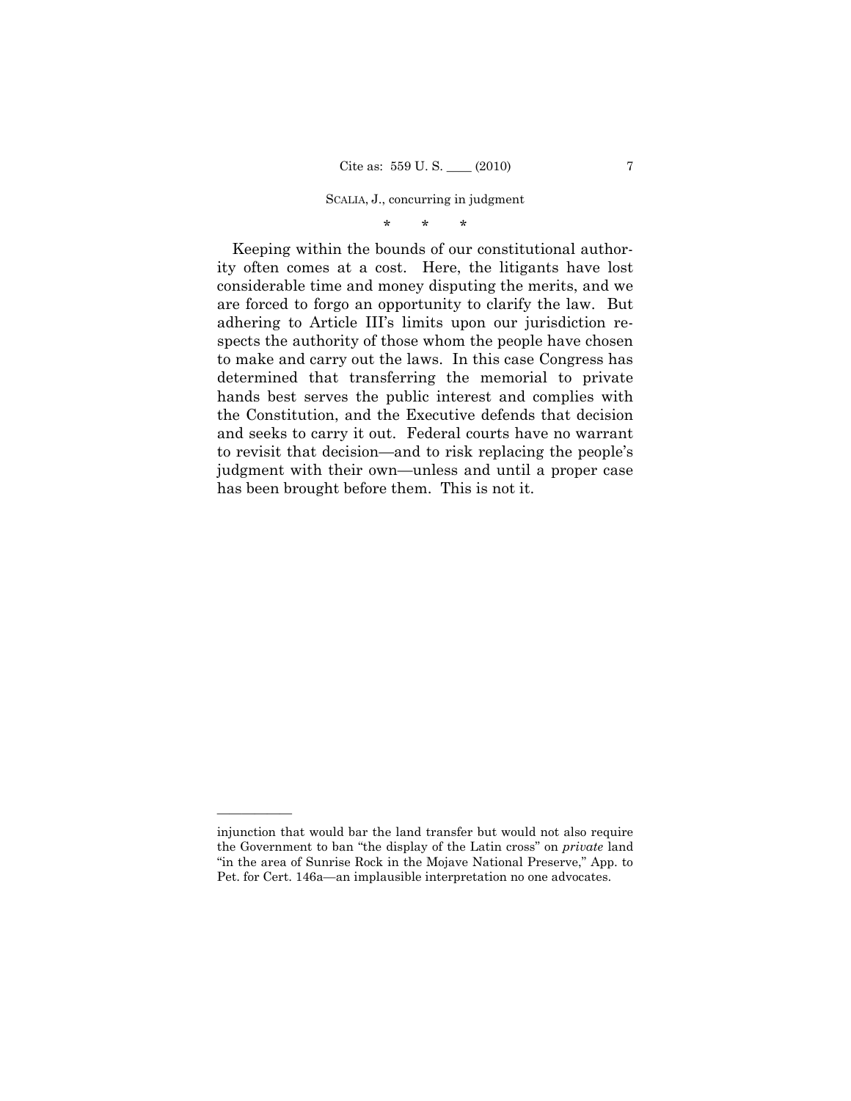\* \* \*

Keeping within the bounds of our constitutional authority often comes at a cost. Here, the litigants have lost considerable time and money disputing the merits, and we are forced to forgo an opportunity to clarify the law. But adhering to Article III's limits upon our jurisdiction respects the authority of those whom the people have chosen to make and carry out the laws. In this case Congress has determined that transferring the memorial to private hands best serves the public interest and complies with the Constitution, and the Executive defends that decision and seeks to carry it out. Federal courts have no warrant to revisit that decision—and to risk replacing the people's judgment with their own—unless and until a proper case has been brought before them. This is not it.

injunction that would bar the land transfer but would not also require the Government to ban "the display of the Latin cross" on *private* land "in the area of Sunrise Rock in the Mojave National Preserve," App. to Pet. for Cert. 146a—an implausible interpretation no one advocates.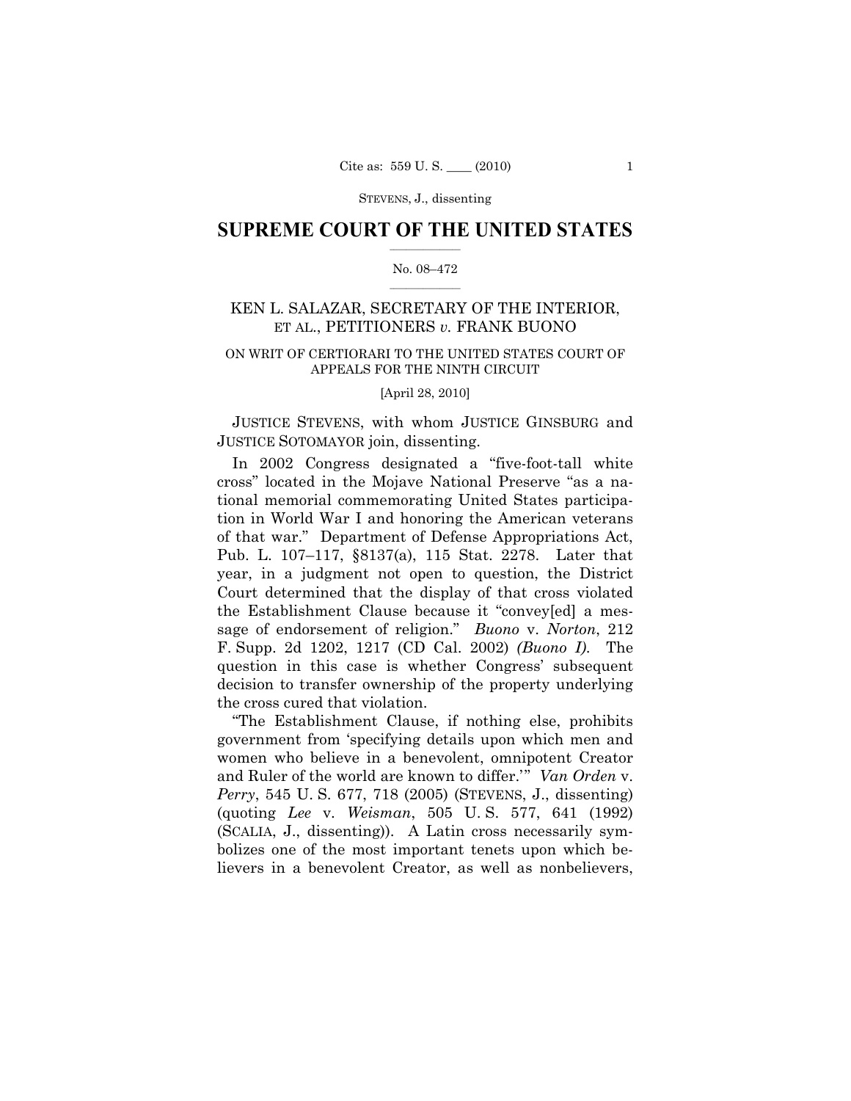# $\frac{1}{2}$  ,  $\frac{1}{2}$  ,  $\frac{1}{2}$  ,  $\frac{1}{2}$  ,  $\frac{1}{2}$  ,  $\frac{1}{2}$  ,  $\frac{1}{2}$ **SUPREME COURT OF THE UNITED STATES**

## $\frac{1}{2}$  ,  $\frac{1}{2}$  ,  $\frac{1}{2}$  ,  $\frac{1}{2}$  ,  $\frac{1}{2}$  ,  $\frac{1}{2}$ No. 08–472

# KEN L. SALAZAR, SECRETARY OF THE INTERIOR, ET AL., PETITIONERS *v.* FRANK BUONO

# ON WRIT OF CERTIORARI TO THE UNITED STATES COURT OF APPEALS FOR THE NINTH CIRCUIT

[April 28, 2010]

JUSTICE STEVENS, with whom JUSTICE GINSBURG and JUSTICE SOTOMAYOR join, dissenting.

In 2002 Congress designated a "five-foot-tall white cross" located in the Mojave National Preserve "as a national memorial commemorating United States participation in World War I and honoring the American veterans of that war." Department of Defense Appropriations Act, Pub. L. 107–117, §8137(a), 115 Stat. 2278. Later that year, in a judgment not open to question, the District Court determined that the display of that cross violated the Establishment Clause because it "convey[ed] a message of endorsement of religion." *Buono* v. *Norton*, 212 F. Supp. 2d 1202, 1217 (CD Cal. 2002) *(Buono I)*. The question in this case is whether Congress' subsequent decision to transfer ownership of the property underlying the cross cured that violation.

"The Establishment Clause, if nothing else, prohibits government from 'specifying details upon which men and women who believe in a benevolent, omnipotent Creator and Ruler of the world are known to differ.'" *Van Orden* v. *Perry*, 545 U. S. 677, 718 (2005) (STEVENS, J., dissenting) (quoting *Lee* v. *Weisman*, 505 U. S. 577, 641 (1992) (SCALIA, J., dissenting)). A Latin cross necessarily symbolizes one of the most important tenets upon which believers in a benevolent Creator, as well as nonbelievers,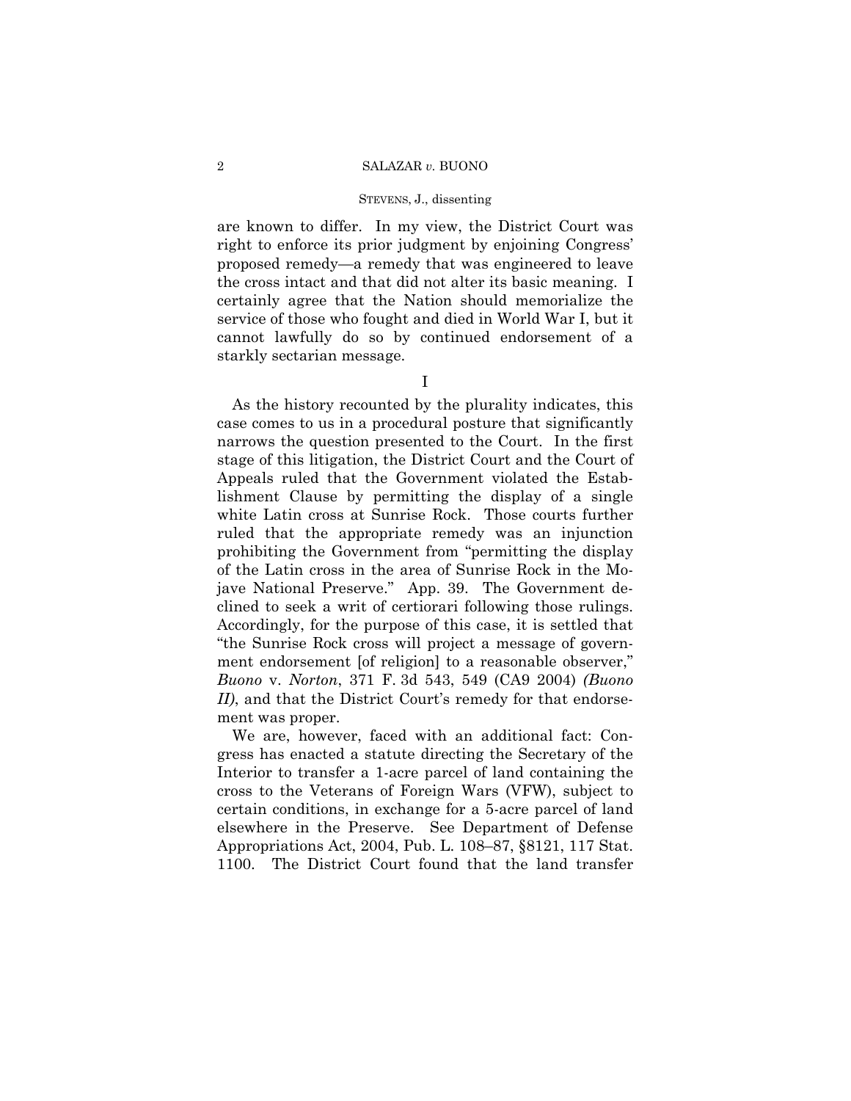#### STEVENS, J., dissenting

are known to differ. In my view, the District Court was right to enforce its prior judgment by enjoining Congress' proposed remedy—a remedy that was engineered to leave the cross intact and that did not alter its basic meaning. I certainly agree that the Nation should memorialize the service of those who fought and died in World War I, but it cannot lawfully do so by continued endorsement of a starkly sectarian message.

I

As the history recounted by the plurality indicates, this case comes to us in a procedural posture that significantly narrows the question presented to the Court. In the first stage of this litigation, the District Court and the Court of Appeals ruled that the Government violated the Establishment Clause by permitting the display of a single white Latin cross at Sunrise Rock. Those courts further ruled that the appropriate remedy was an injunction prohibiting the Government from "permitting the display of the Latin cross in the area of Sunrise Rock in the Mojave National Preserve." App. 39. The Government declined to seek a writ of certiorari following those rulings. Accordingly, for the purpose of this case, it is settled that "the Sunrise Rock cross will project a message of government endorsement [of religion] to a reasonable observer," *Buono* v. *Norton*, 371 F. 3d 543, 549 (CA9 2004) *(Buono II*), and that the District Court's remedy for that endorsement was proper.

We are, however, faced with an additional fact: Congress has enacted a statute directing the Secretary of the Interior to transfer a 1-acre parcel of land containing the cross to the Veterans of Foreign Wars (VFW), subject to certain conditions, in exchange for a 5-acre parcel of land elsewhere in the Preserve. See Department of Defense Appropriations Act, 2004, Pub. L. 108–87, §8121, 117 Stat. 1100. The District Court found that the land transfer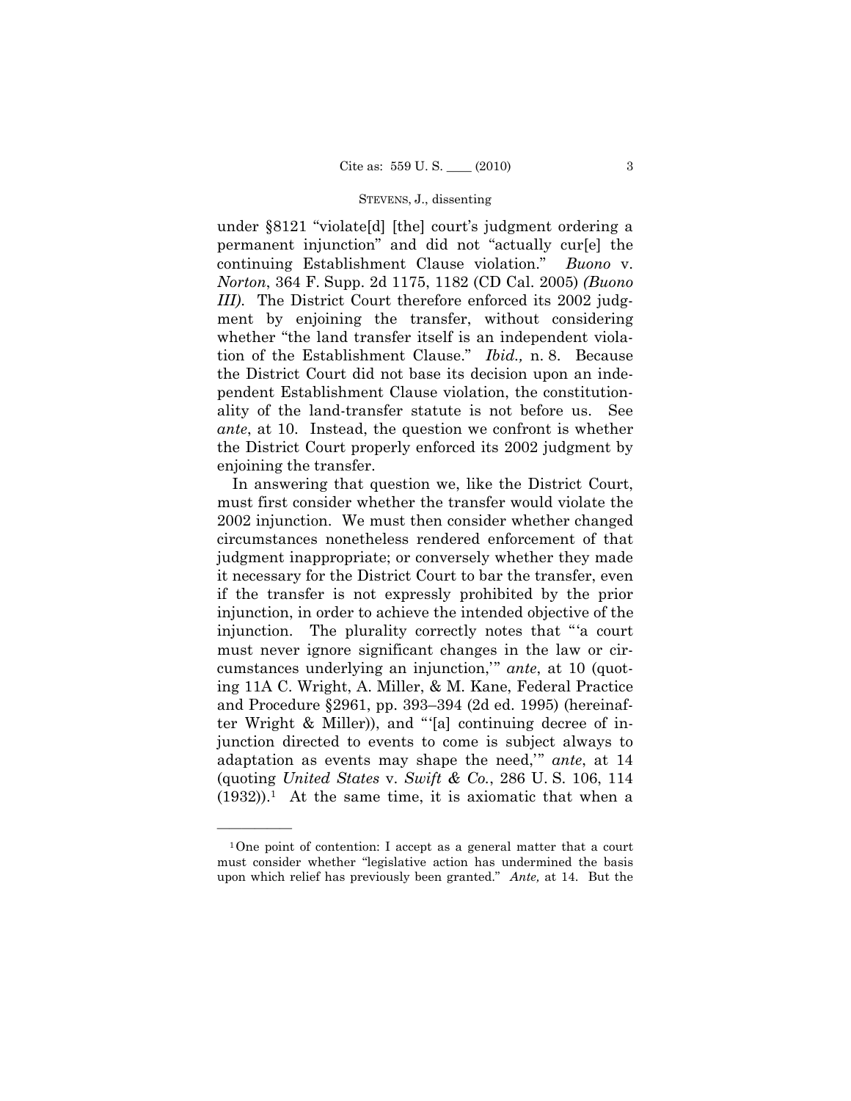under §8121 "violate[d] [the] court's judgment ordering a permanent injunction" and did not "actually cur[e] the continuing Establishment Clause violation." *Buono* v. *Norton*, 364 F. Supp. 2d 1175, 1182 (CD Cal. 2005) *(Buono III)*. The District Court therefore enforced its 2002 judgment by enjoining the transfer, without considering whether "the land transfer itself is an independent violation of the Establishment Clause." *Ibid.,* n. 8. Because the District Court did not base its decision upon an independent Establishment Clause violation, the constitutionality of the land-transfer statute is not before us. See *ante*, at 10. Instead, the question we confront is whether the District Court properly enforced its 2002 judgment by enjoining the transfer.

In answering that question we, like the District Court, must first consider whether the transfer would violate the 2002 injunction. We must then consider whether changed circumstances nonetheless rendered enforcement of that judgment inappropriate; or conversely whether they made it necessary for the District Court to bar the transfer, even if the transfer is not expressly prohibited by the prior injunction, in order to achieve the intended objective of the injunction. The plurality correctly notes that "'a court must never ignore significant changes in the law or circumstances underlying an injunction,'" *ante*, at 10 (quoting 11A C. Wright, A. Miller, & M. Kane, Federal Practice and Procedure §2961, pp. 393–394 (2d ed. 1995) (hereinafter Wright & Miller)), and "'[a] continuing decree of injunction directed to events to come is subject always to adaptation as events may shape the need,'" *ante*, at 14 (quoting *United States* v. *Swift & Co.*, 286 U. S. 106, 114  $(1932)$ ).<sup>1</sup> At the same time, it is axiomatic that when a

<sup>&</sup>lt;sup>1</sup>One point of contention: I accept as a general matter that a court must consider whether "legislative action has undermined the basis upon which relief has previously been granted." *Ante,* at 14. But the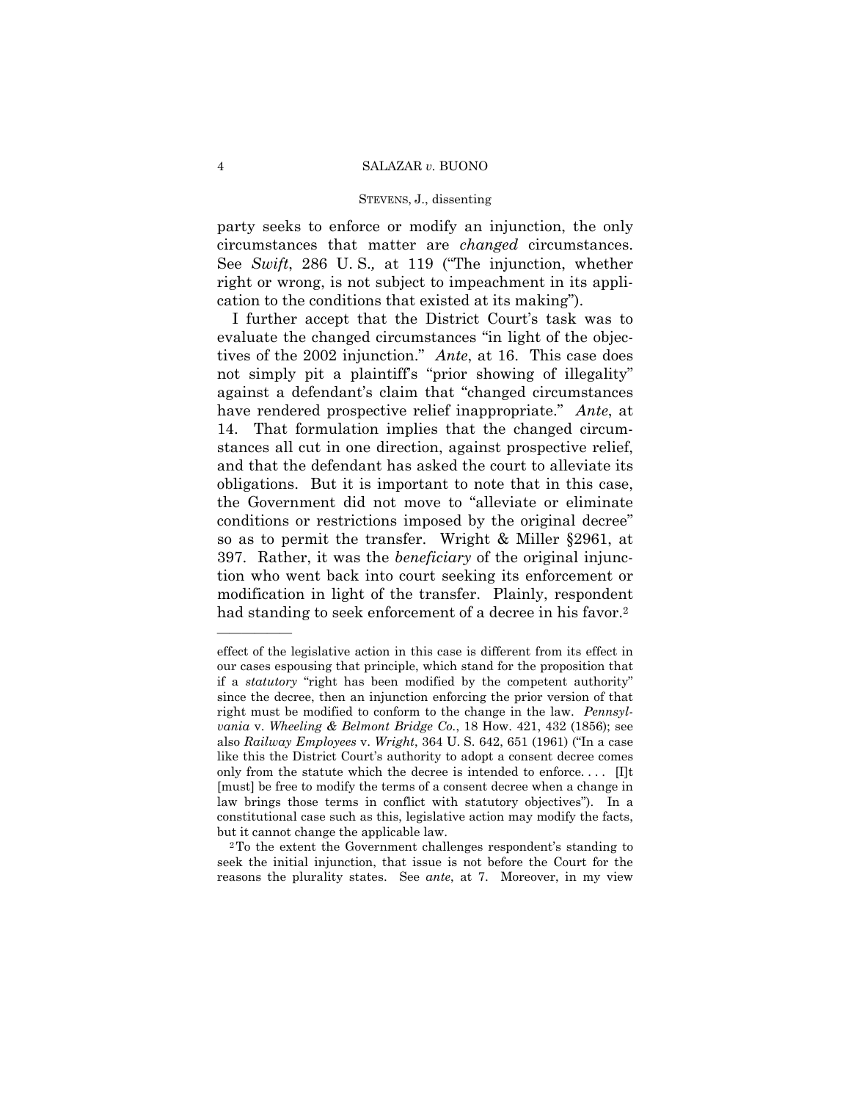#### STEVENS, J., dissenting

party seeks to enforce or modify an injunction, the only circumstances that matter are *changed* circumstances. See *Swift*, 286 U. S.*,* at 119 ("The injunction, whether right or wrong, is not subject to impeachment in its application to the conditions that existed at its making").

I further accept that the District Court's task was to evaluate the changed circumstances "in light of the objectives of the 2002 injunction." *Ante*, at 16. This case does not simply pit a plaintiff's "prior showing of illegality" against a defendant's claim that "changed circumstances have rendered prospective relief inappropriate." *Ante*, at 14. That formulation implies that the changed circumstances all cut in one direction, against prospective relief, and that the defendant has asked the court to alleviate its obligations. But it is important to note that in this case, the Government did not move to "alleviate or eliminate conditions or restrictions imposed by the original decree" so as to permit the transfer. Wright & Miller §2961, at 397. Rather, it was the *beneficiary* of the original injunction who went back into court seeking its enforcement or modification in light of the transfer. Plainly, respondent had standing to seek enforcement of a decree in his favor.<sup>2</sup>

effect of the legislative action in this case is different from its effect in our cases espousing that principle, which stand for the proposition that if a *statutory* "right has been modified by the competent authority" since the decree, then an injunction enforcing the prior version of that right must be modified to conform to the change in the law. *Pennsylvania* v. *Wheeling & Belmont Bridge Co.*, 18 How. 421, 432 (1856); see also *Railway Employees* v. *Wright*, 364 U. S. 642, 651 (1961) ("In a case like this the District Court's authority to adopt a consent decree comes only from the statute which the decree is intended to enforce....  $[1]$ t [must] be free to modify the terms of a consent decree when a change in law brings those terms in conflict with statutory objectives"). In a constitutional case such as this, legislative action may modify the facts, but it cannot change the applicable law.<br><sup>2</sup>To the extent the Government challenges respondent's standing to

seek the initial injunction, that issue is not before the Court for the reasons the plurality states. See *ante*, at 7. Moreover, in my view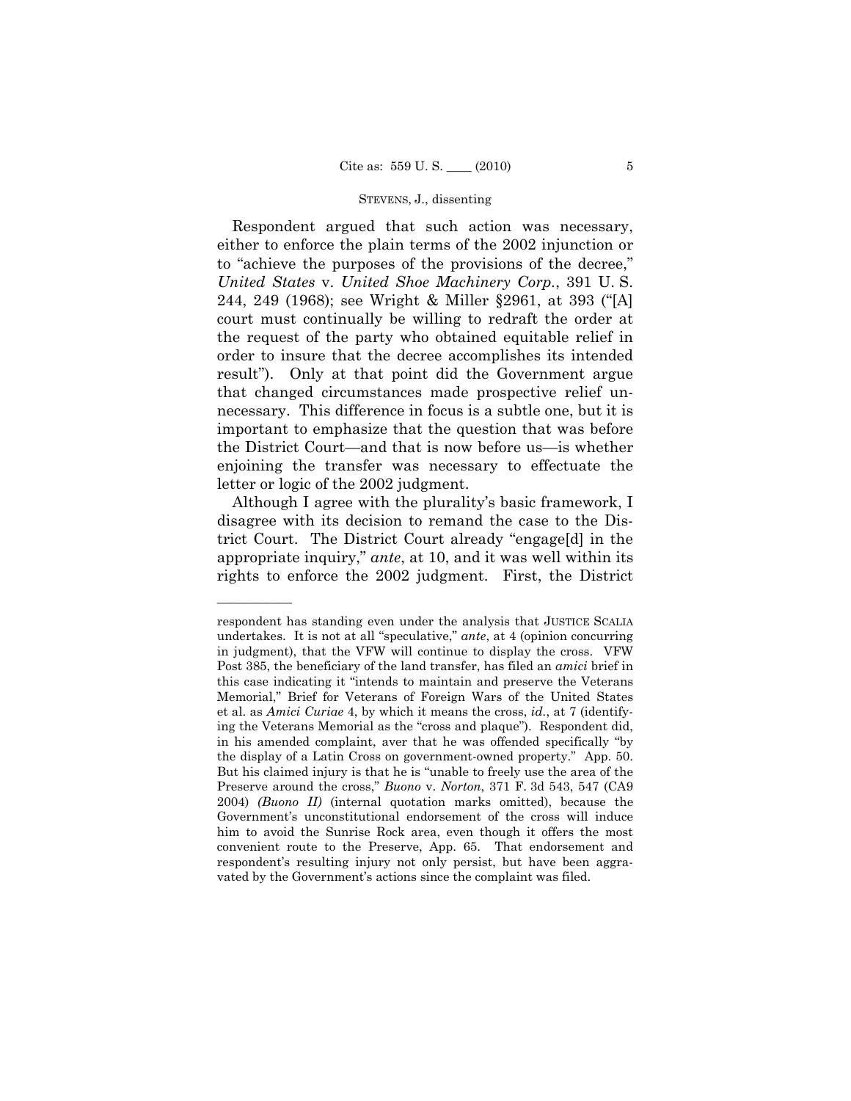Respondent argued that such action was necessary, either to enforce the plain terms of the 2002 injunction or to "achieve the purposes of the provisions of the decree," *United States* v. *United Shoe Machinery Corp.*, 391 U. S. 244, 249 (1968); see Wright & Miller §2961, at 393 ("[A] court must continually be willing to redraft the order at the request of the party who obtained equitable relief in order to insure that the decree accomplishes its intended result"). Only at that point did the Government argue that changed circumstances made prospective relief unnecessary. This difference in focus is a subtle one, but it is important to emphasize that the question that was before the District Court—and that is now before us—is whether enjoining the transfer was necessary to effectuate the letter or logic of the 2002 judgment.

Although I agree with the plurality's basic framework, I disagree with its decision to remand the case to the District Court. The District Court already "engage[d] in the appropriate inquiry," *ante*, at 10, and it was well within its rights to enforce the 2002 judgment. First, the District

respondent has standing even under the analysis that JUSTICE SCALIA undertakes. It is not at all "speculative," *ante*, at 4 (opinion concurring in judgment), that the VFW will continue to display the cross. VFW Post 385, the beneficiary of the land transfer, has filed an *amici* brief in this case indicating it "intends to maintain and preserve the Veterans Memorial," Brief for Veterans of Foreign Wars of the United States et al. as *Amici Curiae* 4, by which it means the cross, *id.*, at 7 (identifying the Veterans Memorial as the "cross and plaque"). Respondent did, in his amended complaint, aver that he was offended specifically "by the display of a Latin Cross on government-owned property." App. 50. But his claimed injury is that he is "unable to freely use the area of the Preserve around the cross," *Buono* v. *Norton*, 371 F. 3d 543, 547 (CA9 2004) *(Buono II)* (internal quotation marks omitted), because the Government's unconstitutional endorsement of the cross will induce him to avoid the Sunrise Rock area, even though it offers the most convenient route to the Preserve, App. 65. That endorsement and respondent's resulting injury not only persist, but have been aggravated by the Government's actions since the complaint was filed.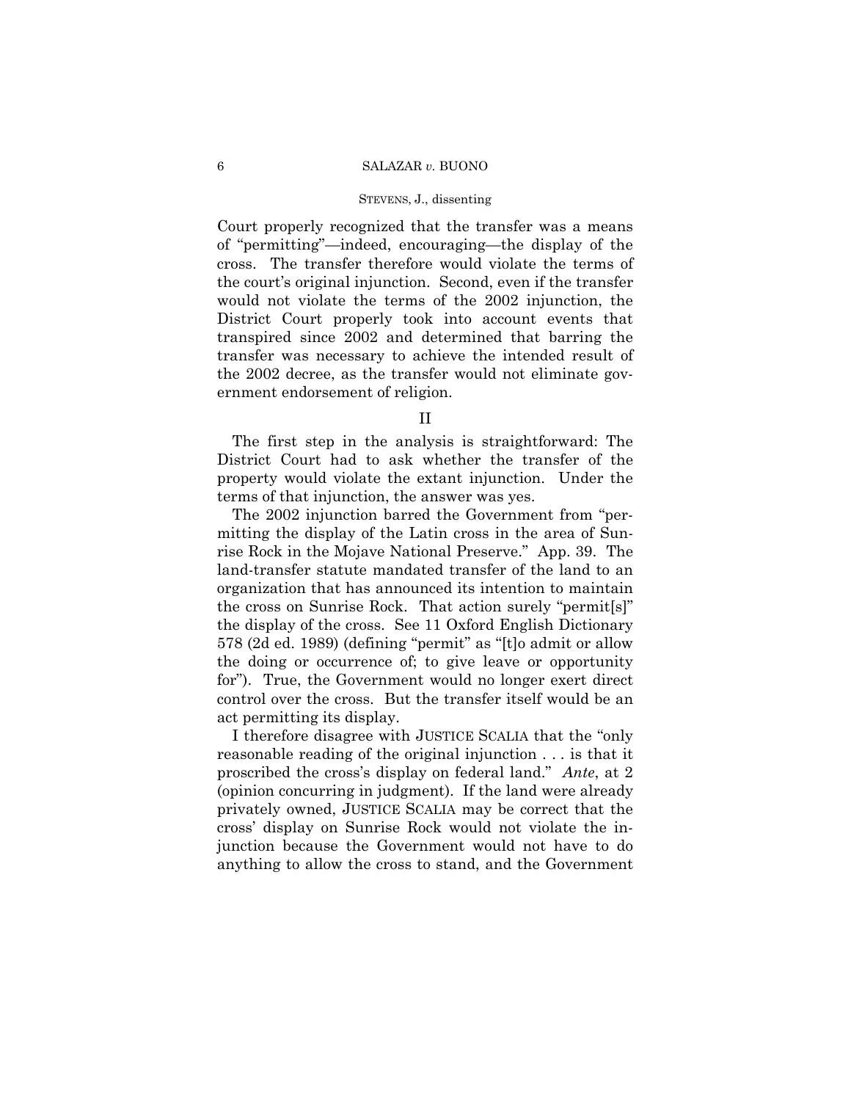#### STEVENS, J., dissenting

Court properly recognized that the transfer was a means of "permitting"—indeed, encouraging—the display of the cross. The transfer therefore would violate the terms of the court's original injunction. Second, even if the transfer would not violate the terms of the 2002 injunction, the District Court properly took into account events that transpired since 2002 and determined that barring the transfer was necessary to achieve the intended result of the 2002 decree, as the transfer would not eliminate government endorsement of religion.

II

The first step in the analysis is straightforward: The District Court had to ask whether the transfer of the property would violate the extant injunction. Under the terms of that injunction, the answer was yes.

The 2002 injunction barred the Government from "permitting the display of the Latin cross in the area of Sunrise Rock in the Mojave National Preserve." App. 39. The land-transfer statute mandated transfer of the land to an organization that has announced its intention to maintain the cross on Sunrise Rock. That action surely "permit[s]" the display of the cross. See 11 Oxford English Dictionary 578 (2d ed. 1989) (defining "permit" as "[t]o admit or allow the doing or occurrence of; to give leave or opportunity for"). True, the Government would no longer exert direct control over the cross. But the transfer itself would be an act permitting its display.

I therefore disagree with JUSTICE SCALIA that the "only reasonable reading of the original injunction . . . is that it proscribed the cross's display on federal land." *Ante*, at 2 (opinion concurring in judgment). If the land were already privately owned, JUSTICE SCALIA may be correct that the cross' display on Sunrise Rock would not violate the injunction because the Government would not have to do anything to allow the cross to stand, and the Government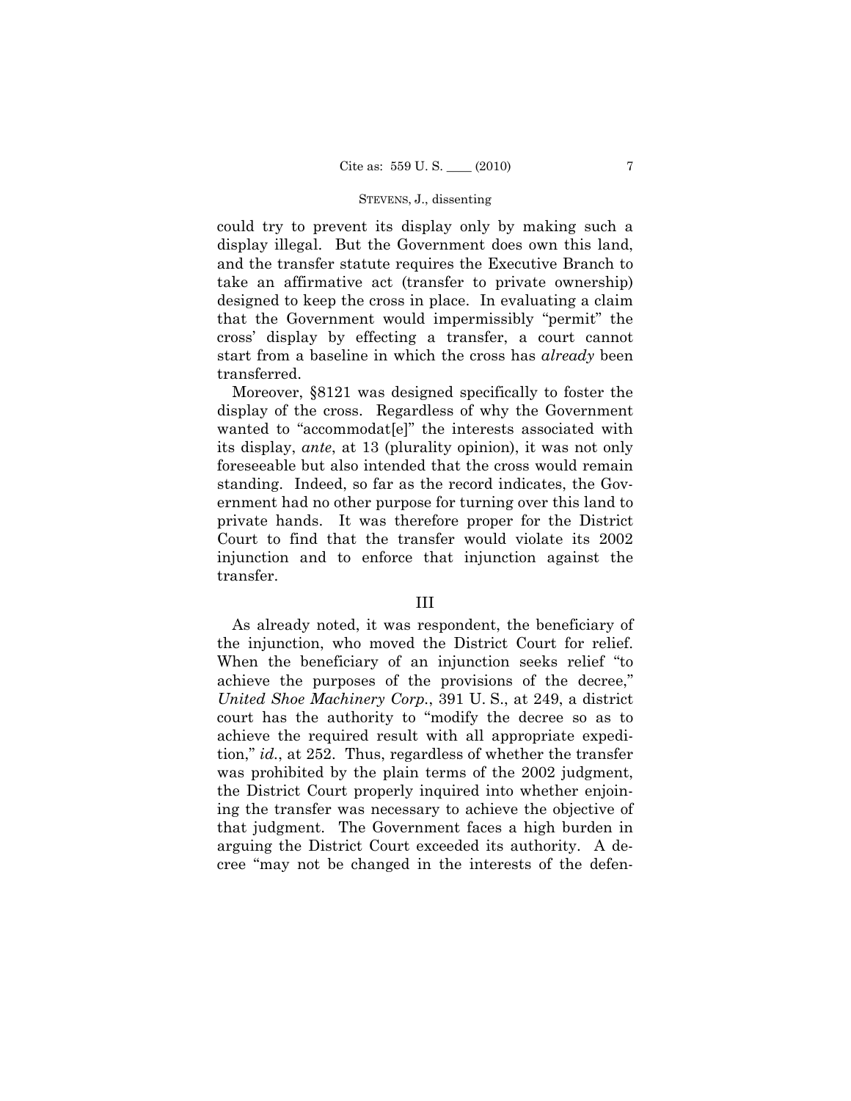could try to prevent its display only by making such a display illegal. But the Government does own this land, and the transfer statute requires the Executive Branch to take an affirmative act (transfer to private ownership) designed to keep the cross in place. In evaluating a claim that the Government would impermissibly "permit" the cross' display by effecting a transfer, a court cannot start from a baseline in which the cross has *already* been transferred.

Moreover, §8121 was designed specifically to foster the display of the cross. Regardless of why the Government wanted to "accommodat[e]" the interests associated with its display, *ante*, at 13 (plurality opinion), it was not only foreseeable but also intended that the cross would remain standing. Indeed, so far as the record indicates, the Government had no other purpose for turning over this land to private hands. It was therefore proper for the District Court to find that the transfer would violate its 2002 injunction and to enforce that injunction against the transfer.

#### III

As already noted, it was respondent, the beneficiary of the injunction, who moved the District Court for relief. When the beneficiary of an injunction seeks relief "to achieve the purposes of the provisions of the decree," *United Shoe Machinery Corp.*, 391 U. S., at 249, a district court has the authority to "modify the decree so as to achieve the required result with all appropriate expedition," *id.*, at 252. Thus, regardless of whether the transfer was prohibited by the plain terms of the 2002 judgment, the District Court properly inquired into whether enjoining the transfer was necessary to achieve the objective of that judgment. The Government faces a high burden in arguing the District Court exceeded its authority. A decree "may not be changed in the interests of the defen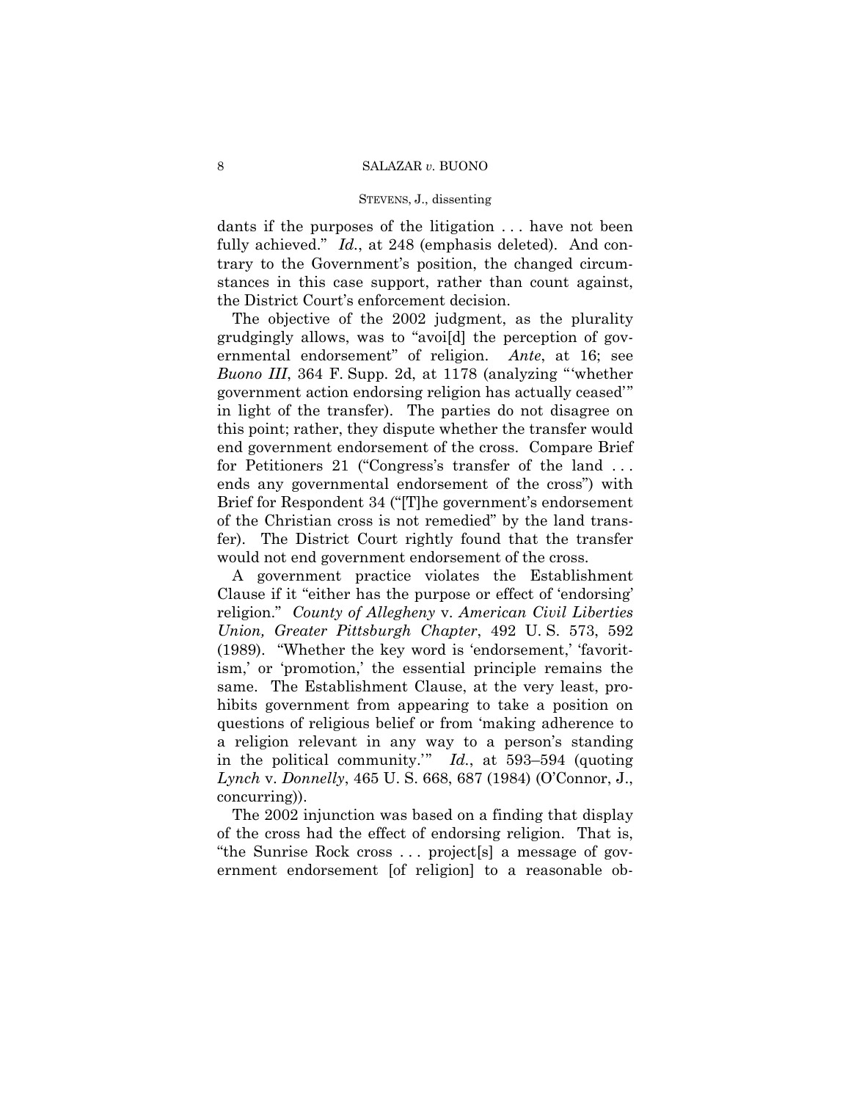#### STEVENS, J., dissenting

dants if the purposes of the litigation ... have not been fully achieved." *Id.*, at 248 (emphasis deleted). And contrary to the Government's position, the changed circumstances in this case support, rather than count against, the District Court's enforcement decision.

The objective of the 2002 judgment, as the plurality grudgingly allows, was to "avoi[d] the perception of governmental endorsement" of religion. *Ante*, at 16; see *Buono III*, 364 F. Supp. 2d, at 1178 (analyzing "'whether government action endorsing religion has actually ceased'" in light of the transfer). The parties do not disagree on this point; rather, they dispute whether the transfer would end government endorsement of the cross. Compare Brief for Petitioners 21 ("Congress's transfer of the land . . . ends any governmental endorsement of the cross") with Brief for Respondent 34 ("[T]he government's endorsement of the Christian cross is not remedied" by the land transfer). The District Court rightly found that the transfer would not end government endorsement of the cross.

A government practice violates the Establishment Clause if it "either has the purpose or effect of 'endorsing' religion." *County of Allegheny* v. *American Civil Liberties Union, Greater Pittsburgh Chapter*, 492 U. S. 573, 592 (1989). "Whether the key word is 'endorsement,' 'favoritism,' or 'promotion,' the essential principle remains the same. The Establishment Clause, at the very least, prohibits government from appearing to take a position on questions of religious belief or from 'making adherence to a religion relevant in any way to a person's standing in the political community.'" *Id.*, at 593–594 (quoting *Lynch* v. *Donnelly*, 465 U. S. 668, 687 (1984) (O'Connor, J., concurring)).

The 2002 injunction was based on a finding that display of the cross had the effect of endorsing religion. That is, "the Sunrise Rock cross . . . project[s] a message of government endorsement [of religion] to a reasonable ob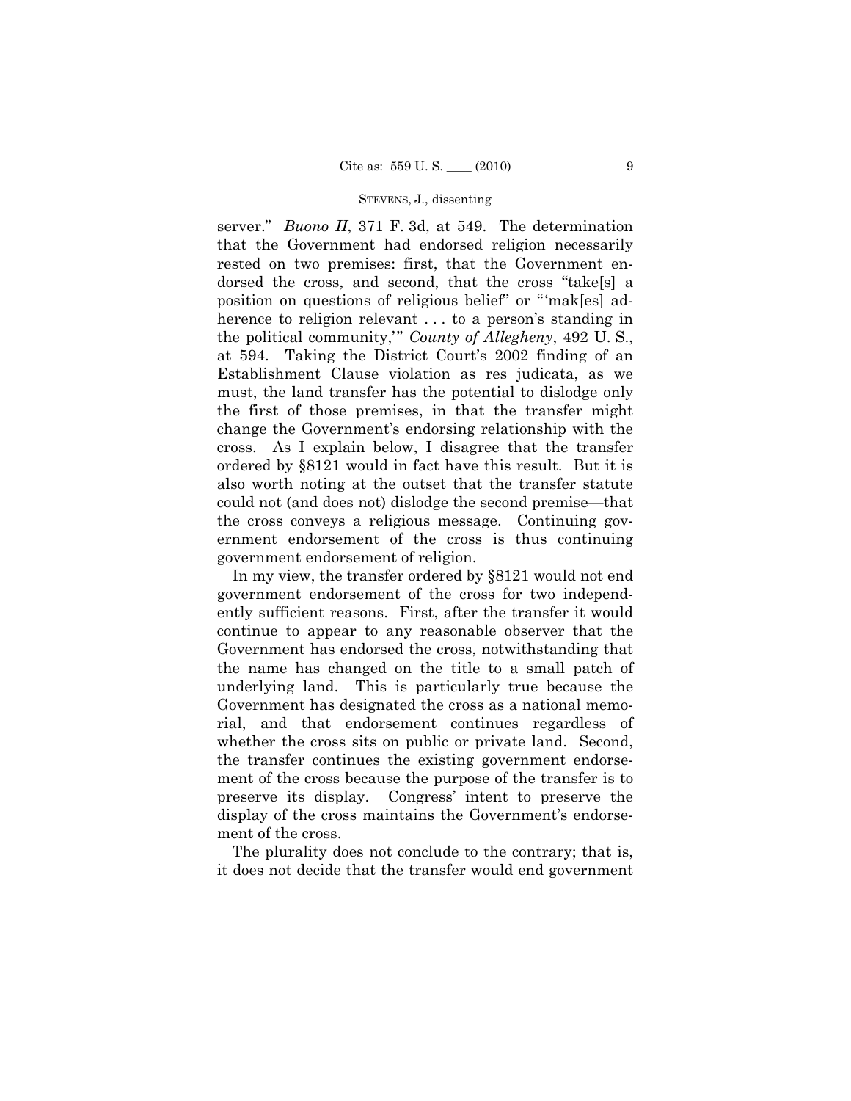server." *Buono II*, 371 F. 3d, at 549. The determination that the Government had endorsed religion necessarily rested on two premises: first, that the Government endorsed the cross, and second, that the cross "take[s] a position on questions of religious belief" or "'mak[es] adherence to religion relevant ... to a person's standing in the political community,'" *County of Allegheny*, 492 U. S., at 594. Taking the District Court's 2002 finding of an Establishment Clause violation as res judicata, as we must, the land transfer has the potential to dislodge only the first of those premises, in that the transfer might change the Government's endorsing relationship with the cross. As I explain below, I disagree that the transfer ordered by §8121 would in fact have this result. But it is also worth noting at the outset that the transfer statute could not (and does not) dislodge the second premise—that the cross conveys a religious message. Continuing government endorsement of the cross is thus continuing government endorsement of religion.

In my view, the transfer ordered by §8121 would not end government endorsement of the cross for two independently sufficient reasons. First, after the transfer it would continue to appear to any reasonable observer that the Government has endorsed the cross, notwithstanding that the name has changed on the title to a small patch of underlying land. This is particularly true because the Government has designated the cross as a national memorial, and that endorsement continues regardless of whether the cross sits on public or private land. Second, the transfer continues the existing government endorsement of the cross because the purpose of the transfer is to preserve its display. Congress' intent to preserve the display of the cross maintains the Government's endorsement of the cross.

The plurality does not conclude to the contrary; that is, it does not decide that the transfer would end government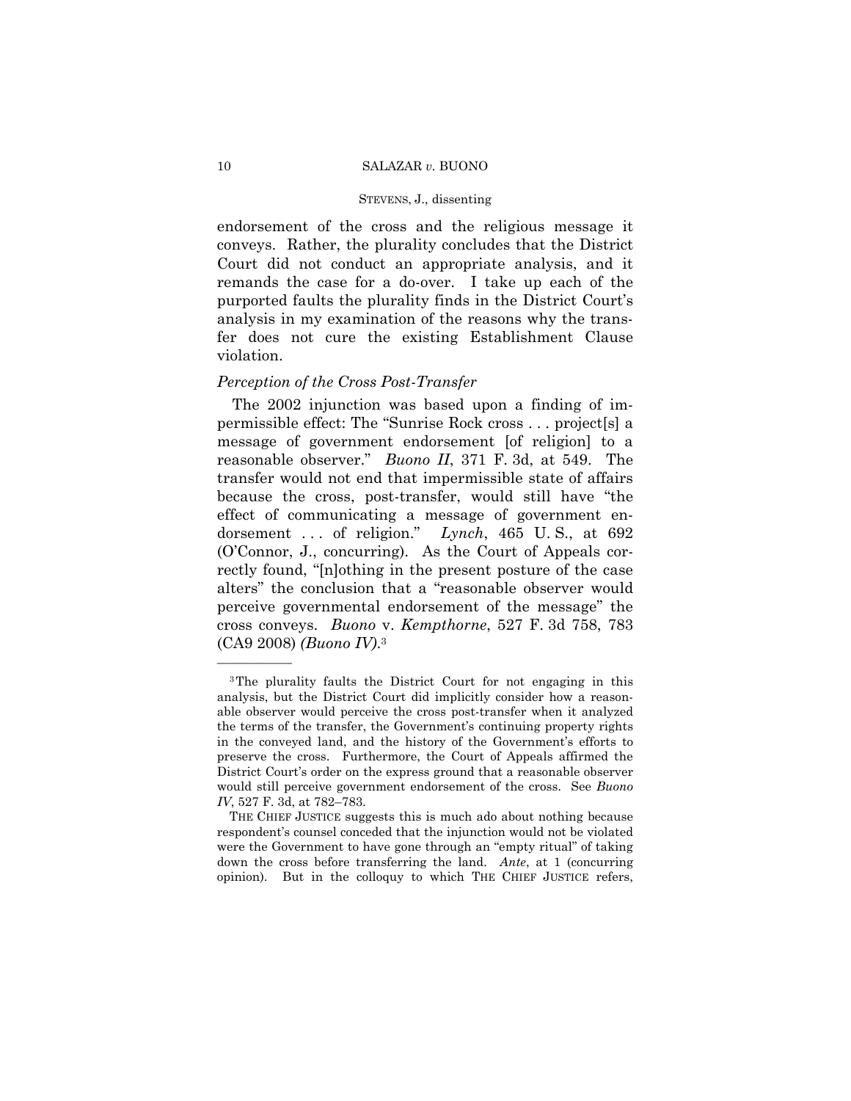#### STEVENS, J., dissenting

endorsement of the cross and the religious message it conveys. Rather, the plurality concludes that the District Court did not conduct an appropriate analysis, and it remands the case for a do-over. I take up each of the purported faults the plurality finds in the District Court's analysis in my examination of the reasons why the transfer does not cure the existing Establishment Clause violation.

# *Perception of the Cross Post-Transfer*

The 2002 injunction was based upon a finding of impermissible effect: The "Sunrise Rock cross . . . project[s] a message of government endorsement [of religion] to a reasonable observer." *Buono II*, 371 F. 3d, at 549. The transfer would not end that impermissible state of affairs because the cross, post-transfer, would still have "the effect of communicating a message of government endorsement . . . of religion." *Lynch*, 465 U. S., at 692 (O'Connor, J., concurring). As the Court of Appeals correctly found, "[n]othing in the present posture of the case alters" the conclusion that a "reasonable observer would perceive governmental endorsement of the message" the cross conveys. *Buono* v. *Kempthorne*, 527 F. 3d 758, 783 (CA9 2008) *(Buono IV)*. 3

<sup>3</sup>The plurality faults the District Court for not engaging in this analysis, but the District Court did implicitly consider how a reasonable observer would perceive the cross post-transfer when it analyzed the terms of the transfer, the Government's continuing property rights in the conveyed land, and the history of the Government's efforts to preserve the cross. Furthermore, the Court of Appeals affirmed the District Court's order on the express ground that a reasonable observer would still perceive government endorsement of the cross. See *Buono IV*, 527 F. 3d, at 782–783.

THE CHIEF JUSTICE suggests this is much ado about nothing because respondent's counsel conceded that the injunction would not be violated were the Government to have gone through an "empty ritual" of taking down the cross before transferring the land. *Ante*, at 1 (concurring opinion). But in the colloquy to which THE CHIEF JUSTICE refers,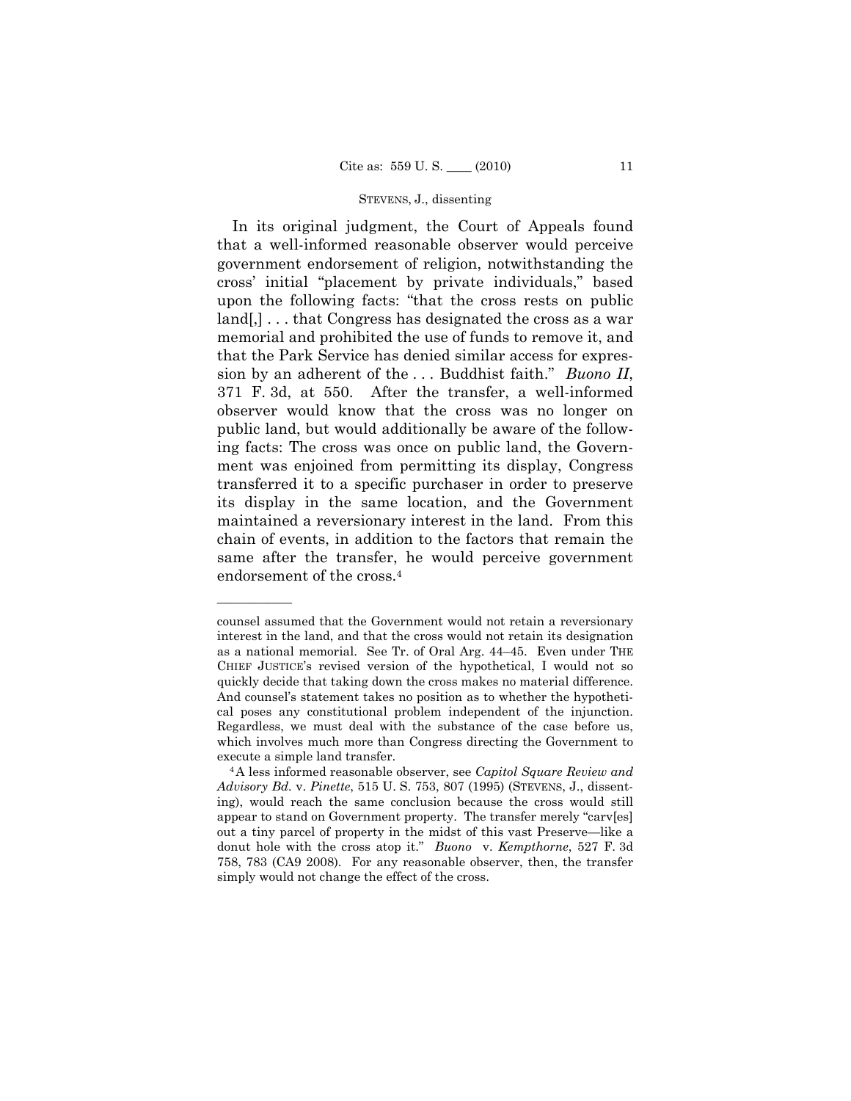In its original judgment, the Court of Appeals found that a well-informed reasonable observer would perceive government endorsement of religion, notwithstanding the cross' initial "placement by private individuals," based upon the following facts: "that the cross rests on public land[,] . . . that Congress has designated the cross as a war memorial and prohibited the use of funds to remove it, and that the Park Service has denied similar access for expression by an adherent of the . . . Buddhist faith." *Buono II*, 371 F. 3d, at 550. After the transfer, a well-informed observer would know that the cross was no longer on public land, but would additionally be aware of the following facts: The cross was once on public land, the Government was enjoined from permitting its display, Congress transferred it to a specific purchaser in order to preserve its display in the same location, and the Government maintained a reversionary interest in the land. From this chain of events, in addition to the factors that remain the same after the transfer, he would perceive government endorsement of the cross.4

counsel assumed that the Government would not retain a reversionary interest in the land, and that the cross would not retain its designation as a national memorial. See Tr. of Oral Arg. 44–45. Even under THE CHIEF JUSTICE's revised version of the hypothetical, I would not so quickly decide that taking down the cross makes no material difference. And counsel's statement takes no position as to whether the hypothetical poses any constitutional problem independent of the injunction. Regardless, we must deal with the substance of the case before us, which involves much more than Congress directing the Government to execute a simple land transfer.

<sup>4</sup>A less informed reasonable observer, see *Capitol Square Review and Advisory Bd.* v. *Pinette*, 515 U. S. 753, 807 (1995) (STEVENS, J., dissenting), would reach the same conclusion because the cross would still appear to stand on Government property. The transfer merely "carv[es] out a tiny parcel of property in the midst of this vast Preserve—like a donut hole with the cross atop it." *Buono* v. *Kempthorne*, 527 F. 3d 758, 783 (CA9 2008). For any reasonable observer, then, the transfer simply would not change the effect of the cross.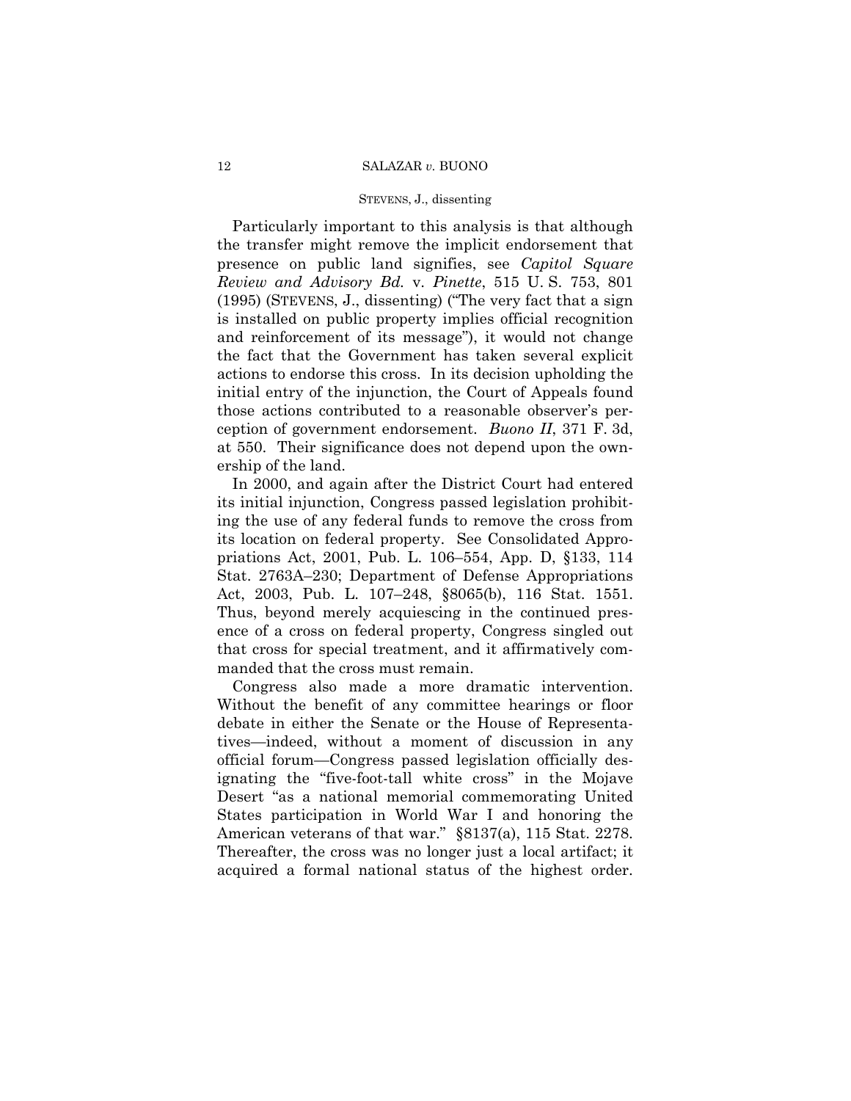#### STEVENS, J., dissenting

Particularly important to this analysis is that although the transfer might remove the implicit endorsement that presence on public land signifies, see *Capitol Square Review and Advisory Bd.* v. *Pinette*, 515 U. S. 753, 801 (1995) (STEVENS, J., dissenting) ("The very fact that a sign is installed on public property implies official recognition and reinforcement of its message"), it would not change the fact that the Government has taken several explicit actions to endorse this cross. In its decision upholding the initial entry of the injunction, the Court of Appeals found those actions contributed to a reasonable observer's perception of government endorsement. *Buono II*, 371 F. 3d, at 550. Their significance does not depend upon the ownership of the land.

In 2000, and again after the District Court had entered its initial injunction, Congress passed legislation prohibiting the use of any federal funds to remove the cross from its location on federal property. See Consolidated Appropriations Act, 2001, Pub. L. 106–554, App. D, §133, 114 Stat. 2763A–230; Department of Defense Appropriations Act, 2003, Pub. L. 107–248, §8065(b), 116 Stat. 1551. Thus, beyond merely acquiescing in the continued presence of a cross on federal property, Congress singled out that cross for special treatment, and it affirmatively commanded that the cross must remain.

Congress also made a more dramatic intervention. Without the benefit of any committee hearings or floor debate in either the Senate or the House of Representatives—indeed, without a moment of discussion in any official forum—Congress passed legislation officially designating the "five-foot-tall white cross" in the Mojave Desert "as a national memorial commemorating United States participation in World War I and honoring the American veterans of that war." §8137(a), 115 Stat. 2278. Thereafter, the cross was no longer just a local artifact; it acquired a formal national status of the highest order.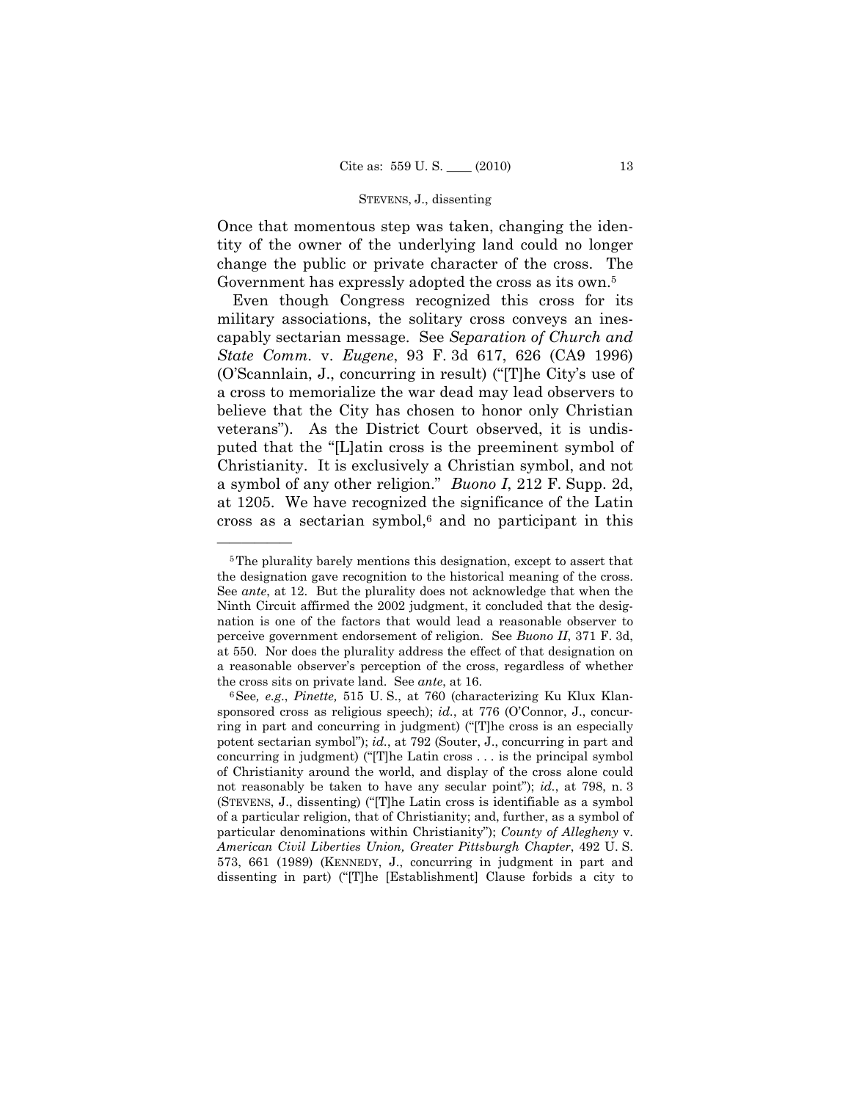Once that momentous step was taken, changing the identity of the owner of the underlying land could no longer change the public or private character of the cross. The Government has expressly adopted the cross as its own.<sup>5</sup>

Even though Congress recognized this cross for its military associations, the solitary cross conveys an inescapably sectarian message. See *Separation of Church and State Comm.* v. *Eugene*, 93 F. 3d 617, 626 (CA9 1996) (O'Scannlain, J., concurring in result) ("[T]he City's use of a cross to memorialize the war dead may lead observers to believe that the City has chosen to honor only Christian veterans"). As the District Court observed, it is undisputed that the "[L]atin cross is the preeminent symbol of Christianity. It is exclusively a Christian symbol, and not a symbol of any other religion." *Buono I*, 212 F. Supp. 2d, at 1205. We have recognized the significance of the Latin cross as a sectarian symbol, $6$  and no participant in this

<sup>5</sup>The plurality barely mentions this designation, except to assert that the designation gave recognition to the historical meaning of the cross. See *ante*, at 12. But the plurality does not acknowledge that when the Ninth Circuit affirmed the 2002 judgment, it concluded that the designation is one of the factors that would lead a reasonable observer to perceive government endorsement of religion. See *Buono II*, 371 F. 3d, at 550. Nor does the plurality address the effect of that designation on a reasonable observer's perception of the cross, regardless of whether

the cross sits on private land. See *ante*, at 16.<br><sup>6</sup>See, *e.g.*, *Pinette*, 515 U. S., at 760 (characterizing Ku Klux Klansponsored cross as religious speech); *id.*, at 776 (O'Connor, J., concurring in part and concurring in judgment) ("[T]he cross is an especially potent sectarian symbol"); *id.*, at 792 (Souter, J., concurring in part and concurring in judgment) ("[T]he Latin cross . . . is the principal symbol of Christianity around the world, and display of the cross alone could not reasonably be taken to have any secular point"); *id.*, at 798, n. 3 (STEVENS, J., dissenting) ("[T]he Latin cross is identifiable as a symbol of a particular religion, that of Christianity; and, further, as a symbol of particular denominations within Christianity"); *County of Allegheny* v. *American Civil Liberties Union, Greater Pittsburgh Chapter*, 492 U. S. 573, 661 (1989) (KENNEDY, J., concurring in judgment in part and dissenting in part) ("[T]he [Establishment] Clause forbids a city to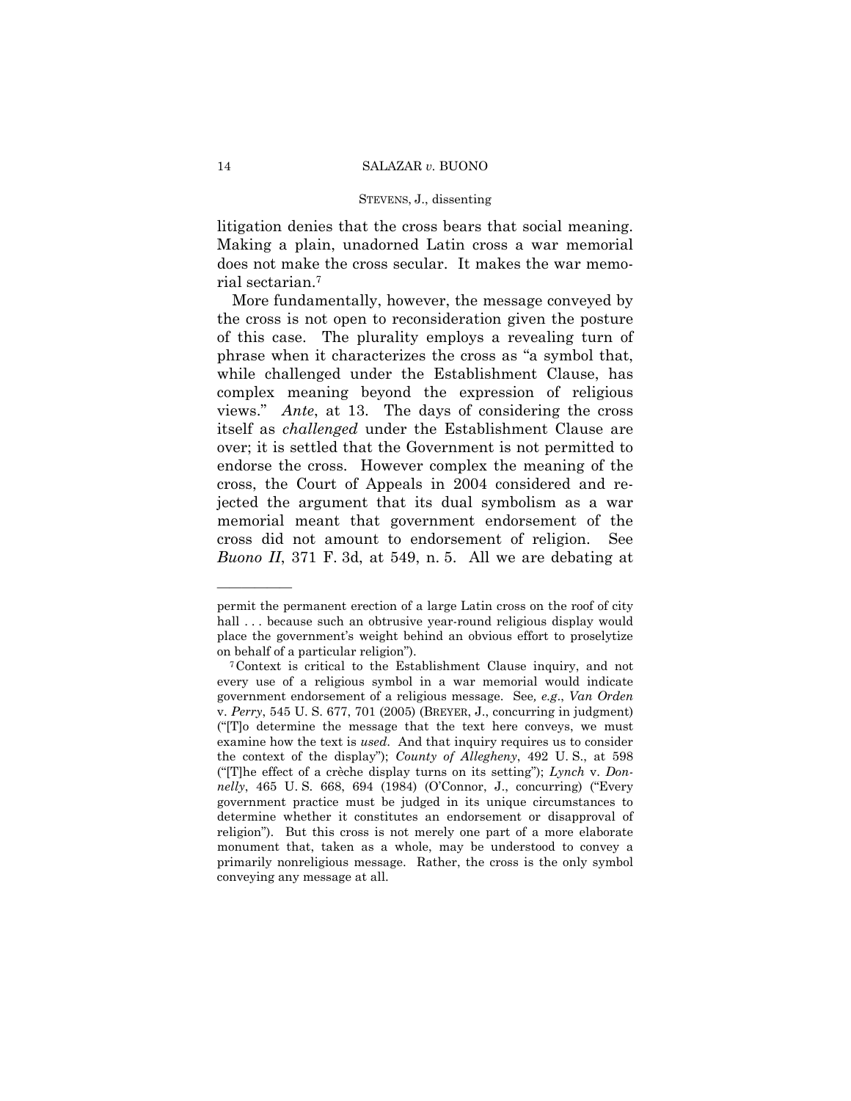#### STEVENS, J., dissenting

litigation denies that the cross bears that social meaning. Making a plain, unadorned Latin cross a war memorial does not make the cross secular. It makes the war memorial sectarian.7

More fundamentally, however, the message conveyed by the cross is not open to reconsideration given the posture of this case. The plurality employs a revealing turn of phrase when it characterizes the cross as "a symbol that, while challenged under the Establishment Clause, has complex meaning beyond the expression of religious views." *Ante*, at 13. The days of considering the cross itself as *challenged* under the Establishment Clause are over; it is settled that the Government is not permitted to endorse the cross. However complex the meaning of the cross, the Court of Appeals in 2004 considered and rejected the argument that its dual symbolism as a war memorial meant that government endorsement of the cross did not amount to endorsement of religion. See *Buono II*, 371 F. 3d, at 549, n. 5. All we are debating at

permit the permanent erection of a large Latin cross on the roof of city hall ... because such an obtrusive year-round religious display would place the government's weight behind an obvious effort to proselytize

on behalf of a particular religion"). 7Context is critical to the Establishment Clause inquiry, and not every use of a religious symbol in a war memorial would indicate government endorsement of a religious message. See*, e.g*., *Van Orden*  v. *Perry*, 545 U. S. 677, 701 (2005) (BREYER, J., concurring in judgment) ("[T]o determine the message that the text here conveys, we must examine how the text is *used*. And that inquiry requires us to consider the context of the display"); *County of Allegheny*, 492 U. S., at 598 ("[T]he effect of a crèche display turns on its setting"); *Lynch* v. *Donnelly*, 465 U. S. 668, 694 (1984) (O'Connor, J., concurring) ("Every government practice must be judged in its unique circumstances to determine whether it constitutes an endorsement or disapproval of religion"). But this cross is not merely one part of a more elaborate monument that, taken as a whole, may be understood to convey a primarily nonreligious message. Rather, the cross is the only symbol conveying any message at all.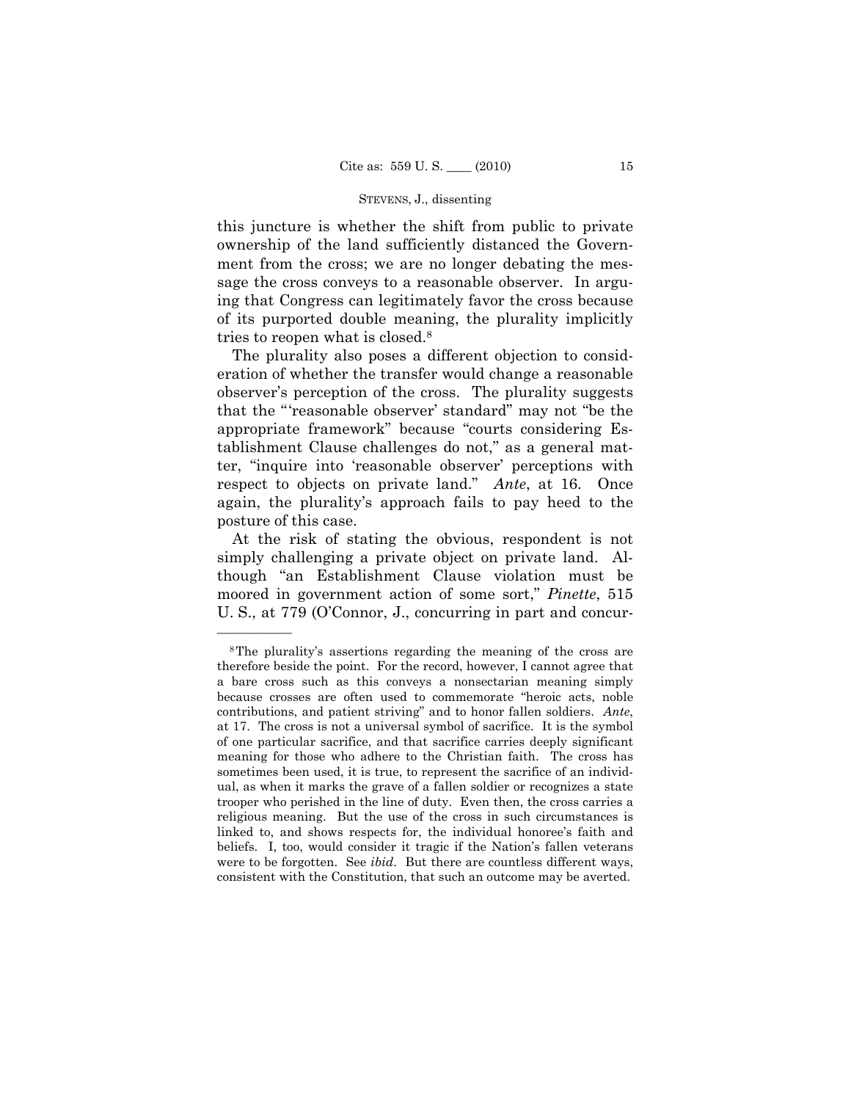this juncture is whether the shift from public to private ownership of the land sufficiently distanced the Government from the cross; we are no longer debating the message the cross conveys to a reasonable observer. In arguing that Congress can legitimately favor the cross because of its purported double meaning, the plurality implicitly tries to reopen what is closed.8

The plurality also poses a different objection to consideration of whether the transfer would change a reasonable observer's perception of the cross. The plurality suggests that the "'reasonable observer' standard" may not "be the appropriate framework" because "courts considering Establishment Clause challenges do not," as a general matter, "inquire into 'reasonable observer' perceptions with respect to objects on private land." *Ante*, at 16. Once again, the plurality's approach fails to pay heed to the posture of this case.

At the risk of stating the obvious, respondent is not simply challenging a private object on private land. Although "an Establishment Clause violation must be moored in government action of some sort," *Pinette*, 515 U. S., at 779 (O'Connor, J., concurring in part and concur

<sup>8</sup>The plurality's assertions regarding the meaning of the cross are therefore beside the point. For the record, however, I cannot agree that a bare cross such as this conveys a nonsectarian meaning simply because crosses are often used to commemorate "heroic acts, noble contributions, and patient striving" and to honor fallen soldiers. *Ante*, at 17. The cross is not a universal symbol of sacrifice. It is the symbol of one particular sacrifice, and that sacrifice carries deeply significant meaning for those who adhere to the Christian faith. The cross has sometimes been used, it is true, to represent the sacrifice of an individual, as when it marks the grave of a fallen soldier or recognizes a state trooper who perished in the line of duty. Even then, the cross carries a religious meaning. But the use of the cross in such circumstances is linked to, and shows respects for, the individual honoree's faith and beliefs. I, too, would consider it tragic if the Nation's fallen veterans were to be forgotten. See *ibid*. But there are countless different ways, consistent with the Constitution, that such an outcome may be averted.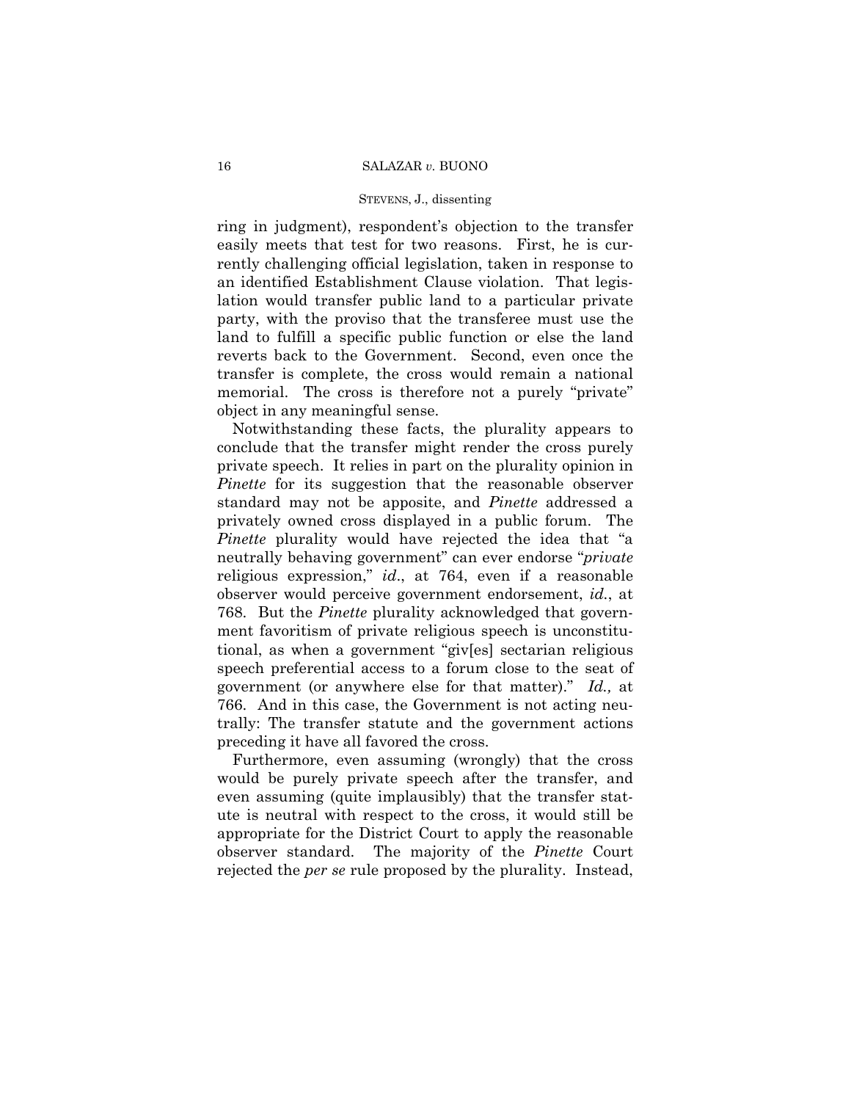#### STEVENS, J., dissenting

ring in judgment), respondent's objection to the transfer easily meets that test for two reasons. First, he is currently challenging official legislation, taken in response to an identified Establishment Clause violation. That legislation would transfer public land to a particular private party, with the proviso that the transferee must use the land to fulfill a specific public function or else the land reverts back to the Government. Second, even once the transfer is complete, the cross would remain a national memorial. The cross is therefore not a purely "private" object in any meaningful sense.

Notwithstanding these facts, the plurality appears to conclude that the transfer might render the cross purely private speech. It relies in part on the plurality opinion in *Pinette* for its suggestion that the reasonable observer standard may not be apposite, and *Pinette* addressed a privately owned cross displayed in a public forum. The *Pinette* plurality would have rejected the idea that "a neutrally behaving government" can ever endorse "*private*  religious expression," *id*., at 764, even if a reasonable observer would perceive government endorsement, *id.*, at 768. But the *Pinette* plurality acknowledged that government favoritism of private religious speech is unconstitutional, as when a government "giv[es] sectarian religious speech preferential access to a forum close to the seat of government (or anywhere else for that matter)." *Id.,* at 766. And in this case, the Government is not acting neutrally: The transfer statute and the government actions preceding it have all favored the cross.

Furthermore, even assuming (wrongly) that the cross would be purely private speech after the transfer, and even assuming (quite implausibly) that the transfer statute is neutral with respect to the cross, it would still be appropriate for the District Court to apply the reasonable observer standard. The majority of the *Pinette* Court rejected the *per se* rule proposed by the plurality. Instead,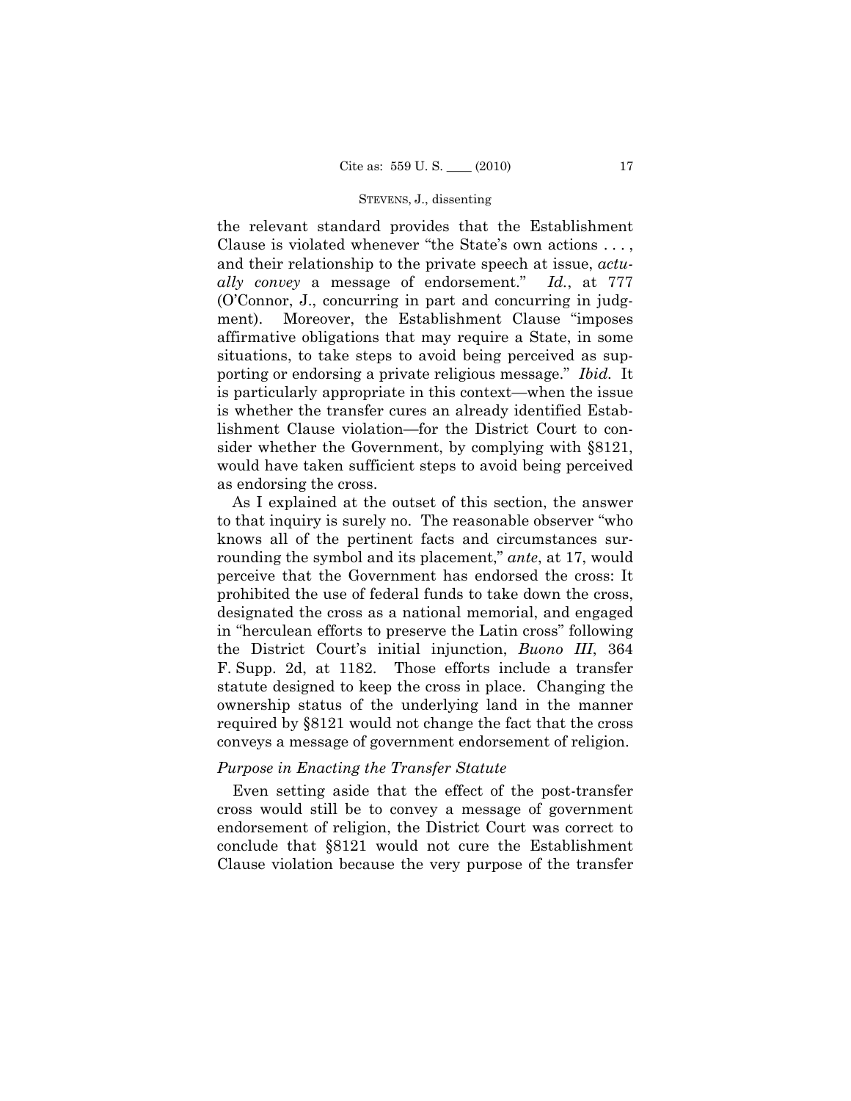the relevant standard provides that the Establishment Clause is violated whenever "the State's own actions . . . , and their relationship to the private speech at issue, *actually convey* a message of endorsement." *Id.*, at 777 (O'Connor, J., concurring in part and concurring in judgment). Moreover, the Establishment Clause "imposes affirmative obligations that may require a State, in some situations, to take steps to avoid being perceived as supporting or endorsing a private religious message." *Ibid.* It is particularly appropriate in this context—when the issue is whether the transfer cures an already identified Establishment Clause violation—for the District Court to consider whether the Government, by complying with §8121, would have taken sufficient steps to avoid being perceived as endorsing the cross.

As I explained at the outset of this section, the answer to that inquiry is surely no. The reasonable observer "who knows all of the pertinent facts and circumstances surrounding the symbol and its placement," *ante*, at 17, would perceive that the Government has endorsed the cross: It prohibited the use of federal funds to take down the cross, designated the cross as a national memorial, and engaged in "herculean efforts to preserve the Latin cross" following the District Court's initial injunction, *Buono III*, 364 F. Supp. 2d, at 1182. Those efforts include a transfer statute designed to keep the cross in place. Changing the ownership status of the underlying land in the manner required by §8121 would not change the fact that the cross conveys a message of government endorsement of religion.

# *Purpose in Enacting the Transfer Statute*

Even setting aside that the effect of the post-transfer cross would still be to convey a message of government endorsement of religion, the District Court was correct to conclude that §8121 would not cure the Establishment Clause violation because the very purpose of the transfer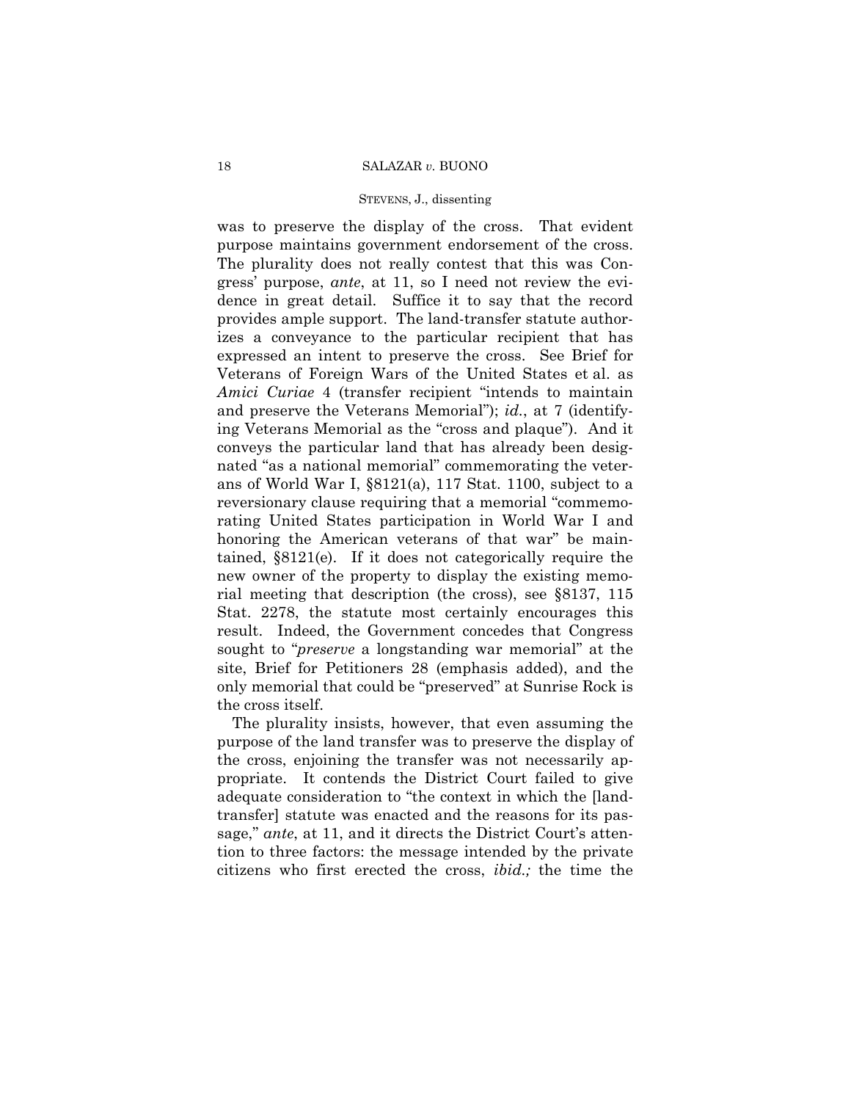#### STEVENS, J., dissenting

was to preserve the display of the cross. That evident purpose maintains government endorsement of the cross. The plurality does not really contest that this was Congress' purpose, *ante*, at 11, so I need not review the evidence in great detail. Suffice it to say that the record provides ample support. The land-transfer statute authorizes a conveyance to the particular recipient that has expressed an intent to preserve the cross. See Brief for Veterans of Foreign Wars of the United States et al. as *Amici Curiae* 4 (transfer recipient "intends to maintain and preserve the Veterans Memorial"); *id.*, at 7 (identifying Veterans Memorial as the "cross and plaque"). And it conveys the particular land that has already been designated "as a national memorial" commemorating the veterans of World War I, §8121(a), 117 Stat. 1100, subject to a reversionary clause requiring that a memorial "commemorating United States participation in World War I and honoring the American veterans of that war" be maintained, §8121(e). If it does not categorically require the new owner of the property to display the existing memorial meeting that description (the cross), see §8137, 115 Stat. 2278, the statute most certainly encourages this result. Indeed, the Government concedes that Congress sought to "*preserve* a longstanding war memorial" at the site, Brief for Petitioners 28 (emphasis added), and the only memorial that could be "preserved" at Sunrise Rock is the cross itself.

The plurality insists, however, that even assuming the purpose of the land transfer was to preserve the display of the cross, enjoining the transfer was not necessarily appropriate. It contends the District Court failed to give adequate consideration to "the context in which the [landtransfer] statute was enacted and the reasons for its passage," *ante*, at 11, and it directs the District Court's attention to three factors: the message intended by the private citizens who first erected the cross, *ibid.;* the time the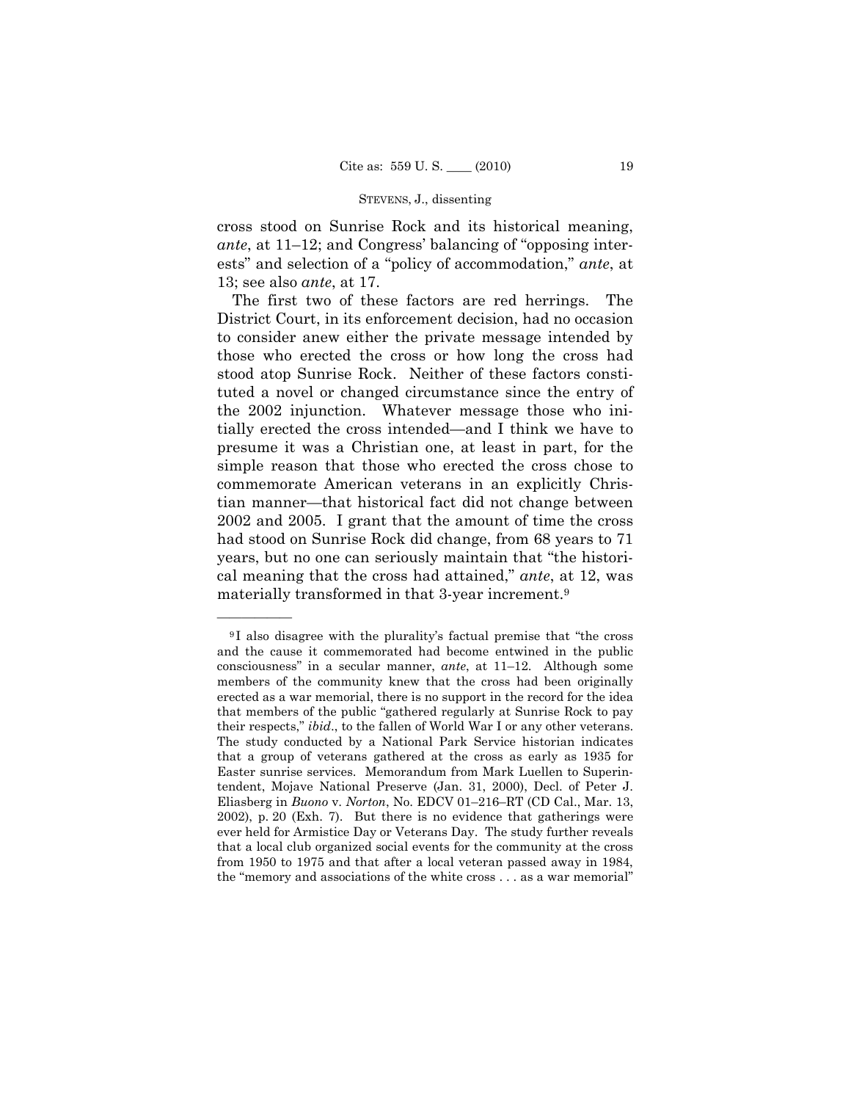cross stood on Sunrise Rock and its historical meaning, *ante*, at 11–12; and Congress' balancing of "opposing interests" and selection of a "policy of accommodation," *ante*, at 13; see also *ante*, at 17.

The first two of these factors are red herrings. The District Court, in its enforcement decision, had no occasion to consider anew either the private message intended by those who erected the cross or how long the cross had stood atop Sunrise Rock. Neither of these factors constituted a novel or changed circumstance since the entry of the 2002 injunction. Whatever message those who initially erected the cross intended—and I think we have to presume it was a Christian one, at least in part, for the simple reason that those who erected the cross chose to commemorate American veterans in an explicitly Christian manner—that historical fact did not change between 2002 and 2005. I grant that the amount of time the cross had stood on Sunrise Rock did change, from 68 years to 71 years, but no one can seriously maintain that "the historical meaning that the cross had attained," *ante*, at 12, was materially transformed in that 3-year increment.9

<sup>9</sup> I also disagree with the plurality's factual premise that "the cross and the cause it commemorated had become entwined in the public consciousness" in a secular manner, *ante*, at 11–12. Although some members of the community knew that the cross had been originally erected as a war memorial, there is no support in the record for the idea that members of the public "gathered regularly at Sunrise Rock to pay their respects," *ibid*., to the fallen of World War I or any other veterans. The study conducted by a National Park Service historian indicates that a group of veterans gathered at the cross as early as 1935 for Easter sunrise services. Memorandum from Mark Luellen to Superintendent, Mojave National Preserve (Jan. 31, 2000), Decl. of Peter J. Eliasberg in *Buono* v. *Norton*, No. EDCV 01–216–RT (CD Cal., Mar. 13, 2002), p. 20 (Exh. 7). But there is no evidence that gatherings were ever held for Armistice Day or Veterans Day. The study further reveals that a local club organized social events for the community at the cross from 1950 to 1975 and that after a local veteran passed away in 1984, the "memory and associations of the white cross . . . as a war memorial"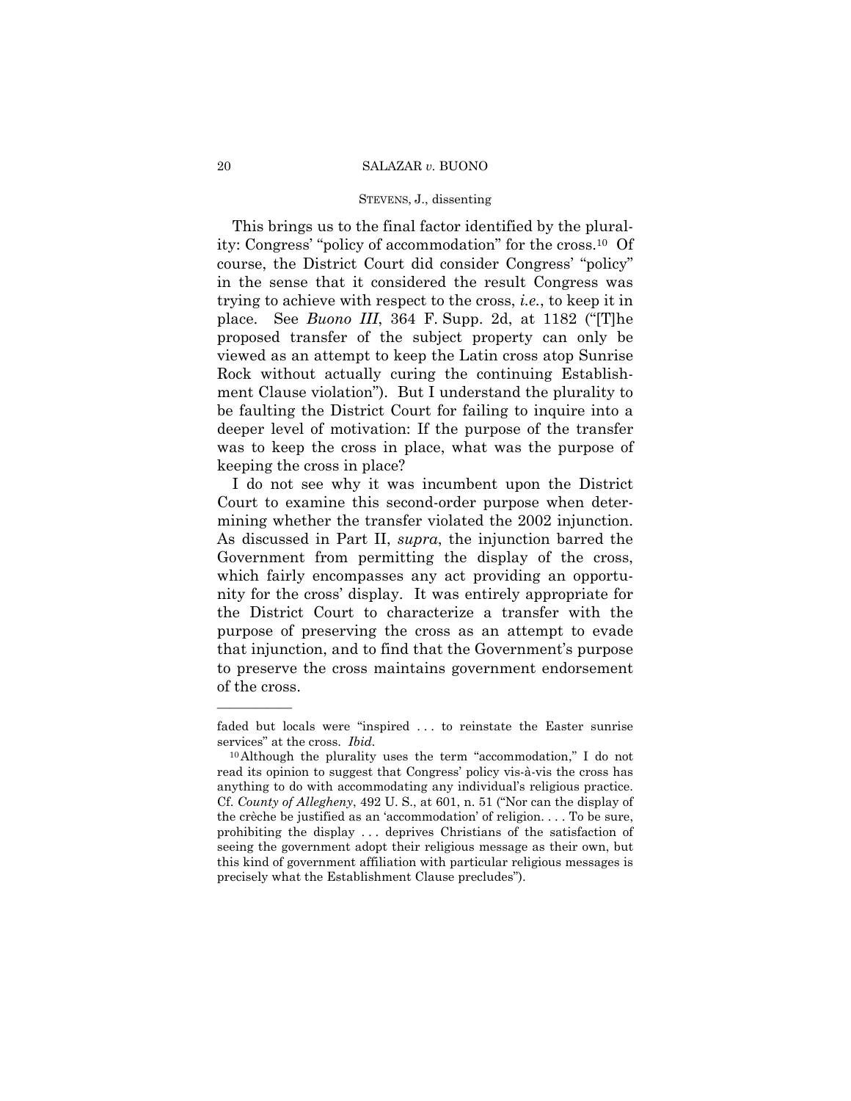#### STEVENS, J., dissenting

This brings us to the final factor identified by the plurality: Congress' "policy of accommodation" for the cross.10 Of course, the District Court did consider Congress' "policy" in the sense that it considered the result Congress was trying to achieve with respect to the cross, *i.e.*, to keep it in place. See *Buono III*, 364 F. Supp. 2d, at 1182 ("[T]he proposed transfer of the subject property can only be viewed as an attempt to keep the Latin cross atop Sunrise Rock without actually curing the continuing Establishment Clause violation"). But I understand the plurality to be faulting the District Court for failing to inquire into a deeper level of motivation: If the purpose of the transfer was to keep the cross in place, what was the purpose of keeping the cross in place?

I do not see why it was incumbent upon the District Court to examine this second-order purpose when determining whether the transfer violated the 2002 injunction. As discussed in Part II, *supra*, the injunction barred the Government from permitting the display of the cross, which fairly encompasses any act providing an opportunity for the cross' display. It was entirely appropriate for the District Court to characterize a transfer with the purpose of preserving the cross as an attempt to evade that injunction, and to find that the Government's purpose to preserve the cross maintains government endorsement of the cross.

faded but locals were "inspired . . . to reinstate the Easter sunrise services" at the cross. *Ibid.* 

<sup>10</sup>Although the plurality uses the term "accommodation," I do not read its opinion to suggest that Congress' policy vis-à-vis the cross has anything to do with accommodating any individual's religious practice. Cf. *County of Allegheny*, 492 U. S., at 601, n. 51 ("Nor can the display of the crèche be justified as an 'accommodation' of religion. . . . To be sure, prohibiting the display . . . deprives Christians of the satisfaction of seeing the government adopt their religious message as their own, but this kind of government affiliation with particular religious messages is precisely what the Establishment Clause precludes").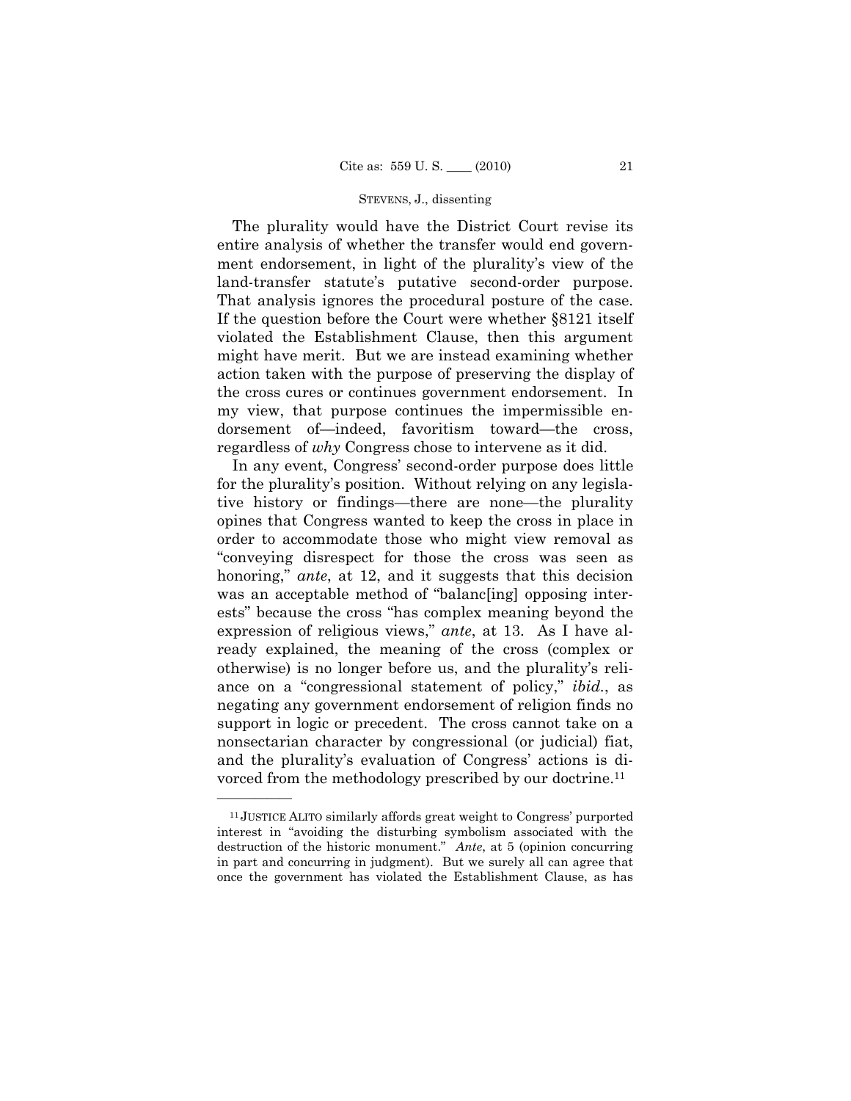The plurality would have the District Court revise its entire analysis of whether the transfer would end government endorsement, in light of the plurality's view of the land-transfer statute's putative second-order purpose. That analysis ignores the procedural posture of the case. If the question before the Court were whether §8121 itself violated the Establishment Clause, then this argument might have merit. But we are instead examining whether action taken with the purpose of preserving the display of the cross cures or continues government endorsement. In my view, that purpose continues the impermissible endorsement of—indeed, favoritism toward—the cross, regardless of *why* Congress chose to intervene as it did.

In any event, Congress' second-order purpose does little for the plurality's position. Without relying on any legislative history or findings—there are none—the plurality opines that Congress wanted to keep the cross in place in order to accommodate those who might view removal as "conveying disrespect for those the cross was seen as honoring," *ante*, at 12, and it suggests that this decision was an acceptable method of "balanc[ing] opposing interests" because the cross "has complex meaning beyond the expression of religious views," *ante*, at 13. As I have already explained, the meaning of the cross (complex or otherwise) is no longer before us, and the plurality's reliance on a "congressional statement of policy," *ibid.*, as negating any government endorsement of religion finds no support in logic or precedent. The cross cannot take on a nonsectarian character by congressional (or judicial) fiat, and the plurality's evaluation of Congress' actions is divorced from the methodology prescribed by our doctrine.<sup>11</sup>

<sup>11</sup> JUSTICE ALITO similarly affords great weight to Congress' purported interest in "avoiding the disturbing symbolism associated with the destruction of the historic monument." *Ante*, at 5 (opinion concurring in part and concurring in judgment). But we surely all can agree that once the government has violated the Establishment Clause, as has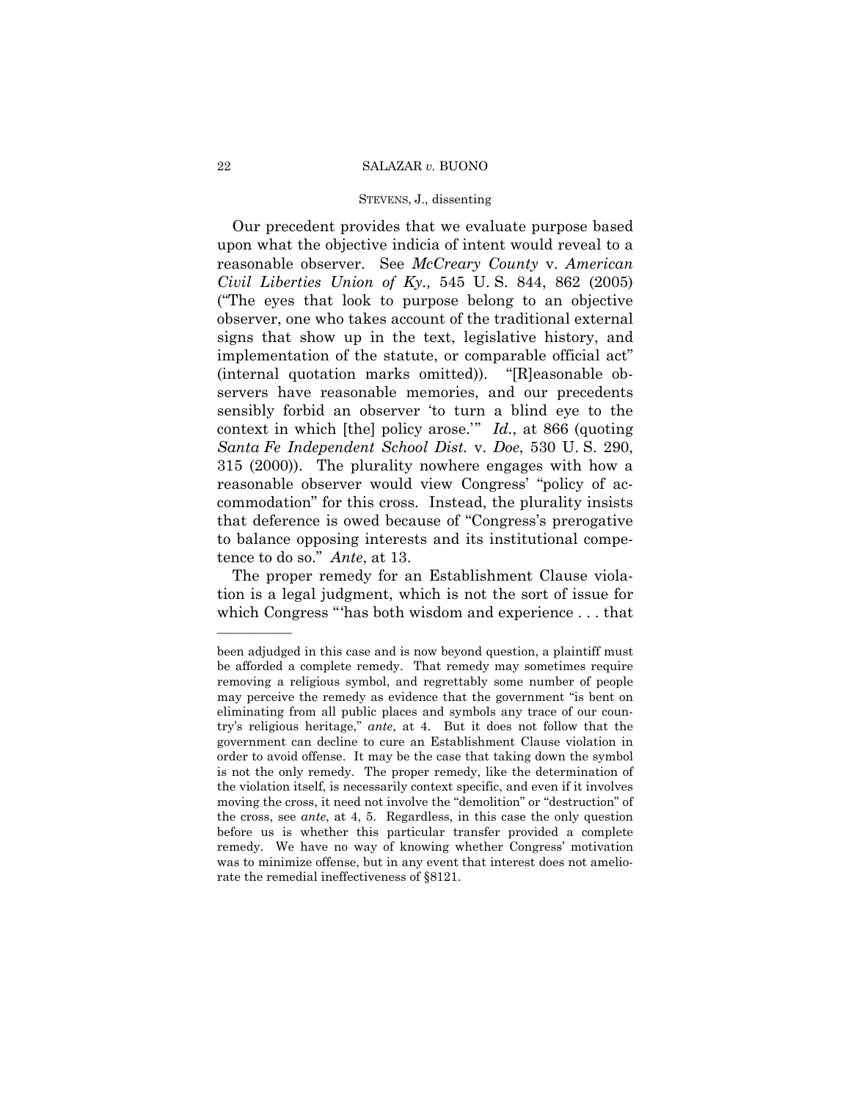#### STEVENS, J., dissenting

Our precedent provides that we evaluate purpose based upon what the objective indicia of intent would reveal to a reasonable observer. See *McCreary County* v. *American Civil Liberties Union of Ky.,* 545 U. S. 844, 862 (2005) ("The eyes that look to purpose belong to an objective observer, one who takes account of the traditional external signs that show up in the text, legislative history, and implementation of the statute, or comparable official act" (internal quotation marks omitted)). "[R]easonable observers have reasonable memories, and our precedents sensibly forbid an observer 'to turn a blind eye to the context in which [the] policy arose.'" *Id.*, at 866 (quoting *Santa Fe Independent School Dist.* v. *Doe*, 530 U. S. 290, 315 (2000)). The plurality nowhere engages with how a reasonable observer would view Congress' "policy of accommodation" for this cross. Instead, the plurality insists that deference is owed because of "Congress's prerogative to balance opposing interests and its institutional competence to do so." *Ante*, at 13.

The proper remedy for an Establishment Clause violation is a legal judgment, which is not the sort of issue for which Congress "'has both wisdom and experience . . . that

been adjudged in this case and is now beyond question, a plaintiff must be afforded a complete remedy. That remedy may sometimes require removing a religious symbol, and regrettably some number of people may perceive the remedy as evidence that the government "is bent on eliminating from all public places and symbols any trace of our country's religious heritage," *ante*, at 4. But it does not follow that the government can decline to cure an Establishment Clause violation in order to avoid offense. It may be the case that taking down the symbol is not the only remedy. The proper remedy, like the determination of the violation itself, is necessarily context specific, and even if it involves moving the cross, it need not involve the "demolition" or "destruction" of the cross, see *ante*, at 4, 5. Regardless, in this case the only question before us is whether this particular transfer provided a complete remedy. We have no way of knowing whether Congress' motivation was to minimize offense, but in any event that interest does not ameliorate the remedial ineffectiveness of §8121.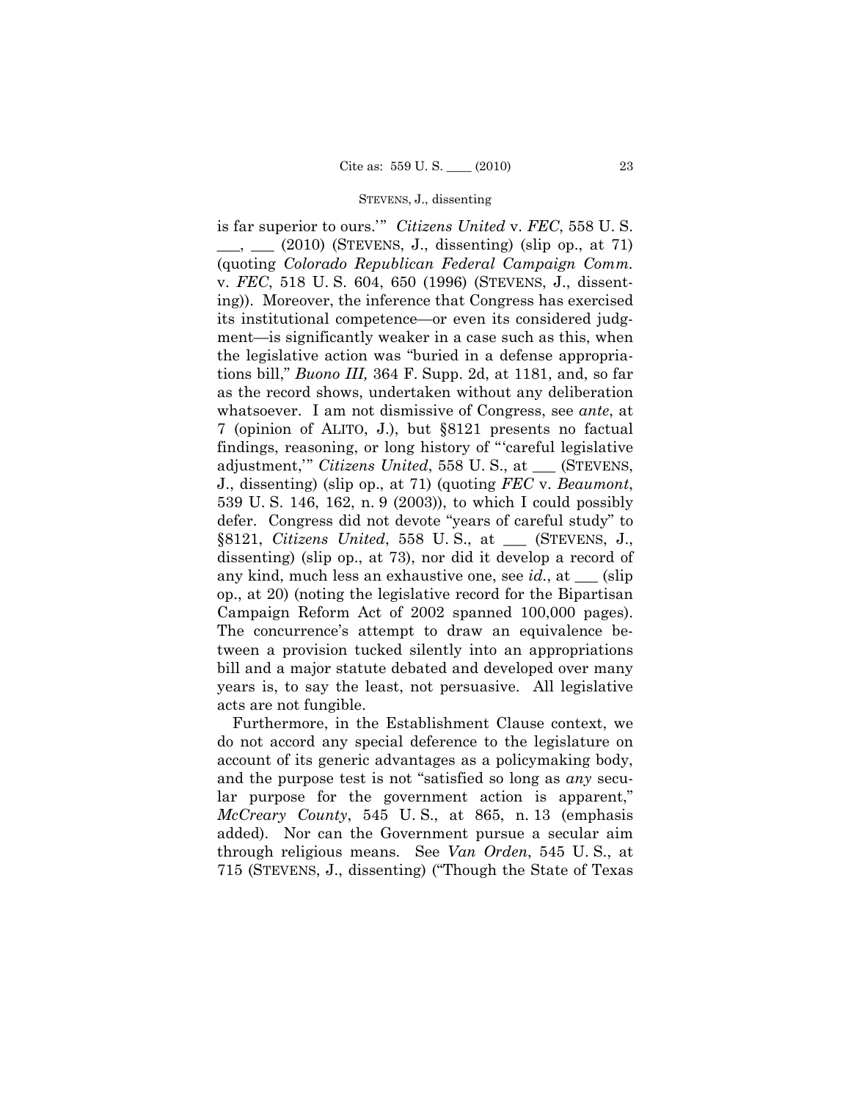is far superior to ours.'" *Citizens United* v. *FEC*, 558 U. S.  $\Box$ ,  $\Box$  (2010) (STEVENS, J., dissenting) (slip op., at 71) (quoting *Colorado Republican Federal Campaign Comm.*  v. *FEC*, 518 U. S. 604, 650 (1996) (STEVENS, J., dissenting)). Moreover, the inference that Congress has exercised its institutional competence—or even its considered judgment—is significantly weaker in a case such as this, when the legislative action was "buried in a defense appropriations bill," *Buono III,* 364 F. Supp. 2d, at 1181, and, so far as the record shows, undertaken without any deliberation whatsoever. I am not dismissive of Congress, see *ante*, at 7 (opinion of ALITO, J.), but §8121 presents no factual findings, reasoning, or long history of "'careful legislative adjustment,'" *Citizens United*, 558 U. S., at \_\_\_ (STEVENS, J., dissenting) (slip op., at 71) (quoting *FEC* v. *Beaumont*, 539 U. S. 146, 162, n. 9 (2003)), to which I could possibly defer. Congress did not devote "years of careful study" to §8121, *Citizens United*, 558 U. S., at \_\_\_ (STEVENS, J., dissenting) (slip op., at 73), nor did it develop a record of any kind, much less an exhaustive one, see *id.*, at \_\_\_ (slip op., at 20) (noting the legislative record for the Bipartisan Campaign Reform Act of 2002 spanned 100,000 pages). The concurrence's attempt to draw an equivalence between a provision tucked silently into an appropriations bill and a major statute debated and developed over many years is, to say the least, not persuasive. All legislative acts are not fungible.

Furthermore, in the Establishment Clause context, we do not accord any special deference to the legislature on account of its generic advantages as a policymaking body, and the purpose test is not "satisfied so long as *any* secular purpose for the government action is apparent," *McCreary County*, 545 U. S., at 865, n. 13 (emphasis added). Nor can the Government pursue a secular aim through religious means. See *Van Orden*, 545 U. S., at 715 (STEVENS, J., dissenting) ("Though the State of Texas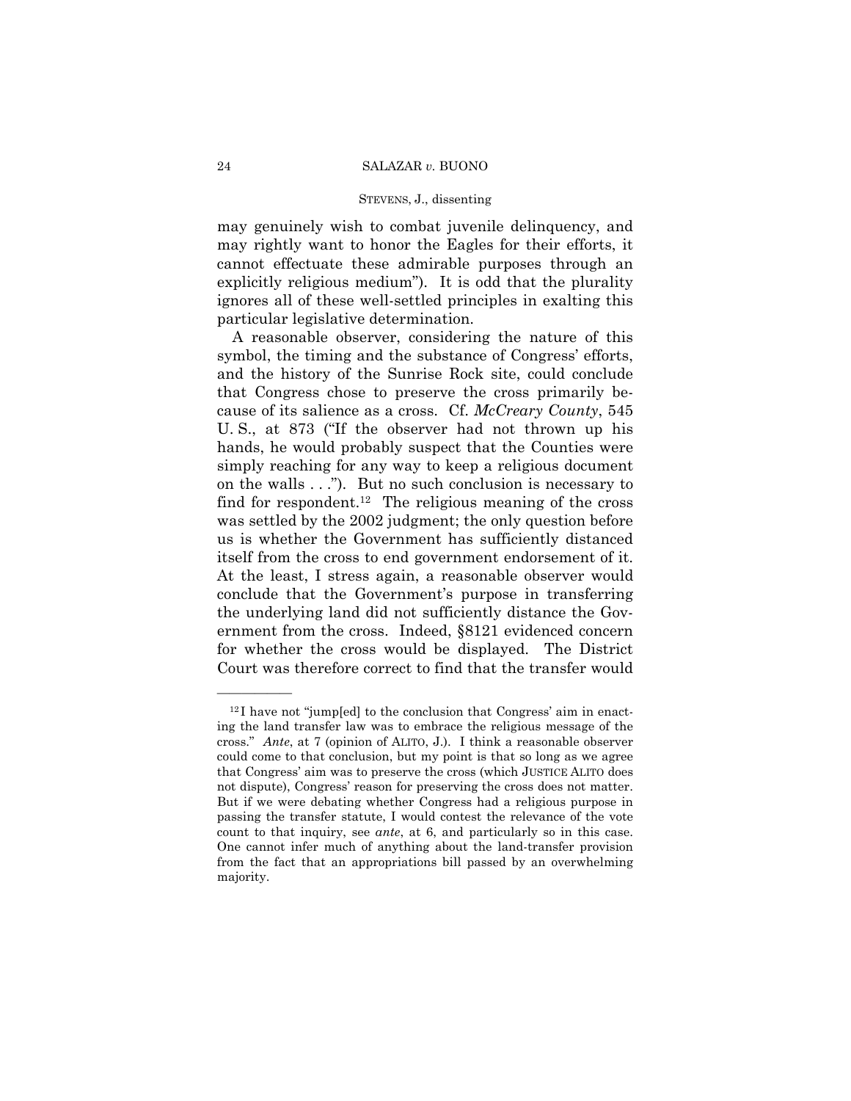may genuinely wish to combat juvenile delinquency, and may rightly want to honor the Eagles for their efforts, it cannot effectuate these admirable purposes through an explicitly religious medium"). It is odd that the plurality ignores all of these well-settled principles in exalting this particular legislative determination.

A reasonable observer, considering the nature of this symbol, the timing and the substance of Congress' efforts, and the history of the Sunrise Rock site, could conclude that Congress chose to preserve the cross primarily because of its salience as a cross. Cf. *McCreary County*, 545 U. S., at 873 ("If the observer had not thrown up his hands, he would probably suspect that the Counties were simply reaching for any way to keep a religious document on the walls . . ."). But no such conclusion is necessary to find for respondent.<sup>12</sup> The religious meaning of the cross was settled by the 2002 judgment; the only question before us is whether the Government has sufficiently distanced itself from the cross to end government endorsement of it. At the least, I stress again, a reasonable observer would conclude that the Government's purpose in transferring the underlying land did not sufficiently distance the Government from the cross. Indeed, §8121 evidenced concern for whether the cross would be displayed. The District Court was therefore correct to find that the transfer would

 $12$ I have not "jump[ed] to the conclusion that Congress' aim in enacting the land transfer law was to embrace the religious message of the cross." *Ante*, at 7 (opinion of ALITO, J.). I think a reasonable observer could come to that conclusion, but my point is that so long as we agree that Congress' aim was to preserve the cross (which JUSTICE ALITO does not dispute), Congress' reason for preserving the cross does not matter. But if we were debating whether Congress had a religious purpose in passing the transfer statute, I would contest the relevance of the vote count to that inquiry, see *ante*, at 6, and particularly so in this case. One cannot infer much of anything about the land-transfer provision from the fact that an appropriations bill passed by an overwhelming majority.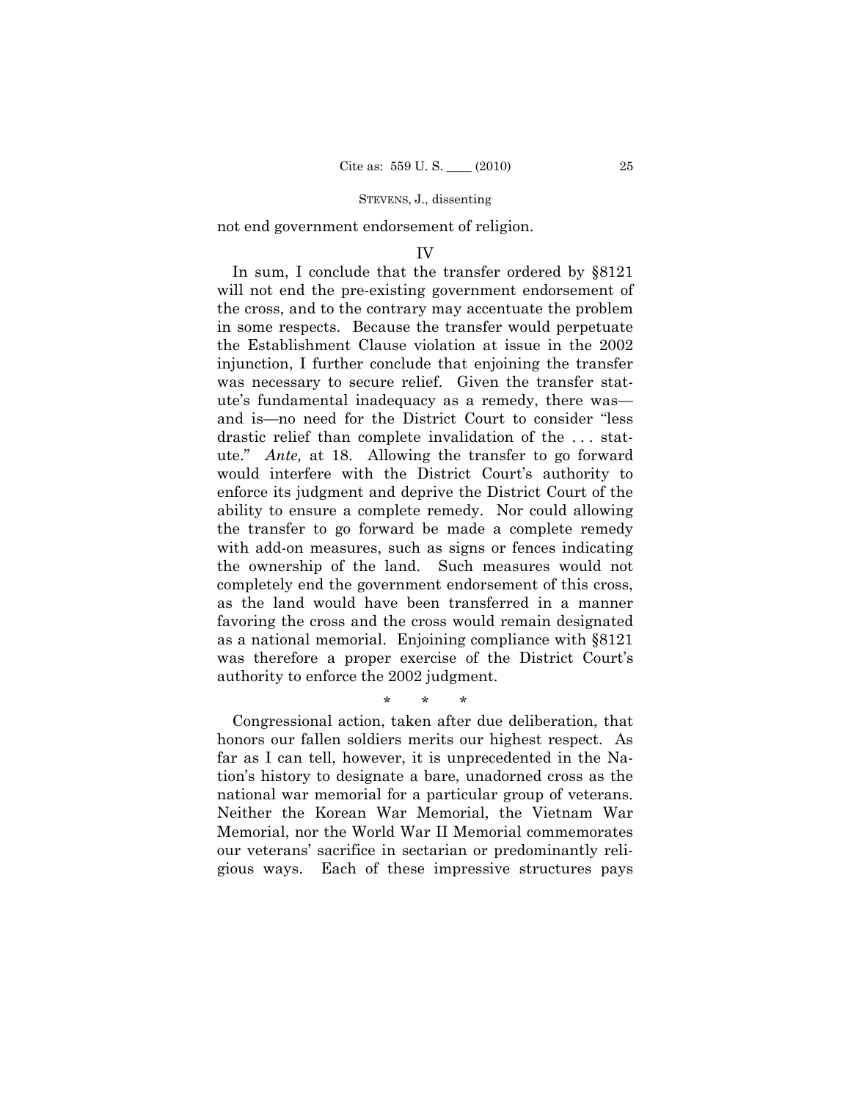not end government endorsement of religion.

### IV

In sum, I conclude that the transfer ordered by §8121 will not end the pre-existing government endorsement of the cross, and to the contrary may accentuate the problem in some respects. Because the transfer would perpetuate the Establishment Clause violation at issue in the 2002 injunction, I further conclude that enjoining the transfer was necessary to secure relief. Given the transfer statute's fundamental inadequacy as a remedy, there was and is—no need for the District Court to consider "less drastic relief than complete invalidation of the . . . statute." *Ante,* at 18. Allowing the transfer to go forward would interfere with the District Court's authority to enforce its judgment and deprive the District Court of the ability to ensure a complete remedy. Nor could allowing the transfer to go forward be made a complete remedy with add-on measures, such as signs or fences indicating the ownership of the land. Such measures would not completely end the government endorsement of this cross, as the land would have been transferred in a manner favoring the cross and the cross would remain designated as a national memorial. Enjoining compliance with §8121 was therefore a proper exercise of the District Court's authority to enforce the 2002 judgment.

# \* \* \*

Congressional action, taken after due deliberation, that honors our fallen soldiers merits our highest respect. As far as I can tell, however, it is unprecedented in the Nation's history to designate a bare, unadorned cross as the national war memorial for a particular group of veterans. Neither the Korean War Memorial, the Vietnam War Memorial, nor the World War II Memorial commemorates our veterans' sacrifice in sectarian or predominantly religious ways. Each of these impressive structures pays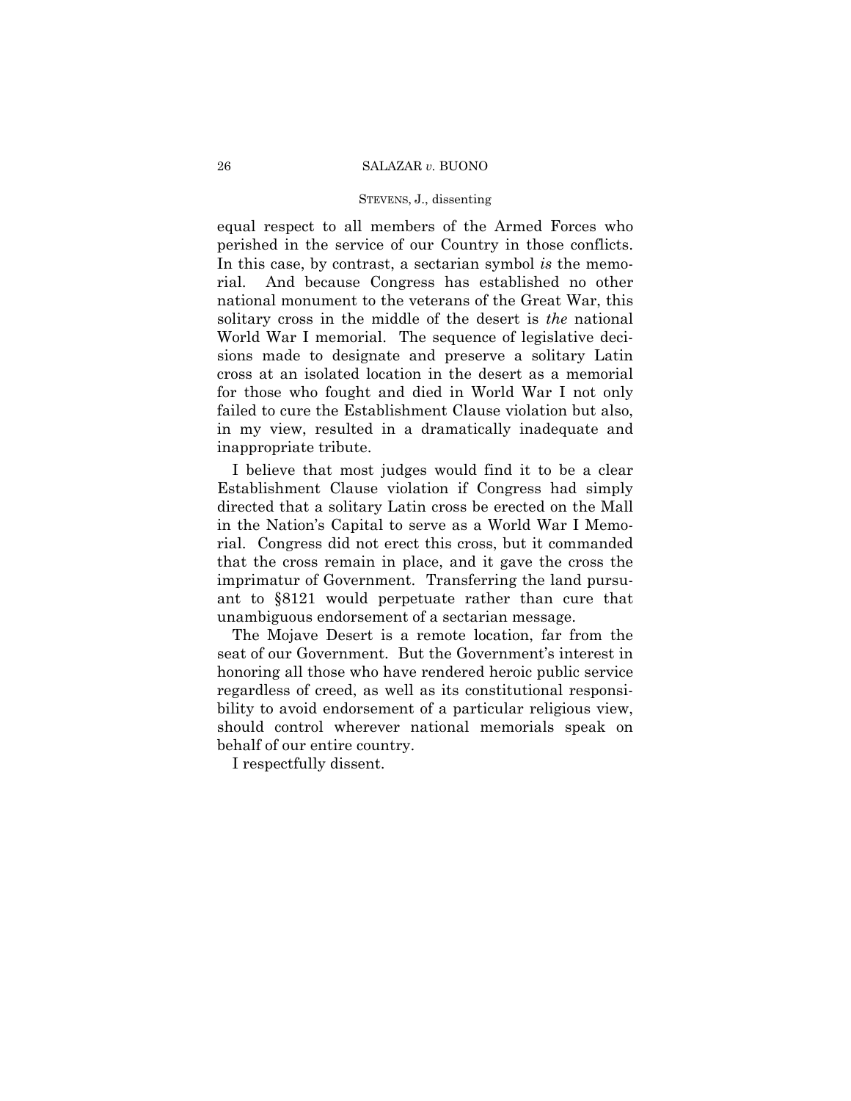#### STEVENS, J., dissenting

equal respect to all members of the Armed Forces who perished in the service of our Country in those conflicts. In this case, by contrast, a sectarian symbol *is* the memorial. And because Congress has established no other national monument to the veterans of the Great War, this solitary cross in the middle of the desert is *the* national World War I memorial. The sequence of legislative decisions made to designate and preserve a solitary Latin cross at an isolated location in the desert as a memorial for those who fought and died in World War I not only failed to cure the Establishment Clause violation but also, in my view, resulted in a dramatically inadequate and inappropriate tribute.

I believe that most judges would find it to be a clear Establishment Clause violation if Congress had simply directed that a solitary Latin cross be erected on the Mall in the Nation's Capital to serve as a World War I Memorial. Congress did not erect this cross, but it commanded that the cross remain in place, and it gave the cross the imprimatur of Government. Transferring the land pursuant to §8121 would perpetuate rather than cure that unambiguous endorsement of a sectarian message.

The Mojave Desert is a remote location, far from the seat of our Government. But the Government's interest in honoring all those who have rendered heroic public service regardless of creed, as well as its constitutional responsibility to avoid endorsement of a particular religious view, should control wherever national memorials speak on behalf of our entire country.

I respectfully dissent.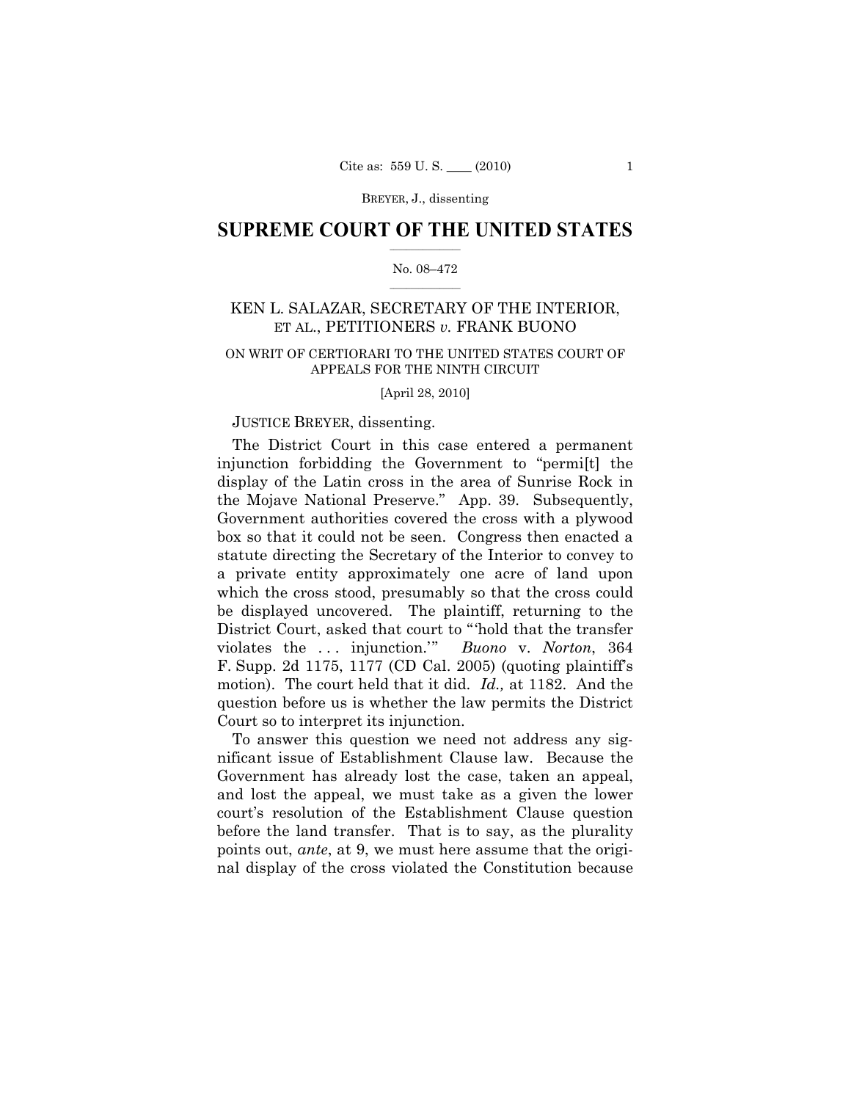BREYER, J., dissenting

# $\frac{1}{2}$  ,  $\frac{1}{2}$  ,  $\frac{1}{2}$  ,  $\frac{1}{2}$  ,  $\frac{1}{2}$  ,  $\frac{1}{2}$  ,  $\frac{1}{2}$ **SUPREME COURT OF THE UNITED STATES**

## $\frac{1}{2}$  ,  $\frac{1}{2}$  ,  $\frac{1}{2}$  ,  $\frac{1}{2}$  ,  $\frac{1}{2}$  ,  $\frac{1}{2}$ No. 08–472

# KEN L. SALAZAR, SECRETARY OF THE INTERIOR, ET AL., PETITIONERS *v.* FRANK BUONO

# ON WRIT OF CERTIORARI TO THE UNITED STATES COURT OF APPEALS FOR THE NINTH CIRCUIT

[April 28, 2010]

# JUSTICE BREYER, dissenting.

The District Court in this case entered a permanent injunction forbidding the Government to "permi[t] the display of the Latin cross in the area of Sunrise Rock in the Mojave National Preserve." App. 39. Subsequently, Government authorities covered the cross with a plywood box so that it could not be seen. Congress then enacted a statute directing the Secretary of the Interior to convey to a private entity approximately one acre of land upon which the cross stood, presumably so that the cross could be displayed uncovered. The plaintiff, returning to the District Court, asked that court to "'hold that the transfer violates the . . . injunction.'" *Buono* v. *Norton*, 364 F. Supp. 2d 1175, 1177 (CD Cal. 2005) (quoting plaintiff's motion). The court held that it did. *Id.,* at 1182. And the question before us is whether the law permits the District Court so to interpret its injunction.

To answer this question we need not address any significant issue of Establishment Clause law. Because the Government has already lost the case, taken an appeal, and lost the appeal, we must take as a given the lower court's resolution of the Establishment Clause question before the land transfer. That is to say, as the plurality points out, *ante*, at 9, we must here assume that the original display of the cross violated the Constitution because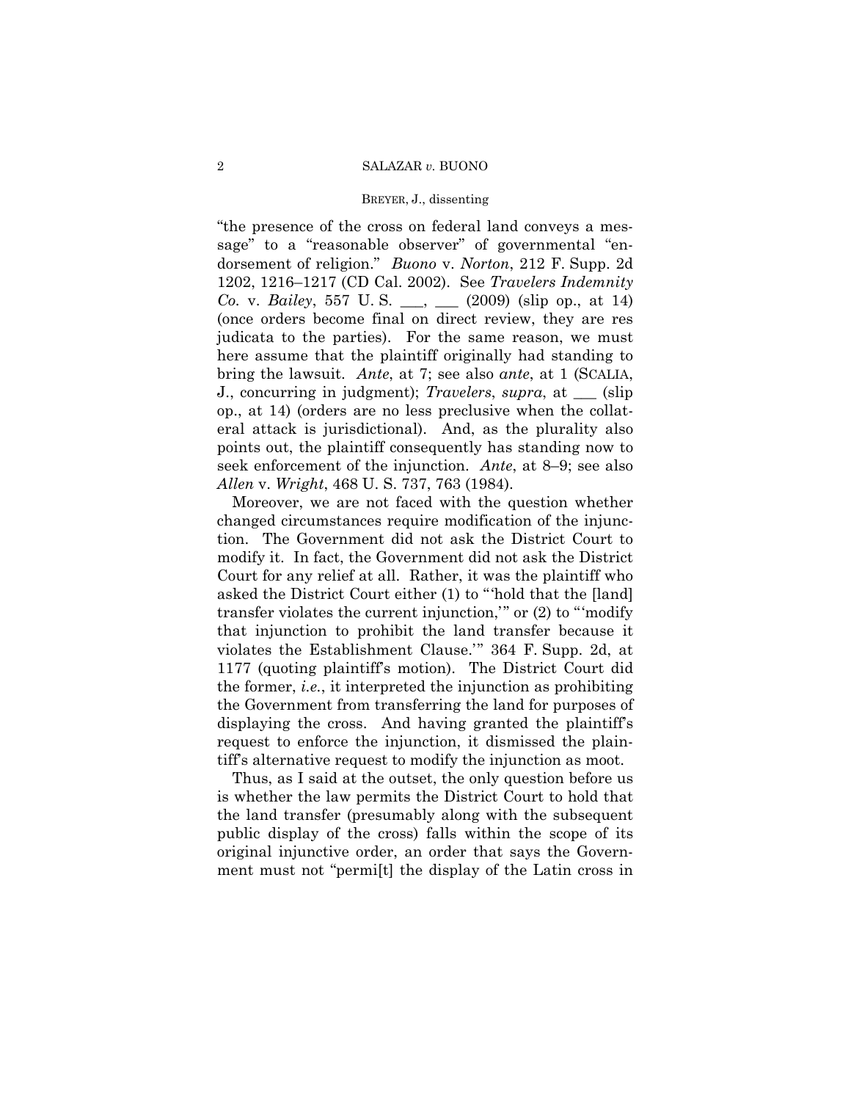#### BREYER, J., dissenting

"the presence of the cross on federal land conveys a message" to a "reasonable observer" of governmental "endorsement of religion." *Buono* v. *Norton*, 212 F. Supp. 2d 1202, 1216–1217 (CD Cal. 2002). See *Travelers Indemnity Co.* v. *Bailey*, 557 U. S. \_\_\_, \_\_\_ (2009) (slip op., at 14) (once orders become final on direct review, they are res judicata to the parties). For the same reason, we must here assume that the plaintiff originally had standing to bring the lawsuit. *Ante*, at 7; see also *ante*, at 1 (SCALIA, J., concurring in judgment); *Travelers*, *supra*, at \_\_\_ (slip op., at 14) (orders are no less preclusive when the collateral attack is jurisdictional). And, as the plurality also points out, the plaintiff consequently has standing now to seek enforcement of the injunction. *Ante*, at 8–9; see also *Allen* v. *Wright*, 468 U. S. 737, 763 (1984).

Moreover, we are not faced with the question whether changed circumstances require modification of the injunction. The Government did not ask the District Court to modify it. In fact, the Government did not ask the District Court for any relief at all. Rather, it was the plaintiff who asked the District Court either (1) to "'hold that the [land] transfer violates the current injunction,'" or (2) to "'modify that injunction to prohibit the land transfer because it violates the Establishment Clause.'" 364 F. Supp. 2d, at 1177 (quoting plaintiff's motion). The District Court did the former, *i.e.*, it interpreted the injunction as prohibiting the Government from transferring the land for purposes of displaying the cross. And having granted the plaintiff's request to enforce the injunction, it dismissed the plaintiff's alternative request to modify the injunction as moot.

Thus, as I said at the outset, the only question before us is whether the law permits the District Court to hold that the land transfer (presumably along with the subsequent public display of the cross) falls within the scope of its original injunctive order, an order that says the Government must not "permi[t] the display of the Latin cross in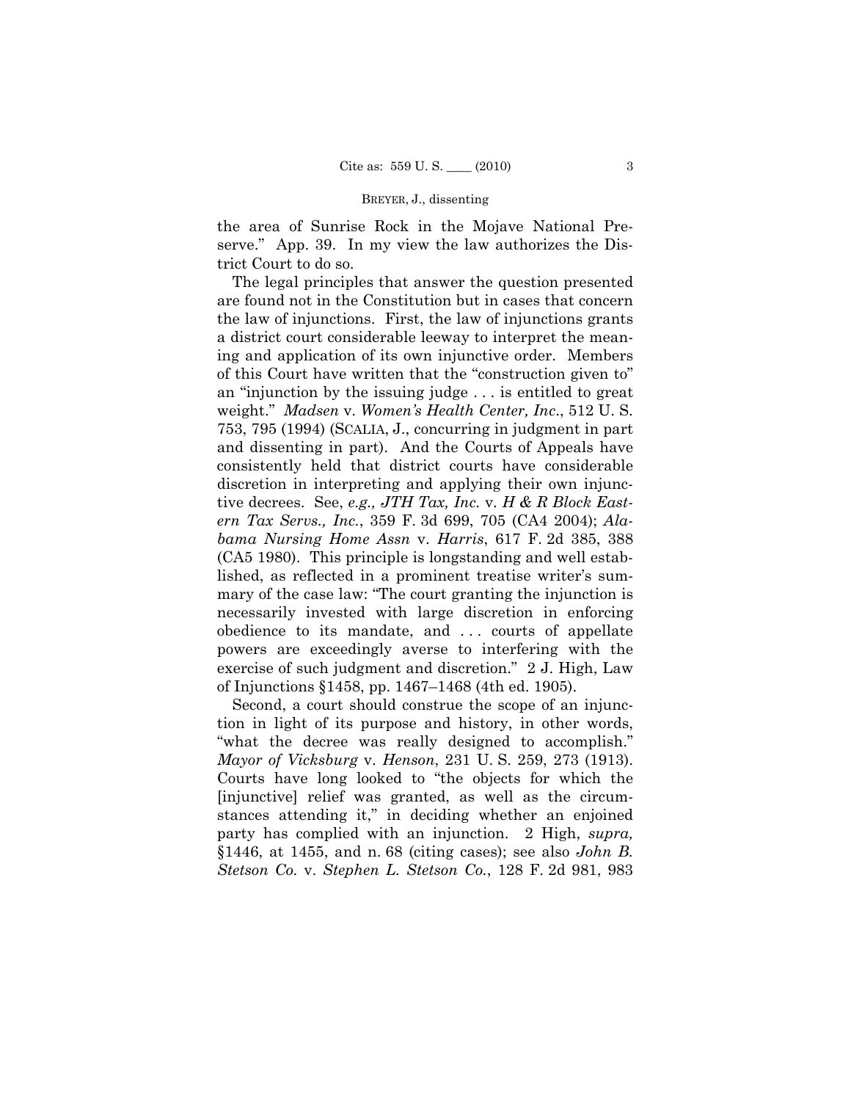#### BREYER, J., dissenting

the area of Sunrise Rock in the Mojave National Preserve." App. 39. In my view the law authorizes the District Court to do so.

The legal principles that answer the question presented are found not in the Constitution but in cases that concern the law of injunctions. First, the law of injunctions grants a district court considerable leeway to interpret the meaning and application of its own injunctive order. Members of this Court have written that the "construction given to" an "injunction by the issuing judge . . . is entitled to great weight." *Madsen* v. *Women's Health Center, Inc*., 512 U. S. 753, 795 (1994) (SCALIA, J., concurring in judgment in part and dissenting in part). And the Courts of Appeals have consistently held that district courts have considerable discretion in interpreting and applying their own injunctive decrees. See, *e.g., JTH Tax, Inc.* v. *H & R Block Eastern Tax Servs., Inc.*, 359 F. 3d 699, 705 (CA4 2004); *Alabama Nursing Home Assn* v. *Harris*, 617 F. 2d 385, 388 (CA5 1980). This principle is longstanding and well established, as reflected in a prominent treatise writer's summary of the case law: "The court granting the injunction is necessarily invested with large discretion in enforcing obedience to its mandate, and . . . courts of appellate powers are exceedingly averse to interfering with the exercise of such judgment and discretion." 2 J. High, Law of Injunctions §1458, pp. 1467–1468 (4th ed. 1905).

Second, a court should construe the scope of an injunction in light of its purpose and history, in other words, "what the decree was really designed to accomplish." *Mayor of Vicksburg* v. *Henson*, 231 U. S. 259, 273 (1913). Courts have long looked to "the objects for which the [injunctive] relief was granted, as well as the circumstances attending it," in deciding whether an enjoined party has complied with an injunction. 2 High, *supra,* §1446, at 1455, and n. 68 (citing cases); see also *John B. Stetson Co.* v. *Stephen L. Stetson Co.*, 128 F. 2d 981, 983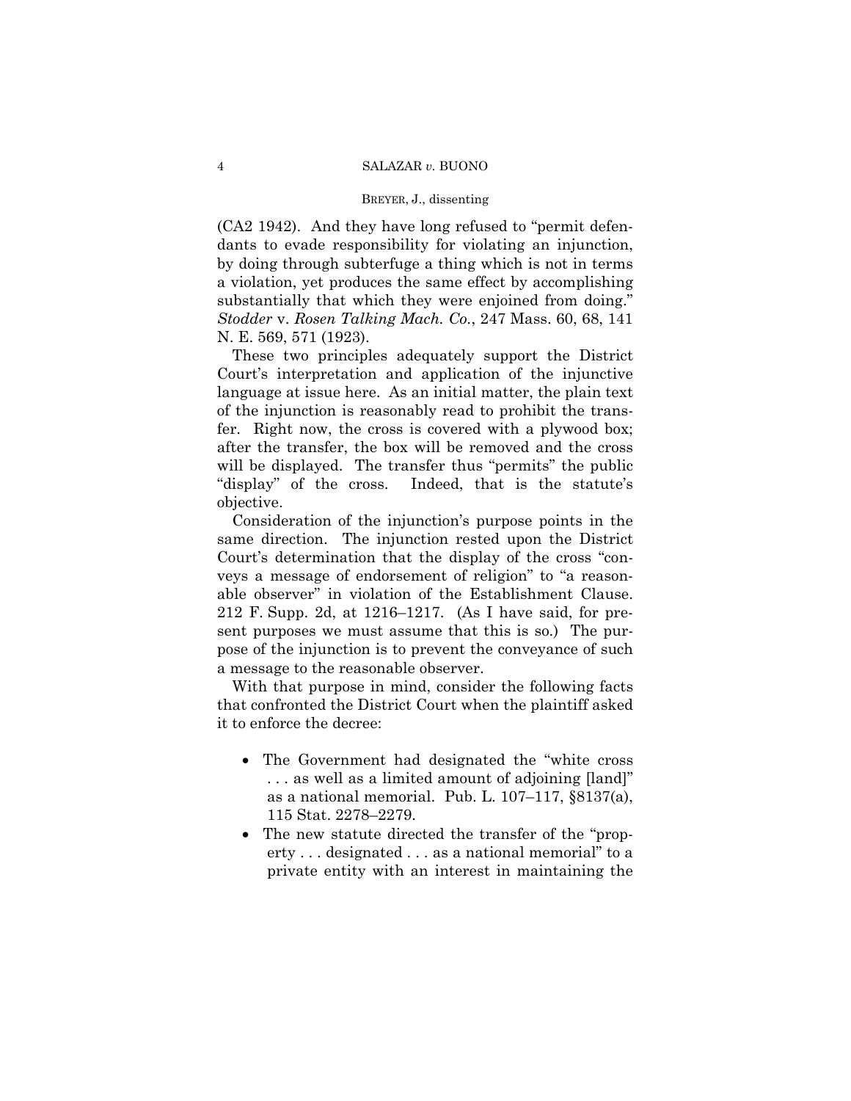### BREYER, J., dissenting

(CA2 1942). And they have long refused to "permit defendants to evade responsibility for violating an injunction, by doing through subterfuge a thing which is not in terms a violation, yet produces the same effect by accomplishing substantially that which they were enjoined from doing." *Stodder* v. *Rosen Talking Mach. Co.*, 247 Mass. 60, 68, 141 N. E. 569, 571 (1923).

These two principles adequately support the District Court's interpretation and application of the injunctive language at issue here. As an initial matter, the plain text of the injunction is reasonably read to prohibit the transfer. Right now, the cross is covered with a plywood box; after the transfer, the box will be removed and the cross will be displayed. The transfer thus "permits" the public "display" of the cross. Indeed, that is the statute's objective.

Consideration of the injunction's purpose points in the same direction. The injunction rested upon the District Court's determination that the display of the cross "conveys a message of endorsement of religion" to "a reasonable observer" in violation of the Establishment Clause. 212 F. Supp. 2d, at 1216–1217. (As I have said, for present purposes we must assume that this is so.) The purpose of the injunction is to prevent the conveyance of such a message to the reasonable observer.

With that purpose in mind, consider the following facts that confronted the District Court when the plaintiff asked it to enforce the decree:

- The Government had designated the "white cross . . . as well as a limited amount of adjoining [land]" as a national memorial. Pub. L. 107–117, §8137(a), 115 Stat. 2278–2279.
- The new statute directed the transfer of the "property . . . designated . . . as a national memorial" to a private entity with an interest in maintaining the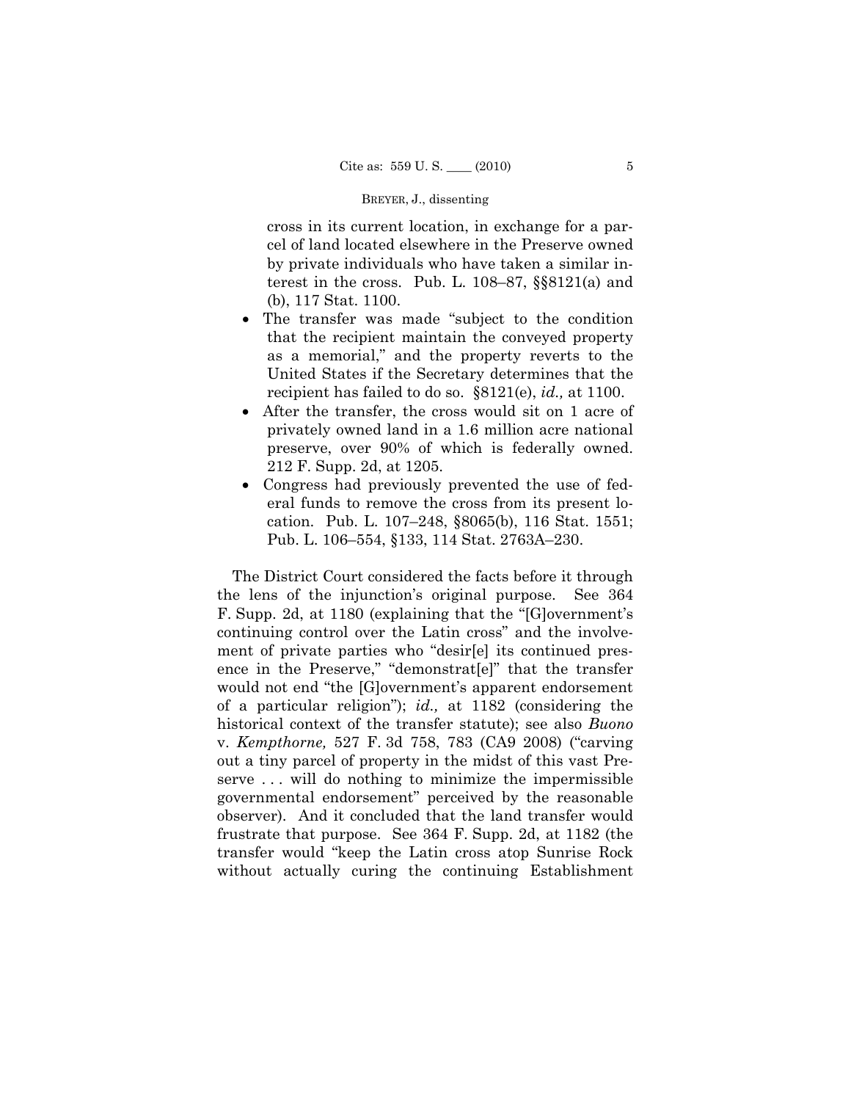#### BREYER, J., dissenting

cross in its current location, in exchange for a parcel of land located elsewhere in the Preserve owned by private individuals who have taken a similar interest in the cross. Pub. L. 108–87, §§8121(a) and (b), 117 Stat. 1100.

- The transfer was made "subject to the condition" that the recipient maintain the conveyed property as a memorial," and the property reverts to the United States if the Secretary determines that the recipient has failed to do so. §8121(e), *id.,* at 1100.
- After the transfer, the cross would sit on 1 acre of privately owned land in a 1.6 million acre national preserve, over 90% of which is federally owned. 212 F. Supp. 2d, at 1205.
- Congress had previously prevented the use of federal funds to remove the cross from its present location. Pub. L. 107–248, §8065(b), 116 Stat. 1551; Pub. L. 106–554, §133, 114 Stat. 2763A–230.

The District Court considered the facts before it through the lens of the injunction's original purpose. See 364 F. Supp. 2d, at 1180 (explaining that the "[G]overnment's continuing control over the Latin cross" and the involvement of private parties who "desir[e] its continued presence in the Preserve," "demonstrat[e]" that the transfer would not end "the [G]overnment's apparent endorsement of a particular religion"); *id.,* at 1182 (considering the historical context of the transfer statute); see also *Buono*  v. *Kempthorne,* 527 F. 3d 758, 783 (CA9 2008) ("carving out a tiny parcel of property in the midst of this vast Preserve . . . will do nothing to minimize the impermissible governmental endorsement" perceived by the reasonable observer). And it concluded that the land transfer would frustrate that purpose. See 364 F. Supp. 2d, at 1182 (the transfer would "keep the Latin cross atop Sunrise Rock without actually curing the continuing Establishment